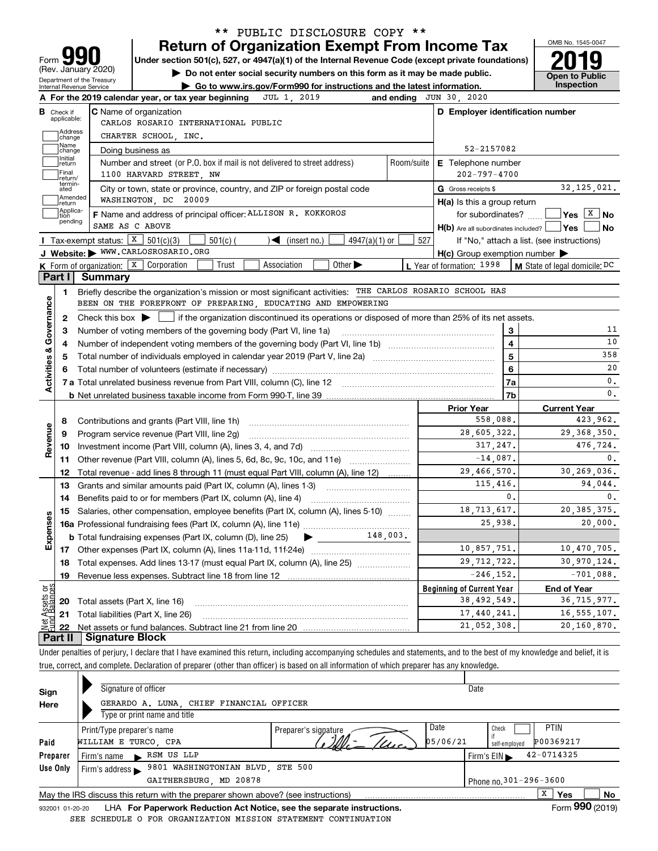| Form 990            |
|---------------------|
| (Rev. January 2020) |
|                     |

### **Return of Organization Exempt From Income Tax** \*\* PUBLIC DISCLOSURE COPY \*\*

Under section 501(c), 527, or 4947(a)(1) of the Internal Revenue Code (except private foundations) **2019** 

**| Do not enter social security numbers on this form as it may be made public.**

OMB No. 1545-0047 **Open to Public** 

|                                | Internal Revenue Service         | Department of the Treasury<br>► Go to www.irs.gov/Form990 for instructions and the latest information.                                      |            |                                                     |                | Inspection                                                                   |
|--------------------------------|----------------------------------|---------------------------------------------------------------------------------------------------------------------------------------------|------------|-----------------------------------------------------|----------------|------------------------------------------------------------------------------|
|                                |                                  | JUL 1, 2019<br>A For the 2019 calendar year, or tax year beginning                                                                          |            | and ending JUN 30, 2020                             |                |                                                                              |
|                                | <b>B</b> Check if<br>applicable: | <b>C</b> Name of organization<br>CARLOS ROSARIO INTERNATIONAL PUBLIC                                                                        |            | D Employer identification number                    |                |                                                                              |
|                                | Address<br>change                | CHARTER SCHOOL, INC.                                                                                                                        |            |                                                     |                |                                                                              |
|                                | Name<br>change                   | Doing business as                                                                                                                           |            | 52-2157082                                          |                |                                                                              |
|                                | Initial<br> return               | Number and street (or P.O. box if mail is not delivered to street address)                                                                  | Room/suite | E Telephone number                                  |                |                                                                              |
|                                | Final<br>return/                 | 1100 HARVARD STREET, NW                                                                                                                     |            | $202 - 797 - 4700$                                  |                |                                                                              |
|                                | termin-<br>ated                  | City or town, state or province, country, and ZIP or foreign postal code                                                                    |            | G Gross receipts \$                                 |                | 32, 125, 021.                                                                |
|                                | ]Amended<br>]return              | WASHINGTON, DC 20009                                                                                                                        |            | $H(a)$ is this a group return                       |                |                                                                              |
|                                | Applica-<br>tion                 | F Name and address of principal officer: ALLISON R. KOKKOROS                                                                                |            | for subordinates? $\Box$                            |                | $\sqrt{\mathsf{Yes} \left[\begin{matrix} \mathbf{X} \end{matrix}\right]}$ No |
|                                | pending                          | SAME AS C ABOVE                                                                                                                             |            | H(b) Are all subordinates included? Ves             |                | No                                                                           |
|                                |                                  | Tax-exempt status: $X \ 501(c)(3)$<br>$501(c)$ (<br>$\mathcal{I}$ (insert no.)<br>$4947(a)(1)$ or                                           | 527        |                                                     |                | If "No," attach a list. (see instructions)                                   |
|                                |                                  | J Website: WWW.CARLOSROSARIO.ORG                                                                                                            |            | $H(c)$ Group exemption number $\blacktriangleright$ |                |                                                                              |
|                                |                                  | K Form of organization: X Corporation<br>Trust<br>Association<br>Other $\blacktriangleright$                                                |            | L Year of formation: 1998                           |                | M State of legal domicile: DC                                                |
|                                | Part I                           | Summary                                                                                                                                     |            |                                                     |                |                                                                              |
|                                | 1                                | Briefly describe the organization's mission or most significant activities: THE CARLOS ROSARIO SCHOOL HAS                                   |            |                                                     |                |                                                                              |
| Activities & Governance        |                                  | BEEN ON THE FOREFRONT OF PREPARING, EDUCATING AND EMPOWERING                                                                                |            |                                                     |                |                                                                              |
|                                | 2                                | Check this box $\blacktriangleright$ $\Box$ if the organization discontinued its operations or disposed of more than 25% of its net assets. |            |                                                     |                |                                                                              |
|                                | З                                | Number of voting members of the governing body (Part VI, line 1a)                                                                           |            |                                                     | 3              | 11                                                                           |
|                                | 4                                |                                                                                                                                             |            |                                                     | $\overline{4}$ | 10                                                                           |
|                                | 5                                |                                                                                                                                             | 5          | 358                                                 |                |                                                                              |
|                                |                                  | Total number of volunteers (estimate if necessary) manufacture content content to a manufacture content of the                              |            |                                                     | 6              | 20                                                                           |
|                                |                                  |                                                                                                                                             |            |                                                     | 7a             | 0.                                                                           |
|                                |                                  |                                                                                                                                             |            |                                                     | 7b             | 0.                                                                           |
|                                |                                  |                                                                                                                                             |            | <b>Prior Year</b>                                   |                | <b>Current Year</b>                                                          |
|                                | 8                                |                                                                                                                                             |            | 558,088.                                            |                | 423,962.                                                                     |
| Revenue                        | 9                                | Program service revenue (Part VIII, line 2g)                                                                                                |            | 28,605,322.                                         |                | 29, 368, 350.                                                                |
|                                | 10                               |                                                                                                                                             |            | 317,247.                                            |                | 476,724.                                                                     |
|                                | 11                               | Other revenue (Part VIII, column (A), lines 5, 6d, 8c, 9c, 10c, and 11e)                                                                    |            | $-14,087.$                                          |                |                                                                              |
|                                |                                  |                                                                                                                                             |            |                                                     |                |                                                                              |
|                                | 12                               | Total revenue - add lines 8 through 11 (must equal Part VIII, column (A), line 12)                                                          |            | 29,466,570.                                         |                | 0.<br>30,269,036.                                                            |
|                                | 13                               | Grants and similar amounts paid (Part IX, column (A), lines 1-3) <i>manual community care</i>                                               |            | 115,416.                                            |                |                                                                              |
|                                | 14                               |                                                                                                                                             |            |                                                     | 0.             | 0.                                                                           |
|                                | 15                               | Salaries, other compensation, employee benefits (Part IX, column (A), lines 5-10)                                                           |            | 18,713,617.                                         |                | 20, 385, 375.                                                                |
|                                |                                  |                                                                                                                                             |            | 25,938.                                             |                |                                                                              |
|                                |                                  | <b>b</b> Total fundraising expenses (Part IX, column (D), line 25) $\rightarrow$ __________148,003.                                         |            |                                                     |                |                                                                              |
|                                |                                  |                                                                                                                                             |            | 10,857,751.                                         |                | 10,470,705.                                                                  |
|                                |                                  | Total expenses. Add lines 13-17 (must equal Part IX, column (A), line 25)                                                                   |            | 29, 712, 722.                                       |                |                                                                              |
|                                | 19                               | Revenue less expenses. Subtract line 18 from line 12                                                                                        |            | $-246, 152.$                                        |                | 30,970,124.<br>$-701,088$ .                                                  |
|                                |                                  |                                                                                                                                             |            | <b>Beginning of Current Year</b>                    |                | <b>End of Year</b>                                                           |
| Expenses                       | 20                               | Total assets (Part X, line 16)                                                                                                              |            | 38, 492, 549.                                       |                | 94,044.<br>20,000.<br>36, 715, 977.                                          |
| Net Assets or<br>Fund Balances | 21                               | Total liabilities (Part X, line 26)                                                                                                         |            | 17,440,241.<br>21,052,308.                          |                | 16, 555, 107.<br>20,160,870.                                                 |

Under penalties of perjury, I declare that I have examined this return, including accompanying schedules and statements, and to the best of my knowledge and belief, it is true, correct, and complete. Declaration of preparer (other than officer) is based on all information of which preparer has any knowledge.

| Sign            | Signature of officer                                                              |                      | Date     |                                                    |
|-----------------|-----------------------------------------------------------------------------------|----------------------|----------|----------------------------------------------------|
| Here            | GERARDO A. LUNA, CHIEF FINANCIAL OFFICER                                          |                      |          |                                                    |
|                 | Type or print name and title                                                      |                      |          |                                                    |
|                 | Print/Type preparer's name                                                        | Preparer's signature | Date     | <b>PTIN</b><br>Check                               |
| Paid            | WILLIAM E TURCO, CPA                                                              |                      | 05/06/21 | P00369217<br>self-employed                         |
| Preparer        | RSM US LLP<br>Firm's name<br>$\overline{\phantom{a}}$                             |                      |          | $42 - 0714325$<br>Firm's $EIN \blacktriangleright$ |
| Use Only        | 9801 WASHINGTONIAN BLVD, STE 500<br>Firm's address $\blacktriangleright$          |                      |          |                                                    |
|                 | GAITHERSBURG, MD 20878                                                            |                      |          | Phone no. 301-296-3600                             |
|                 | May the IRS discuss this return with the preparer shown above? (see instructions) |                      |          | х<br><b>No</b><br><b>Yes</b>                       |
| 932001 01-20-20 | LHA For Paperwork Reduction Act Notice, see the separate instructions.            |                      |          | Form 990 (2019)                                    |
|                 | SEE SCHEDULE O FOR ORGANIZATION MISSION STATEMENT CONTINUATION                    |                      |          |                                                    |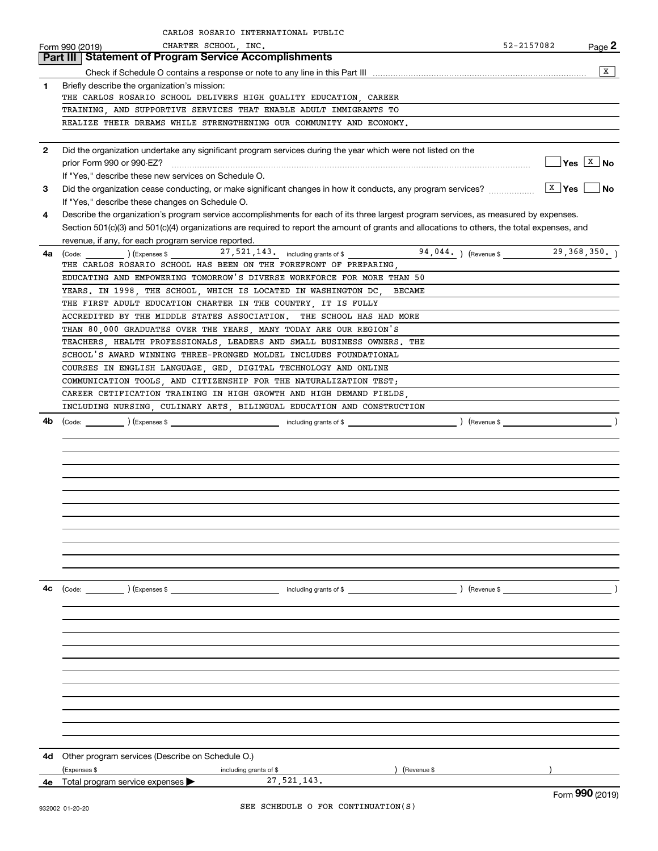|              | CARLOS ROSARIO INTERNATIONAL PUBLIC                                                                                                          |                                                               |           |
|--------------|----------------------------------------------------------------------------------------------------------------------------------------------|---------------------------------------------------------------|-----------|
|              | CHARTER SCHOOL, INC.<br>Form 990 (2019)                                                                                                      | 52-2157082                                                    | Page $2$  |
|              | Part III   Statement of Program Service Accomplishments                                                                                      |                                                               |           |
|              |                                                                                                                                              |                                                               | x         |
| 1            | Briefly describe the organization's mission:                                                                                                 |                                                               |           |
|              | THE CARLOS ROSARIO SCHOOL DELIVERS HIGH QUALITY EDUCATION, CAREER                                                                            |                                                               |           |
|              | TRAINING, AND SUPPORTIVE SERVICES THAT ENABLE ADULT IMMIGRANTS TO                                                                            |                                                               |           |
|              | REALIZE THEIR DREAMS WHILE STRENGTHENING OUR COMMUNITY AND ECONOMY.                                                                          |                                                               |           |
| $\mathbf{2}$ | Did the organization undertake any significant program services during the year which were not listed on the                                 |                                                               |           |
|              | prior Form 990 or 990-EZ?                                                                                                                    | $Yes \begin{array}{ c c } \hline X & \textbf{No} \end{array}$ |           |
|              | If "Yes," describe these new services on Schedule O.                                                                                         |                                                               |           |
| 3            | Did the organization cease conducting, or make significant changes in how it conducts, any program services?                                 | $X \gamma$ es                                                 | <b>No</b> |
|              | If "Yes," describe these changes on Schedule O.                                                                                              |                                                               |           |
| 4            | Describe the organization's program service accomplishments for each of its three largest program services, as measured by expenses.         |                                                               |           |
|              | Section 501(c)(3) and 501(c)(4) organizations are required to report the amount of grants and allocations to others, the total expenses, and |                                                               |           |
|              | revenue, if any, for each program service reported.                                                                                          |                                                               |           |
| 4a l         | $\left(\text{Code:}\ \_\_\_\_\_\_\right)$ $\left(\text{Expenses $}\ \_\_\_\_\_\_\_\_\_\_\_\_1, 521\ ,143\ ,\_\_\_\_\_\_\_\_\_\_\_\_\_\_\_1$  | 29, 368, 350.                                                 |           |
|              | THE CARLOS ROSARIO SCHOOL HAS BEEN ON THE FOREFRONT OF PREPARING,                                                                            |                                                               |           |
|              | EDUCATING AND EMPOWERING TOMORROW'S DIVERSE WORKFORCE FOR MORE THAN 50                                                                       |                                                               |           |
|              | YEARS. IN 1998, THE SCHOOL, WHICH IS LOCATED IN WASHINGTON DC, BECAME                                                                        |                                                               |           |
|              | THE FIRST ADULT EDUCATION CHARTER IN THE COUNTRY, IT IS FULLY                                                                                |                                                               |           |
|              | ACCREDITED BY THE MIDDLE STATES ASSOCIATION. THE SCHOOL HAS HAD MORE<br>THAN 80,000 GRADUATES OVER THE YEARS, MANY TODAY ARE OUR REGION'S    |                                                               |           |
|              | TEACHERS, HEALTH PROFESSIONALS, LEADERS AND SMALL BUSINESS OWNERS. THE                                                                       |                                                               |           |
|              | SCHOOL'S AWARD WINNING THREE-PRONGED MOLDEL INCLUDES FOUNDATIONAL                                                                            |                                                               |           |
|              | COURSES IN ENGLISH LANGUAGE, GED, DIGITAL TECHNOLOGY AND ONLINE                                                                              |                                                               |           |
|              | COMMUNICATION TOOLS, AND CITIZENSHIP FOR THE NATURALIZATION TEST;                                                                            |                                                               |           |
|              | CAREER CETIFICATION TRAINING IN HIGH GROWTH AND HIGH DEMAND FIELDS,                                                                          |                                                               |           |
|              | INCLUDING NURSING, CULINARY ARTS, BILINGUAL EDUCATION AND CONSTRUCTION                                                                       |                                                               |           |
| 4b           |                                                                                                                                              | $\left($ Revenue \$                                           |           |
|              |                                                                                                                                              |                                                               |           |
|              |                                                                                                                                              |                                                               |           |
|              |                                                                                                                                              |                                                               |           |
|              |                                                                                                                                              |                                                               |           |
|              |                                                                                                                                              |                                                               |           |
|              |                                                                                                                                              |                                                               |           |
|              |                                                                                                                                              |                                                               |           |
|              |                                                                                                                                              |                                                               |           |
|              |                                                                                                                                              |                                                               |           |
|              |                                                                                                                                              |                                                               |           |
|              |                                                                                                                                              |                                                               |           |
| 4c           | $\text{(Code:}$ $\qquad \qquad$ $\text{(Expenses $}$<br>including grants of \$                                                               |                                                               |           |
|              |                                                                                                                                              |                                                               |           |
|              |                                                                                                                                              |                                                               |           |
|              |                                                                                                                                              |                                                               |           |
|              |                                                                                                                                              |                                                               |           |
|              |                                                                                                                                              |                                                               |           |
|              |                                                                                                                                              |                                                               |           |
|              |                                                                                                                                              |                                                               |           |
|              |                                                                                                                                              |                                                               |           |
|              |                                                                                                                                              |                                                               |           |
|              |                                                                                                                                              |                                                               |           |
|              |                                                                                                                                              |                                                               |           |
| 4d           | Other program services (Describe on Schedule O.)                                                                                             |                                                               |           |
|              | (Expenses \$<br>(Revenue \$<br>including grants of \$                                                                                        |                                                               |           |
|              | 27, 521, 143.<br><b>4e</b> Total program service expenses $\blacktriangleright$                                                              |                                                               |           |
|              |                                                                                                                                              | $F_{\text{OCD}}$ 990 (2010)                                   |           |

Form (2019) **990**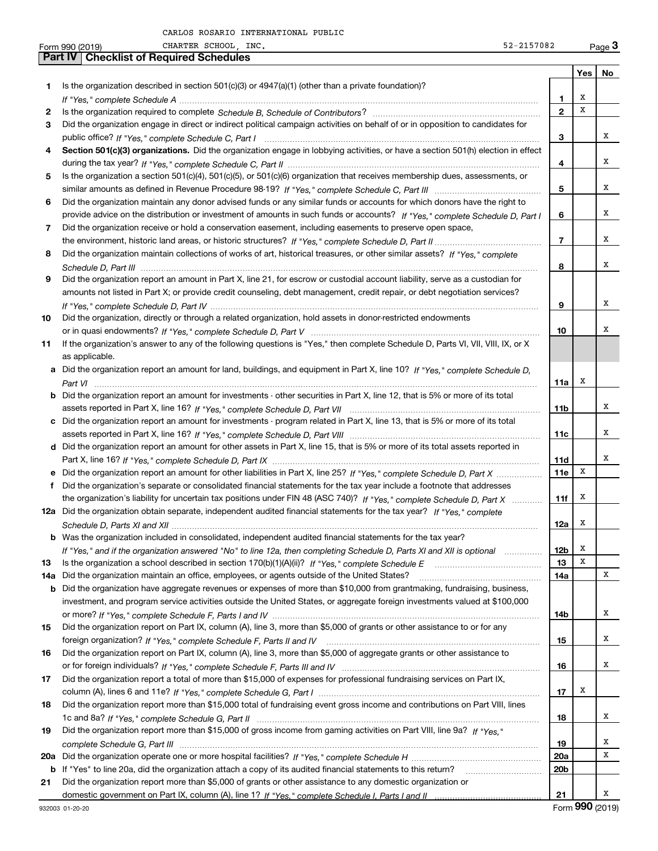|     | CHARTER SCHOOL, INC.<br>52-2157082<br>Form 990 (2019)                                                                            |                 |     | Page $3$          |
|-----|----------------------------------------------------------------------------------------------------------------------------------|-----------------|-----|-------------------|
|     | <b>Part IV   Checklist of Required Schedules</b>                                                                                 |                 |     |                   |
|     |                                                                                                                                  |                 | Yes | No                |
| 1   | Is the organization described in section $501(c)(3)$ or $4947(a)(1)$ (other than a private foundation)?                          |                 |     |                   |
|     |                                                                                                                                  | 1               | х   |                   |
| 2   |                                                                                                                                  | $\mathbf{2}$    | x   |                   |
| 3   | Did the organization engage in direct or indirect political campaign activities on behalf of or in opposition to candidates for  |                 |     |                   |
|     |                                                                                                                                  | 3               |     | х                 |
| 4   | Section 501(c)(3) organizations. Did the organization engage in lobbying activities, or have a section 501(h) election in effect |                 |     |                   |
|     |                                                                                                                                  |                 |     | x                 |
|     |                                                                                                                                  | 4               |     |                   |
| 5   | Is the organization a section 501(c)(4), 501(c)(5), or 501(c)(6) organization that receives membership dues, assessments, or     |                 |     |                   |
|     |                                                                                                                                  | 5               |     | x                 |
| 6   | Did the organization maintain any donor advised funds or any similar funds or accounts for which donors have the right to        |                 |     |                   |
|     | provide advice on the distribution or investment of amounts in such funds or accounts? If "Yes," complete Schedule D, Part I     | 6               |     | x                 |
| 7   | Did the organization receive or hold a conservation easement, including easements to preserve open space,                        |                 |     |                   |
|     |                                                                                                                                  | $\overline{7}$  |     | x                 |
| 8   | Did the organization maintain collections of works of art, historical treasures, or other similar assets? If "Yes," complete     |                 |     |                   |
|     |                                                                                                                                  | 8               |     | х                 |
| 9   | Did the organization report an amount in Part X, line 21, for escrow or custodial account liability, serve as a custodian for    |                 |     |                   |
|     | amounts not listed in Part X; or provide credit counseling, debt management, credit repair, or debt negotiation services?        |                 |     |                   |
|     |                                                                                                                                  |                 |     | Χ                 |
|     |                                                                                                                                  | 9               |     |                   |
| 10  | Did the organization, directly or through a related organization, hold assets in donor-restricted endowments                     |                 |     |                   |
|     |                                                                                                                                  | 10              |     | х                 |
| 11  | If the organization's answer to any of the following questions is "Yes," then complete Schedule D, Parts VI, VII, VIII, IX, or X |                 |     |                   |
|     | as applicable.                                                                                                                   |                 |     |                   |
|     | a Did the organization report an amount for land, buildings, and equipment in Part X, line 10? If "Yes," complete Schedule D,    |                 |     |                   |
|     |                                                                                                                                  | 11a             | Х   |                   |
| b   | Did the organization report an amount for investments - other securities in Part X, line 12, that is 5% or more of its total     |                 |     |                   |
|     |                                                                                                                                  | 11 <sub>b</sub> |     | х                 |
|     | c Did the organization report an amount for investments - program related in Part X, line 13, that is 5% or more of its total    |                 |     |                   |
|     |                                                                                                                                  | 11c             |     | х                 |
|     | d Did the organization report an amount for other assets in Part X, line 15, that is 5% or more of its total assets reported in  |                 |     |                   |
|     |                                                                                                                                  | 11d             |     | х                 |
|     | e Did the organization report an amount for other liabilities in Part X, line 25? If "Yes," complete Schedule D, Part X          | 11e             | X   |                   |
|     |                                                                                                                                  |                 |     |                   |
| f   | Did the organization's separate or consolidated financial statements for the tax year include a footnote that addresses          |                 |     |                   |
|     | the organization's liability for uncertain tax positions under FIN 48 (ASC 740)? If "Yes," complete Schedule D, Part X           | 11f             | x   |                   |
|     | 12a Did the organization obtain separate, independent audited financial statements for the tax year? If "Yes," complete          |                 |     |                   |
|     |                                                                                                                                  | 12a             | X   |                   |
|     | <b>b</b> Was the organization included in consolidated, independent audited financial statements for the tax year?               |                 |     |                   |
|     | If "Yes," and if the organization answered "No" to line 12a, then completing Schedule D, Parts XI and XII is optional            | 12 <sub>b</sub> | x   |                   |
| 13  |                                                                                                                                  | 13              | x   |                   |
| 14a | Did the organization maintain an office, employees, or agents outside of the United States?                                      | 14a             |     | х                 |
| b   | Did the organization have aggregate revenues or expenses of more than \$10,000 from grantmaking, fundraising, business,          |                 |     |                   |
|     | investment, and program service activities outside the United States, or aggregate foreign investments valued at \$100,000       |                 |     |                   |
|     |                                                                                                                                  | 14b             |     | х                 |
| 15  | Did the organization report on Part IX, column (A), line 3, more than \$5,000 of grants or other assistance to or for any        |                 |     |                   |
|     |                                                                                                                                  | 15              |     | х                 |
|     | Did the organization report on Part IX, column (A), line 3, more than \$5,000 of aggregate grants or other assistance to         |                 |     |                   |
| 16  |                                                                                                                                  |                 |     | х                 |
|     |                                                                                                                                  | 16              |     |                   |
| 17  | Did the organization report a total of more than \$15,000 of expenses for professional fundraising services on Part IX,          |                 |     |                   |
|     |                                                                                                                                  | 17              | x   |                   |
| 18  | Did the organization report more than \$15,000 total of fundraising event gross income and contributions on Part VIII, lines     |                 |     |                   |
|     |                                                                                                                                  | 18              |     | х                 |
| 19  | Did the organization report more than \$15,000 of gross income from gaming activities on Part VIII, line 9a? If "Yes."           |                 |     |                   |
|     |                                                                                                                                  | 19              |     | х                 |
| 20a |                                                                                                                                  | 20a             |     | х                 |
| b   | If "Yes" to line 20a, did the organization attach a copy of its audited financial statements to this return?                     | 20 <sub>b</sub> |     |                   |
| 21  | Did the organization report more than \$5,000 of grants or other assistance to any domestic organization or                      |                 |     |                   |
|     |                                                                                                                                  | 21              |     | х                 |
|     |                                                                                                                                  |                 |     | $000 \times 0.10$ |

932003 01-20-20

Form (2019) **990**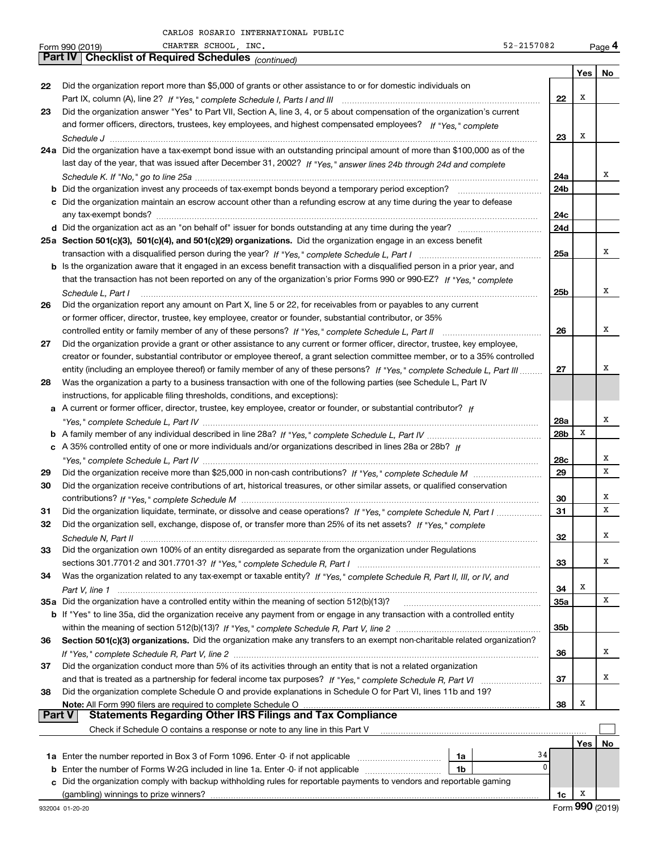|          | CHARTER SCHOOL, INC.<br>52-2157082<br>Form 990 (2019)                                                                        |                 |     | Page 4 |
|----------|------------------------------------------------------------------------------------------------------------------------------|-----------------|-----|--------|
|          | <b>Part IV   Checklist of Required Schedules</b> (continued)                                                                 |                 |     |        |
|          |                                                                                                                              |                 | Yes | No     |
| 22       | Did the organization report more than \$5,000 of grants or other assistance to or for domestic individuals on                |                 |     |        |
|          |                                                                                                                              | 22              | х   |        |
| 23       | Did the organization answer "Yes" to Part VII, Section A, line 3, 4, or 5 about compensation of the organization's current   |                 |     |        |
|          | and former officers, directors, trustees, key employees, and highest compensated employees? If "Yes," complete               |                 |     |        |
|          |                                                                                                                              | 23              | х   |        |
|          | 24a Did the organization have a tax-exempt bond issue with an outstanding principal amount of more than \$100,000 as of the  |                 |     |        |
|          | last day of the year, that was issued after December 31, 2002? If "Yes," answer lines 24b through 24d and complete           |                 |     |        |
|          |                                                                                                                              | 24a             |     | х      |
|          | <b>b</b> Did the organization invest any proceeds of tax-exempt bonds beyond a temporary period exception?                   | 24b             |     |        |
|          | c Did the organization maintain an escrow account other than a refunding escrow at any time during the year to defease       |                 |     |        |
|          |                                                                                                                              | 24c             |     |        |
|          |                                                                                                                              | 24d             |     |        |
|          | 25a Section 501(c)(3), 501(c)(4), and 501(c)(29) organizations. Did the organization engage in an excess benefit             |                 |     |        |
|          |                                                                                                                              | 25a             |     | х      |
|          | b Is the organization aware that it engaged in an excess benefit transaction with a disqualified person in a prior year, and |                 |     |        |
|          | that the transaction has not been reported on any of the organization's prior Forms 990 or 990-EZ? If "Yes," complete        |                 |     |        |
|          |                                                                                                                              |                 |     | х      |
|          | Schedule L, Part I                                                                                                           | 25 <sub>b</sub> |     |        |
| 26       | Did the organization report any amount on Part X, line 5 or 22, for receivables from or payables to any current              |                 |     |        |
|          | or former officer, director, trustee, key employee, creator or founder, substantial contributor, or 35%                      |                 |     |        |
|          |                                                                                                                              | 26              |     | х      |
| 27       | Did the organization provide a grant or other assistance to any current or former officer, director, trustee, key employee,  |                 |     |        |
|          | creator or founder, substantial contributor or employee thereof, a grant selection committee member, or to a 35% controlled  |                 |     |        |
|          | entity (including an employee thereof) or family member of any of these persons? If "Yes," complete Schedule L, Part III     | 27              |     | х      |
| 28       | Was the organization a party to a business transaction with one of the following parties (see Schedule L, Part IV            |                 |     |        |
|          | instructions, for applicable filing thresholds, conditions, and exceptions):                                                 |                 |     |        |
|          | a A current or former officer, director, trustee, key employee, creator or founder, or substantial contributor? If           |                 |     |        |
|          |                                                                                                                              | 28a             |     | Χ      |
|          |                                                                                                                              | 28b             | Х   |        |
|          | c A 35% controlled entity of one or more individuals and/or organizations described in lines 28a or 28b? If                  |                 |     |        |
|          |                                                                                                                              | 28c             |     | х      |
| 29       |                                                                                                                              | 29              |     | X      |
| 30       | Did the organization receive contributions of art, historical treasures, or other similar assets, or qualified conservation  |                 |     |        |
|          |                                                                                                                              | 30              |     | х      |
| 31       | Did the organization liquidate, terminate, or dissolve and cease operations? If "Yes," complete Schedule N, Part I           | 31              |     | X      |
| 32       | Did the organization sell, exchange, dispose of, or transfer more than 25% of its net assets? If "Yes," complete             |                 |     |        |
|          |                                                                                                                              | 32              |     | х      |
| 33       | Did the organization own 100% of an entity disregarded as separate from the organization under Regulations                   |                 |     |        |
|          |                                                                                                                              | 33              |     | х      |
| 34       | Was the organization related to any tax-exempt or taxable entity? If "Yes," complete Schedule R, Part II, III, or IV, and    |                 |     |        |
|          |                                                                                                                              | 34              | х   |        |
|          | 35a Did the organization have a controlled entity within the meaning of section 512(b)(13)?                                  | <b>35a</b>      |     | Χ      |
|          | b If "Yes" to line 35a, did the organization receive any payment from or engage in any transaction with a controlled entity  |                 |     |        |
|          |                                                                                                                              | 35b             |     |        |
| 36       | Section 501(c)(3) organizations. Did the organization make any transfers to an exempt non-charitable related organization?   |                 |     |        |
|          |                                                                                                                              | 36              |     | х      |
| 37       | Did the organization conduct more than 5% of its activities through an entity that is not a related organization             |                 |     |        |
|          |                                                                                                                              | 37              |     | х      |
| 38       | Did the organization complete Schedule O and provide explanations in Schedule O for Part VI, lines 11b and 19?               |                 |     |        |
|          | Note: All Form 990 filers are required to complete Schedule O                                                                | 38              | x   |        |
| ∣ Part V | <b>Statements Regarding Other IRS Filings and Tax Compliance</b>                                                             |                 |     |        |
|          | Check if Schedule O contains a response or note to any line in this Part V                                                   |                 |     |        |
|          |                                                                                                                              |                 | Yes | No     |
|          | 1a                                                                                                                           | 34              |     |        |
| b        | Enter the number of Forms W-2G included in line 1a. Enter -0- if not applicable<br>1b                                        | 0               |     |        |
|          | c Did the organization comply with backup withholding rules for reportable payments to vendors and reportable gaming         |                 |     |        |
|          |                                                                                                                              | 1c              | X   |        |
|          |                                                                                                                              |                 |     |        |

| ------- | ----------- | --------------------- |  |
|---------|-------------|-----------------------|--|
|         |             |                       |  |
|         |             |                       |  |
|         |             |                       |  |
|         |             |                       |  |
|         |             |                       |  |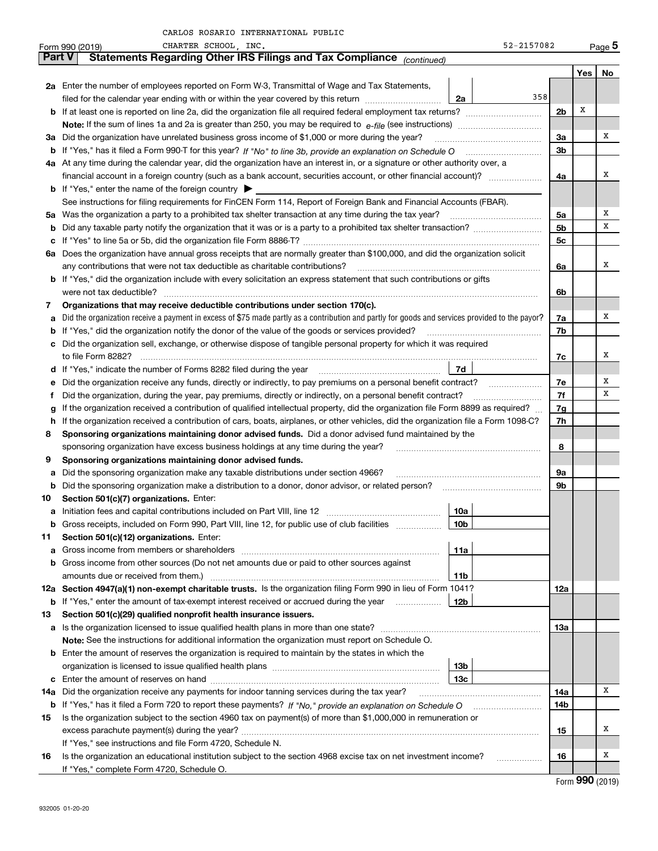|               | 52-2157082<br>CHARTER SCHOOL, INC.<br>Form 990 (2019)                                                                                           |     |             | $Page$ <sup>5</sup> |  |  |  |  |  |  |  |  |
|---------------|-------------------------------------------------------------------------------------------------------------------------------------------------|-----|-------------|---------------------|--|--|--|--|--|--|--|--|
| <b>Part V</b> | Statements Regarding Other IRS Filings and Tax Compliance (continued)                                                                           |     |             |                     |  |  |  |  |  |  |  |  |
|               |                                                                                                                                                 |     | Yes         | No                  |  |  |  |  |  |  |  |  |
|               | 2a Enter the number of employees reported on Form W-3, Transmittal of Wage and Tax Statements,                                                  |     |             |                     |  |  |  |  |  |  |  |  |
|               | 358<br>filed for the calendar year ending with or within the year covered by this return<br>2a                                                  |     |             |                     |  |  |  |  |  |  |  |  |
|               | 2 <sub>b</sub><br><b>b</b> If at least one is reported on line 2a, did the organization file all required federal employment tax returns?       |     |             |                     |  |  |  |  |  |  |  |  |
|               |                                                                                                                                                 |     |             |                     |  |  |  |  |  |  |  |  |
| За            | Did the organization have unrelated business gross income of \$1,000 or more during the year?                                                   |     |             |                     |  |  |  |  |  |  |  |  |
|               |                                                                                                                                                 | 3b  |             |                     |  |  |  |  |  |  |  |  |
|               | 4a At any time during the calendar year, did the organization have an interest in, or a signature or other authority over, a                    |     |             |                     |  |  |  |  |  |  |  |  |
|               | financial account in a foreign country (such as a bank account, securities account, or other financial account)?                                | 4a  |             | х                   |  |  |  |  |  |  |  |  |
|               | <b>b</b> If "Yes," enter the name of the foreign country $\blacktriangleright$                                                                  |     |             |                     |  |  |  |  |  |  |  |  |
|               | See instructions for filing requirements for FinCEN Form 114, Report of Foreign Bank and Financial Accounts (FBAR).                             |     |             |                     |  |  |  |  |  |  |  |  |
| 5a            | Was the organization a party to a prohibited tax shelter transaction at any time during the tax year?                                           | 5a  |             | Χ                   |  |  |  |  |  |  |  |  |
| b             |                                                                                                                                                 | 5b  |             | x                   |  |  |  |  |  |  |  |  |
| с             |                                                                                                                                                 | 5c  |             |                     |  |  |  |  |  |  |  |  |
| 6а            | Does the organization have annual gross receipts that are normally greater than \$100,000, and did the organization solicit                     |     |             |                     |  |  |  |  |  |  |  |  |
|               | any contributions that were not tax deductible as charitable contributions?                                                                     | 6a  |             | х                   |  |  |  |  |  |  |  |  |
|               | <b>b</b> If "Yes," did the organization include with every solicitation an express statement that such contributions or gifts                   |     |             |                     |  |  |  |  |  |  |  |  |
|               |                                                                                                                                                 | 6b  |             |                     |  |  |  |  |  |  |  |  |
| 7             | Organizations that may receive deductible contributions under section 170(c).                                                                   |     |             |                     |  |  |  |  |  |  |  |  |
| а             | Did the organization receive a payment in excess of \$75 made partly as a contribution and partly for goods and services provided to the payor? | 7a  |             | х                   |  |  |  |  |  |  |  |  |
| b             | If "Yes," did the organization notify the donor of the value of the goods or services provided?                                                 | 7b  |             |                     |  |  |  |  |  |  |  |  |
| c             | Did the organization sell, exchange, or otherwise dispose of tangible personal property for which it was required                               |     |             |                     |  |  |  |  |  |  |  |  |
|               |                                                                                                                                                 | 7c  |             | х                   |  |  |  |  |  |  |  |  |
|               | 7d                                                                                                                                              |     |             |                     |  |  |  |  |  |  |  |  |
| е             | Did the organization receive any funds, directly or indirectly, to pay premiums on a personal benefit contract?                                 | 7e  |             | х                   |  |  |  |  |  |  |  |  |
| Ť.            | Did the organization, during the year, pay premiums, directly or indirectly, on a personal benefit contract?                                    | 7f  |             | x                   |  |  |  |  |  |  |  |  |
| g             | If the organization received a contribution of qualified intellectual property, did the organization file Form 8899 as required?                | 7g  |             |                     |  |  |  |  |  |  |  |  |
| h             | If the organization received a contribution of cars, boats, airplanes, or other vehicles, did the organization file a Form 1098-C?              | 7h  |             |                     |  |  |  |  |  |  |  |  |
| 8             | Sponsoring organizations maintaining donor advised funds. Did a donor advised fund maintained by the                                            |     |             |                     |  |  |  |  |  |  |  |  |
|               | sponsoring organization have excess business holdings at any time during the year?                                                              | 8   |             |                     |  |  |  |  |  |  |  |  |
| 9             | Sponsoring organizations maintaining donor advised funds.                                                                                       |     |             |                     |  |  |  |  |  |  |  |  |
| а             | Did the sponsoring organization make any taxable distributions under section 4966?                                                              | 9a  |             |                     |  |  |  |  |  |  |  |  |
| b             | Did the sponsoring organization make a distribution to a donor, donor advisor, or related person?                                               | 9b  |             |                     |  |  |  |  |  |  |  |  |
| 10            | Section 501(c)(7) organizations. Enter:                                                                                                         |     |             |                     |  |  |  |  |  |  |  |  |
| а             | 10a                                                                                                                                             |     |             |                     |  |  |  |  |  |  |  |  |
| b             | Gross receipts, included on Form 990, Part VIII, line 12, for public use of club facilities<br>10 <sub>b</sub>                                  |     |             |                     |  |  |  |  |  |  |  |  |
| 11            | Section 501(c)(12) organizations. Enter:                                                                                                        |     |             |                     |  |  |  |  |  |  |  |  |
| а             | 11a<br>Gross income from members or shareholders                                                                                                |     |             |                     |  |  |  |  |  |  |  |  |
| b             | Gross income from other sources (Do not net amounts due or paid to other sources against                                                        |     |             |                     |  |  |  |  |  |  |  |  |
|               | amounts due or received from them.)<br>11b                                                                                                      |     |             |                     |  |  |  |  |  |  |  |  |
|               | 12a Section 4947(a)(1) non-exempt charitable trusts. Is the organization filing Form 990 in lieu of Form 1041?                                  | 12a |             |                     |  |  |  |  |  |  |  |  |
| b             | 12b<br>If "Yes," enter the amount of tax-exempt interest received or accrued during the year                                                    |     |             |                     |  |  |  |  |  |  |  |  |
| 13            | Section 501(c)(29) qualified nonprofit health insurance issuers.                                                                                |     |             |                     |  |  |  |  |  |  |  |  |
| а             | Is the organization licensed to issue qualified health plans in more than one state?                                                            | 13а |             |                     |  |  |  |  |  |  |  |  |
|               | Note: See the instructions for additional information the organization must report on Schedule O.                                               |     |             |                     |  |  |  |  |  |  |  |  |
|               | <b>b</b> Enter the amount of reserves the organization is required to maintain by the states in which the                                       |     |             |                     |  |  |  |  |  |  |  |  |
|               | 13b                                                                                                                                             |     |             |                     |  |  |  |  |  |  |  |  |
| c             | 13с                                                                                                                                             |     |             | x                   |  |  |  |  |  |  |  |  |
| 14a           | Did the organization receive any payments for indoor tanning services during the tax year?                                                      | 14a |             |                     |  |  |  |  |  |  |  |  |
|               | <b>b</b> If "Yes," has it filed a Form 720 to report these payments? If "No," provide an explanation on Schedule O                              | 14b |             |                     |  |  |  |  |  |  |  |  |
| 15            | Is the organization subject to the section 4960 tax on payment(s) of more than \$1,000,000 in remuneration or                                   |     |             | х                   |  |  |  |  |  |  |  |  |
|               | If "Yes," see instructions and file Form 4720, Schedule N.                                                                                      | 15  |             |                     |  |  |  |  |  |  |  |  |
|               | Is the organization an educational institution subject to the section 4968 excise tax on net investment income?                                 | 16  |             | x                   |  |  |  |  |  |  |  |  |
| 16            | If "Yes," complete Form 4720, Schedule O.                                                                                                       |     |             |                     |  |  |  |  |  |  |  |  |
|               |                                                                                                                                                 |     | <u> חחח</u> |                     |  |  |  |  |  |  |  |  |

Form (2019) **990**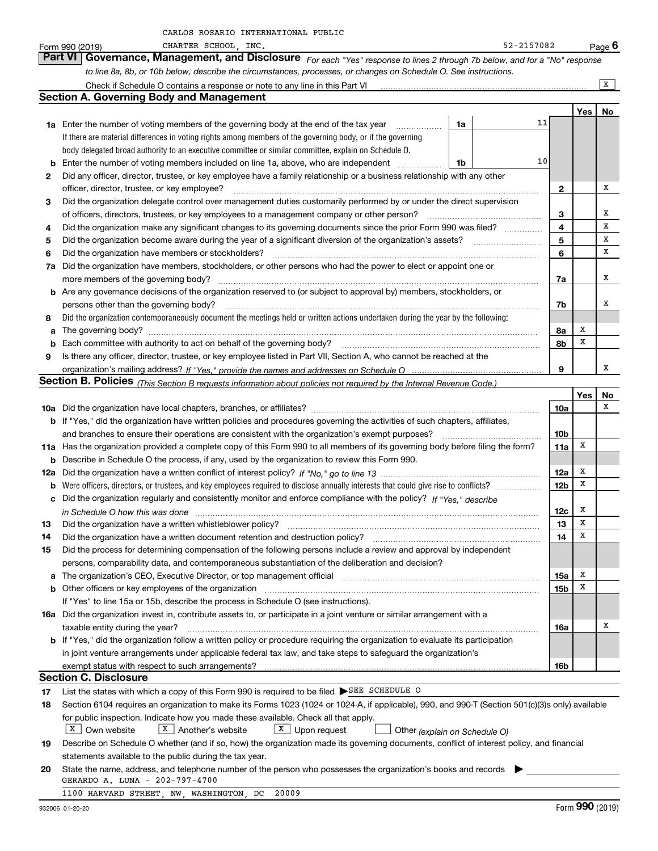|    | to line 8a, 8b, or 10b below, describe the circumstances, processes, or changes on Schedule O. See instructions.                                                                                                                                                   |                         |     |         |
|----|--------------------------------------------------------------------------------------------------------------------------------------------------------------------------------------------------------------------------------------------------------------------|-------------------------|-----|---------|
|    | Check if Schedule O contains a response or note to any line in this Part VI                                                                                                                                                                                        |                         |     | X       |
|    | <b>Section A. Governing Body and Management</b>                                                                                                                                                                                                                    |                         |     |         |
|    |                                                                                                                                                                                                                                                                    |                         | Yes | No      |
|    | 11<br>1a<br><b>1a</b> Enter the number of voting members of the governing body at the end of the tax year                                                                                                                                                          |                         |     |         |
|    | If there are material differences in voting rights among members of the governing body, or if the governing                                                                                                                                                        |                         |     |         |
|    | body delegated broad authority to an executive committee or similar committee, explain on Schedule O.                                                                                                                                                              |                         |     |         |
| b  | 10<br>Enter the number of voting members included on line 1a, above, who are independent<br>1b                                                                                                                                                                     |                         |     |         |
| 2  | Did any officer, director, trustee, or key employee have a family relationship or a business relationship with any other                                                                                                                                           |                         |     |         |
|    | officer, director, trustee, or key employee?                                                                                                                                                                                                                       | $\mathbf{2}$            |     | х       |
| З. | Did the organization delegate control over management duties customarily performed by or under the direct supervision                                                                                                                                              |                         |     |         |
|    | of officers, directors, trustees, or key employees to a management company or other person?                                                                                                                                                                        | 3                       |     | x       |
| 4  | Did the organization make any significant changes to its governing documents since the prior Form 990 was filed?<br>.                                                                                                                                              | $\overline{\mathbf{4}}$ |     | X       |
| 5  | Did the organization become aware during the year of a significant diversion of the organization's assets?                                                                                                                                                         | 5                       |     | X       |
| 6  | Did the organization have members or stockholders?                                                                                                                                                                                                                 | 6                       |     | x       |
| 7a | Did the organization have members, stockholders, or other persons who had the power to elect or appoint one or                                                                                                                                                     |                         |     |         |
|    | more members of the governing body?                                                                                                                                                                                                                                | 7a                      |     | х       |
|    | <b>b</b> Are any governance decisions of the organization reserved to (or subject to approval by) members, stockholders, or                                                                                                                                        |                         |     |         |
|    | persons other than the governing body?                                                                                                                                                                                                                             | 7b                      |     | x       |
| 8  | Did the organization contemporaneously document the meetings held or written actions undertaken during the year by the following:                                                                                                                                  |                         |     |         |
|    |                                                                                                                                                                                                                                                                    | 8а                      | х   |         |
| а  |                                                                                                                                                                                                                                                                    | 8b                      | x   |         |
|    |                                                                                                                                                                                                                                                                    |                         |     |         |
| 9  | Is there any officer, director, trustee, or key employee listed in Part VII, Section A, who cannot be reached at the                                                                                                                                               | 9                       |     | x       |
|    |                                                                                                                                                                                                                                                                    |                         |     |         |
|    | Section B. Policies (This Section B requests information about policies not required by the Internal Revenue Code.)                                                                                                                                                |                         | Yes |         |
|    |                                                                                                                                                                                                                                                                    |                         |     | No<br>x |
|    |                                                                                                                                                                                                                                                                    | 10a                     |     |         |
|    | b If "Yes," did the organization have written policies and procedures governing the activities of such chapters, affiliates,                                                                                                                                       |                         |     |         |
|    | and branches to ensure their operations are consistent with the organization's exempt purposes?                                                                                                                                                                    | 10 <sub>b</sub><br>11a  | X   |         |
|    | 11a Has the organization provided a complete copy of this Form 990 to all members of its governing body before filing the form?                                                                                                                                    |                         |     |         |
|    | <b>b</b> Describe in Schedule O the process, if any, used by the organization to review this Form 990.                                                                                                                                                             |                         | Х   |         |
|    |                                                                                                                                                                                                                                                                    | 12a<br>12 <sub>b</sub>  | x   |         |
|    | <b>b</b> Were officers, directors, or trustees, and key employees required to disclose annually interests that could give rise to conflicts?<br>Did the organization regularly and consistently monitor and enforce compliance with the policy? If "Yes." describe |                         |     |         |
| c  |                                                                                                                                                                                                                                                                    |                         | х   |         |
|    | in Schedule O how this was done <i>manufacture content of the state of the state of the state of the state of the</i>                                                                                                                                              | 12c<br>13               | X   |         |
| 13 | Did the organization have a written whistleblower policy?                                                                                                                                                                                                          | 14                      | X   |         |
| 14 | Did the organization have a written document retention and destruction policy?                                                                                                                                                                                     |                         |     |         |
| 15 | Did the process for determining compensation of the following persons include a review and approval by independent                                                                                                                                                 |                         |     |         |
|    | persons, comparability data, and contemporaneous substantiation of the deliberation and decision?                                                                                                                                                                  |                         | х   |         |
| а  | The organization's CEO, Executive Director, or top management official manufactured content of the organization's CEO, Executive Director, or top management official                                                                                              | 15a                     | X   |         |
| b  | Other officers or key employees of the organization                                                                                                                                                                                                                | 15b                     |     |         |
|    | If "Yes" to line 15a or 15b, describe the process in Schedule O (see instructions).                                                                                                                                                                                |                         |     |         |
|    | 16a Did the organization invest in, contribute assets to, or participate in a joint venture or similar arrangement with a                                                                                                                                          |                         |     | х       |
|    | taxable entity during the year?                                                                                                                                                                                                                                    | 16a                     |     |         |
|    | <b>b</b> If "Yes," did the organization follow a written policy or procedure requiring the organization to evaluate its participation                                                                                                                              |                         |     |         |
|    | in joint venture arrangements under applicable federal tax law, and take steps to safeguard the organization's                                                                                                                                                     |                         |     |         |
|    | exempt status with respect to such arrangements?<br><b>Section C. Disclosure</b>                                                                                                                                                                                   | 16b                     |     |         |
|    |                                                                                                                                                                                                                                                                    |                         |     |         |
| 17 | List the states with which a copy of this Form 990 is required to be filed ▶SEE SCHEDULE O                                                                                                                                                                         |                         |     |         |
| 18 | Section 6104 requires an organization to make its Forms 1023 (1024 or 1024-A, if applicable), 990, and 990-T (Section 501(c)(3)s only) available                                                                                                                   |                         |     |         |
|    | for public inspection. Indicate how you made these available. Check all that apply.                                                                                                                                                                                |                         |     |         |
|    | X Own website<br>$X$ Upon request<br>$X$   Another's website<br>Other (explain on Schedule O)                                                                                                                                                                      |                         |     |         |
| 19 | Describe on Schedule O whether (and if so, how) the organization made its governing documents, conflict of interest policy, and financial                                                                                                                          |                         |     |         |
|    | statements available to the public during the tax year.                                                                                                                                                                                                            |                         |     |         |
| 20 | State the name, address, and telephone number of the person who possesses the organization's books and records                                                                                                                                                     |                         |     |         |
|    | GERARDO A. LUNA - 202-797-4700                                                                                                                                                                                                                                     |                         |     |         |
|    | 1100 HARVARD STREET, NW, WASHINGTON, DC<br>20009                                                                                                                                                                                                                   |                         |     |         |

Form 990 (2019) CHARTER SCHOOL, INC.<br>**Part VI Governance, Management, and Disclosure** For each "Yes" response to lines 2 through 7b below, and for a "No" response

CARLOS ROSARIO INTERNATIONAL PUBLIC

*For each "Yes" response to lines 2 through 7b below, and for a "No" response*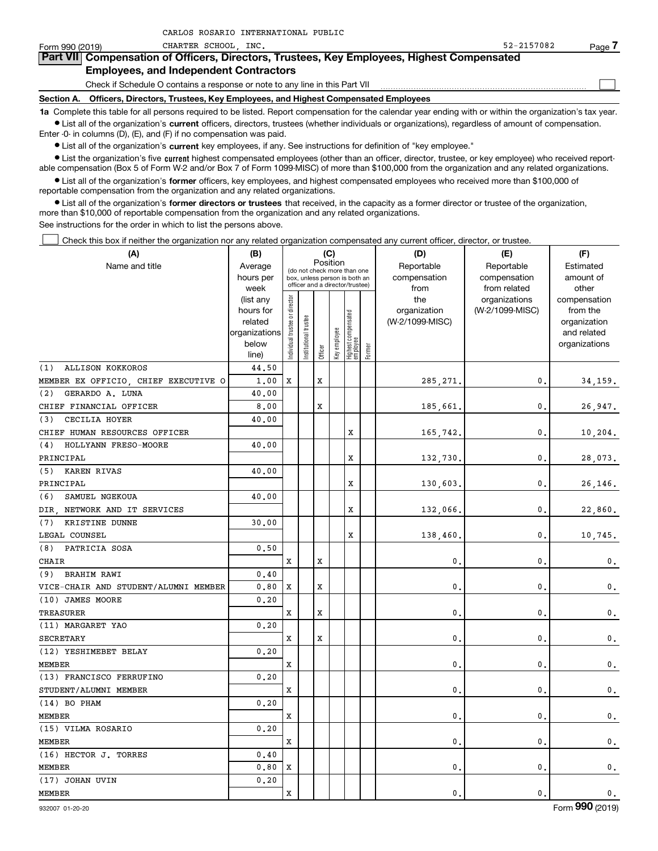| Form 990 (2019) | CHARTER SCHOOL INC.                                                                                                                                        | 52-2157082 | Page |
|-----------------|------------------------------------------------------------------------------------------------------------------------------------------------------------|------------|------|
|                 | Part VII Compensation of Officers, Directors, Trustees, Key Employees, Highest Compensated                                                                 |            |      |
|                 | <b>Employees, and Independent Contractors</b>                                                                                                              |            |      |
|                 | Check if Schedule O contains a response or note to any line in this Part VII                                                                               |            |      |
| Section A.      | Officers, Directors, Trustees, Key Employees, and Highest Compensated Employees                                                                            |            |      |
|                 | 1a Complete this table for all persons required to be listed. Report compensation for the calendar year ending with or within the organization's tax year. |            |      |

**•** List all of the organization's current officers, directors, trustees (whether individuals or organizations), regardless of amount of compensation. Enter -0- in columns (D), (E), and (F) if no compensation was paid.

 $\bullet$  List all of the organization's  $\,$ current key employees, if any. See instructions for definition of "key employee."

CARLOS ROSARIO INTERNATIONAL PUBLIC

**•** List the organization's five current highest compensated employees (other than an officer, director, trustee, or key employee) who received reportable compensation (Box 5 of Form W-2 and/or Box 7 of Form 1099-MISC) of more than \$100,000 from the organization and any related organizations.

**•** List all of the organization's former officers, key employees, and highest compensated employees who received more than \$100,000 of reportable compensation from the organization and any related organizations.

**former directors or trustees**  ¥ List all of the organization's that received, in the capacity as a former director or trustee of the organization, more than \$10,000 of reportable compensation from the organization and any related organizations.

See instructions for the order in which to list the persons above.

Check this box if neither the organization nor any related organization compensated any current officer, director, or trustee.  $\mathcal{L}^{\text{max}}$ 

| (A)                                  | (B)                                                                                 |                                |                       |         | (C)                             |                                 |        | (D)                 | (E)                              | (F)                      |
|--------------------------------------|-------------------------------------------------------------------------------------|--------------------------------|-----------------------|---------|---------------------------------|---------------------------------|--------|---------------------|----------------------------------|--------------------------|
| Name and title                       | Position<br>Average<br>(do not check more than one<br>box, unless person is both an |                                |                       |         |                                 |                                 |        | Reportable          | Reportable                       | Estimated                |
|                                      | hours per                                                                           |                                |                       |         | officer and a director/trustee) |                                 |        | compensation        | compensation                     | amount of                |
|                                      | week                                                                                |                                |                       |         |                                 |                                 |        | from                | from related                     | other                    |
|                                      | (list any<br>hours for                                                              |                                |                       |         |                                 |                                 |        | the<br>organization | organizations<br>(W-2/1099-MISC) | compensation<br>from the |
|                                      | related                                                                             |                                |                       |         |                                 |                                 |        | (W-2/1099-MISC)     |                                  | organization             |
|                                      | organizations                                                                       |                                |                       |         |                                 |                                 |        |                     |                                  | and related              |
|                                      | below                                                                               | Individual trustee or director | Institutional trustee |         | Key employee                    | Highest compensated<br>employee |        |                     |                                  | organizations            |
|                                      | line)                                                                               |                                |                       | Officer |                                 |                                 | Former |                     |                                  |                          |
| <b>ALLISON KOKKOROS</b><br>(1)       | 44.50                                                                               |                                |                       |         |                                 |                                 |        |                     |                                  |                          |
| MEMBER EX OFFICIO, CHIEF EXECUTIVE O | 1,00                                                                                | X                              |                       | X       |                                 |                                 |        | 285, 271.           | 0.                               | 34, 159.                 |
| (2)<br>GERARDO A. LUNA               | 40.00                                                                               |                                |                       |         |                                 |                                 |        |                     |                                  |                          |
| CHIEF FINANCIAL OFFICER              | 8,00                                                                                |                                |                       | X       |                                 |                                 |        | 185,661.            | $\mathbf{0}$ .                   | 26,947.                  |
| CECILIA HOYER<br>(3)                 | 40.00                                                                               |                                |                       |         |                                 |                                 |        |                     |                                  |                          |
| CHIEF HUMAN RESOURCES OFFICER        |                                                                                     |                                |                       |         |                                 | х                               |        | 165,742.            | $\mathbf{0}$                     | 10, 204.                 |
| HOLLYANN FRESO-MOORE<br>(4)          | 40.00                                                                               |                                |                       |         |                                 |                                 |        |                     |                                  |                          |
| PRINCIPAL                            |                                                                                     |                                |                       |         |                                 | х                               |        | 132,730             | $\mathbf{0}$                     | 28,073.                  |
| (5) KAREN RIVAS                      | 40.00                                                                               |                                |                       |         |                                 |                                 |        |                     |                                  |                          |
| PRINCIPAL                            |                                                                                     |                                |                       |         |                                 | х                               |        | 130,603,            | $\mathbf{0}$ .                   | 26,146.                  |
| (6)<br>SAMUEL NGEKOUA                | 40.00                                                                               |                                |                       |         |                                 |                                 |        |                     |                                  |                          |
| DIR NETWORK AND IT SERVICES          |                                                                                     |                                |                       |         |                                 | х                               |        | 132,066.            | $\mathbf{0}$ .                   | 22,860.                  |
| KRISTINE DUNNE<br>(7)                | 30.00                                                                               |                                |                       |         |                                 |                                 |        |                     |                                  |                          |
| LEGAL COUNSEL                        |                                                                                     |                                |                       |         |                                 | х                               |        | 138,460             | $\mathbf{0}$                     | 10,745.                  |
| PATRICIA SOSA<br>(8)                 | 0.50                                                                                |                                |                       |         |                                 |                                 |        |                     |                                  |                          |
| CHAIR                                |                                                                                     | X                              |                       | X       |                                 |                                 |        | 0                   | $\mathbf{0}$                     | $\mathbf{0}$ .           |
| <b>BRAHIM RAWI</b><br>(9)            | 0.40                                                                                |                                |                       |         |                                 |                                 |        |                     |                                  |                          |
| VICE-CHAIR AND STUDENT/ALUMNI MEMBER | 0.80                                                                                | X                              |                       | X       |                                 |                                 |        | $\mathbf{0}$        | $\mathbf{0}$                     | $\mathbf 0$ .            |
| (10) JAMES MOORE                     | 0.20                                                                                |                                |                       |         |                                 |                                 |        |                     |                                  |                          |
| TREASURER                            |                                                                                     | x                              |                       | x       |                                 |                                 |        | 0                   | $\mathbf{0}$                     | $\mathbf{0}$ .           |
| (11) MARGARET YAO                    | 0.20                                                                                |                                |                       |         |                                 |                                 |        |                     |                                  |                          |
| <b>SECRETARY</b>                     |                                                                                     | X                              |                       | X       |                                 |                                 |        | 0                   | $\mathbf{0}$                     | $\mathbf 0$ .            |
| (12) YESHIMEBET BELAY                | 0.20                                                                                |                                |                       |         |                                 |                                 |        |                     |                                  |                          |
| MEMBER                               |                                                                                     | x                              |                       |         |                                 |                                 |        | 0                   | $\mathbf{0}$                     | 0.                       |
| (13) FRANCISCO FERRUFINO             | 0.20                                                                                |                                |                       |         |                                 |                                 |        |                     |                                  |                          |
| STUDENT/ALUMNI MEMBER                |                                                                                     | X                              |                       |         |                                 |                                 |        | $\mathbf{0}$        | $\mathbf{0}$ .                   | $\mathbf 0$ .            |
| $(14)$ BO PHAM                       | 0.20                                                                                |                                |                       |         |                                 |                                 |        |                     |                                  |                          |
| MEMBER                               |                                                                                     | x                              |                       |         |                                 |                                 |        | 0                   | $\mathbf{0}$                     | 0.                       |
| (15) VILMA ROSARIO                   | 0.20                                                                                |                                |                       |         |                                 |                                 |        |                     |                                  |                          |
| <b>MEMBER</b>                        |                                                                                     | X                              |                       |         |                                 |                                 |        | 0                   | $\mathbf{0}$ .                   | $\mathbf 0$ .            |
| (16) HECTOR J. TORRES                | 0.40                                                                                |                                |                       |         |                                 |                                 |        |                     |                                  |                          |
| MEMBER                               | 0.80                                                                                | X                              |                       |         |                                 |                                 |        | 0                   | $\mathbf{0}$ .                   | 0.                       |
| (17) JOHAN UVIN                      | 0.20                                                                                |                                |                       |         |                                 |                                 |        |                     |                                  |                          |
| <b>MEMBER</b>                        |                                                                                     | X                              |                       |         |                                 |                                 |        | 0.                  | 0.                               | 0.                       |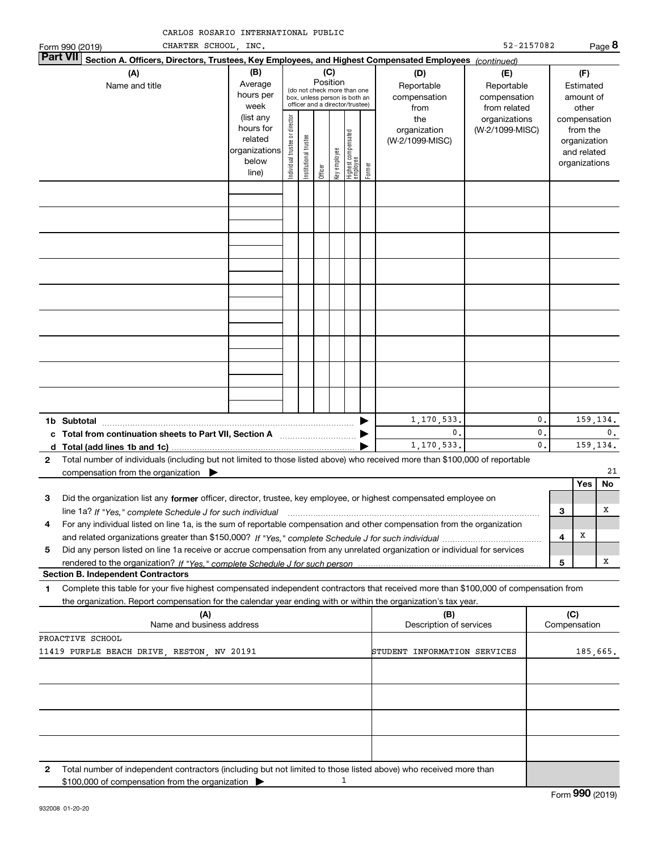| Form 990 (2019)  | CHARTER SCHOOL, INC.                                                                                                                                                                                                                                   |                                                                      |                               |                                                                                                                                                  |         |              |                                 |        |                                        | 52-2157082                                        |                      |                     |                                                                          | Page 8         |
|------------------|--------------------------------------------------------------------------------------------------------------------------------------------------------------------------------------------------------------------------------------------------------|----------------------------------------------------------------------|-------------------------------|--------------------------------------------------------------------------------------------------------------------------------------------------|---------|--------------|---------------------------------|--------|----------------------------------------|---------------------------------------------------|----------------------|---------------------|--------------------------------------------------------------------------|----------------|
| <b>Part VII</b>  | Section A. Officers, Directors, Trustees, Key Employees, and Highest Compensated Employees (continued)                                                                                                                                                 |                                                                      |                               |                                                                                                                                                  |         |              |                                 |        |                                        |                                                   |                      |                     |                                                                          |                |
|                  | (B)<br>(A)<br>Average<br>Name and title<br>hours per<br>week                                                                                                                                                                                           |                                                                      |                               | (C)<br>Position<br>Reportable<br>(do not check more than one<br>compensation<br>box, unless person is both an<br>officer and a director/trustee) |         |              |                                 |        |                                        | (E)<br>Reportable<br>compensation<br>from related |                      |                     | (F)<br>Estimated<br>amount of<br>other                                   |                |
|                  |                                                                                                                                                                                                                                                        | (list any<br>hours for<br>related<br>organizations<br>below<br>line) | ndividual trustee or director | In stitutional trustee                                                                                                                           | Officer | Key employee | Highest compensated<br>employee | Former | the<br>organization<br>(W-2/1099-MISC) | organizations<br>(W-2/1099-MISC)                  |                      |                     | compensation<br>from the<br>organization<br>and related<br>organizations |                |
|                  |                                                                                                                                                                                                                                                        |                                                                      |                               |                                                                                                                                                  |         |              |                                 |        |                                        |                                                   |                      |                     |                                                                          |                |
|                  |                                                                                                                                                                                                                                                        |                                                                      |                               |                                                                                                                                                  |         |              |                                 |        |                                        |                                                   |                      |                     |                                                                          |                |
|                  |                                                                                                                                                                                                                                                        |                                                                      |                               |                                                                                                                                                  |         |              |                                 |        |                                        |                                                   |                      |                     |                                                                          |                |
|                  |                                                                                                                                                                                                                                                        |                                                                      |                               |                                                                                                                                                  |         |              |                                 |        |                                        |                                                   |                      |                     |                                                                          |                |
|                  |                                                                                                                                                                                                                                                        |                                                                      |                               |                                                                                                                                                  |         |              |                                 |        |                                        |                                                   |                      |                     |                                                                          |                |
|                  |                                                                                                                                                                                                                                                        |                                                                      |                               |                                                                                                                                                  |         |              |                                 |        |                                        |                                                   |                      |                     |                                                                          |                |
|                  |                                                                                                                                                                                                                                                        |                                                                      |                               |                                                                                                                                                  |         |              |                                 |        |                                        |                                                   |                      |                     |                                                                          |                |
|                  |                                                                                                                                                                                                                                                        |                                                                      |                               |                                                                                                                                                  |         |              |                                 |        |                                        |                                                   |                      |                     |                                                                          |                |
| 1b Subtotal      |                                                                                                                                                                                                                                                        |                                                                      |                               |                                                                                                                                                  |         |              |                                 |        | 1,170,533.                             |                                                   | 0.                   |                     |                                                                          | 159,134.       |
| d                | c Total from continuation sheets to Part VII, Section A <b>manual</b> contains the Total from<br>Total (add lines 1b and 1c)                                                                                                                           |                                                                      |                               |                                                                                                                                                  |         |              |                                 |        | 0.<br>1,170,533.                       |                                                   | 0.<br>$\mathbf{0}$ . |                     |                                                                          | 0.<br>159,134. |
| 2                | Total number of individuals (including but not limited to those listed above) who received more than \$100,000 of reportable<br>compensation from the organization                                                                                     |                                                                      |                               |                                                                                                                                                  |         |              |                                 |        |                                        |                                                   |                      |                     |                                                                          | 21             |
|                  |                                                                                                                                                                                                                                                        |                                                                      |                               |                                                                                                                                                  |         |              |                                 |        |                                        |                                                   |                      |                     | Yes                                                                      | No             |
| З                | Did the organization list any former officer, director, trustee, key employee, or highest compensated employee on<br>line 1a? If "Yes," complete Schedule J for such individual material content content to the complete Schedule J                    |                                                                      |                               |                                                                                                                                                  |         |              |                                 |        |                                        |                                                   |                      | 3                   |                                                                          | х              |
| 4                | For any individual listed on line 1a, is the sum of reportable compensation and other compensation from the organization                                                                                                                               |                                                                      |                               |                                                                                                                                                  |         |              |                                 |        |                                        |                                                   |                      | 4                   | X                                                                        |                |
| 5                | Did any person listed on line 1a receive or accrue compensation from any unrelated organization or individual for services                                                                                                                             |                                                                      |                               |                                                                                                                                                  |         |              |                                 |        |                                        |                                                   |                      | 5                   |                                                                          | x              |
|                  | <b>Section B. Independent Contractors</b>                                                                                                                                                                                                              |                                                                      |                               |                                                                                                                                                  |         |              |                                 |        |                                        |                                                   |                      |                     |                                                                          |                |
| 1                | Complete this table for your five highest compensated independent contractors that received more than \$100,000 of compensation from<br>the organization. Report compensation for the calendar year ending with or within the organization's tax year. |                                                                      |                               |                                                                                                                                                  |         |              |                                 |        |                                        |                                                   |                      |                     |                                                                          |                |
|                  | (A)<br>Name and business address                                                                                                                                                                                                                       |                                                                      |                               |                                                                                                                                                  |         |              |                                 |        | (B)<br>Description of services         |                                                   |                      | (C)<br>Compensation |                                                                          |                |
| PROACTIVE SCHOOL | 11419 PURPLE BEACH DRIVE, RESTON, NV 20191                                                                                                                                                                                                             |                                                                      |                               |                                                                                                                                                  |         |              |                                 |        | STUDENT INFORMATION SERVICES           |                                                   |                      |                     |                                                                          | 185,665.       |
|                  |                                                                                                                                                                                                                                                        |                                                                      |                               |                                                                                                                                                  |         |              |                                 |        |                                        |                                                   |                      |                     |                                                                          |                |
|                  |                                                                                                                                                                                                                                                        |                                                                      |                               |                                                                                                                                                  |         |              |                                 |        |                                        |                                                   |                      |                     |                                                                          |                |
|                  |                                                                                                                                                                                                                                                        |                                                                      |                               |                                                                                                                                                  |         |              |                                 |        |                                        |                                                   |                      |                     |                                                                          |                |
|                  |                                                                                                                                                                                                                                                        |                                                                      |                               |                                                                                                                                                  |         |              |                                 |        |                                        |                                                   |                      |                     |                                                                          |                |
| 2                | Total number of independent contractors (including but not limited to those listed above) who received more than<br>\$100,000 of compensation from the organization                                                                                    |                                                                      |                               |                                                                                                                                                  |         |              | 1                               |        |                                        |                                                   |                      |                     |                                                                          |                |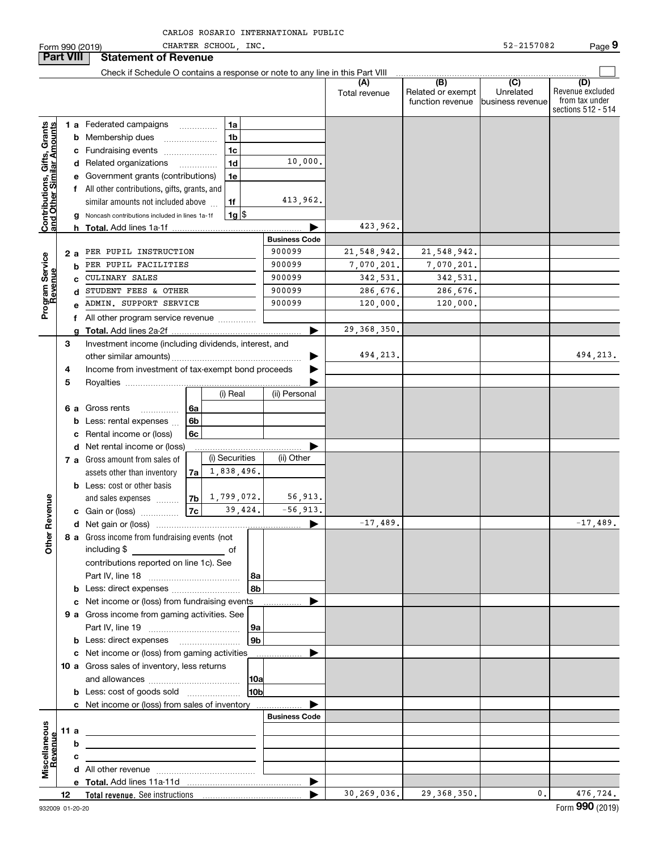|                                                           | Form 990 (2019)  |   |                                                                               |                          | CHARTER SCHOOL INC. |          |                      |                      |                                                           | 52-2157082                                        | Page 9                                                          |
|-----------------------------------------------------------|------------------|---|-------------------------------------------------------------------------------|--------------------------|---------------------|----------|----------------------|----------------------|-----------------------------------------------------------|---------------------------------------------------|-----------------------------------------------------------------|
|                                                           | <b>Part VIII</b> |   | <b>Statement of Revenue</b>                                                   |                          |                     |          |                      |                      |                                                           |                                                   |                                                                 |
|                                                           |                  |   | Check if Schedule O contains a response or note to any line in this Part VIII |                          |                     |          |                      |                      |                                                           |                                                   |                                                                 |
|                                                           |                  |   |                                                                               |                          |                     |          |                      | (A)<br>Total revenue | $\overline{(B)}$<br>Related or exempt<br>function revenue | $\overline{(C)}$<br>Unrelated<br>business revenue | (D)<br>Revenue excluded<br>from tax under<br>sections 512 - 514 |
|                                                           |                  |   | <b>1 a</b> Federated campaigns                                                | .                        | 1a                  |          |                      |                      |                                                           |                                                   |                                                                 |
|                                                           |                  | b | Membership dues                                                               |                          | 1 <sub>b</sub>      |          |                      |                      |                                                           |                                                   |                                                                 |
|                                                           |                  | c | Fundraising events                                                            |                          | 1c                  |          |                      |                      |                                                           |                                                   |                                                                 |
| Contributions, Gifts, Grants<br>and Other Similar Amounts |                  |   | d Related organizations                                                       | $\overline{\phantom{a}}$ | 1 <sub>d</sub>      |          | 10,000.              |                      |                                                           |                                                   |                                                                 |
|                                                           |                  |   | e Government grants (contributions)                                           |                          | 1e                  |          |                      |                      |                                                           |                                                   |                                                                 |
|                                                           |                  |   | f All other contributions, gifts, grants, and                                 |                          |                     |          |                      |                      |                                                           |                                                   |                                                                 |
|                                                           |                  |   | similar amounts not included above                                            |                          | 1f                  |          | 413,962.             |                      |                                                           |                                                   |                                                                 |
|                                                           |                  |   | Noncash contributions included in lines 1a-1f                                 |                          |                     | $1g$  \$ |                      |                      |                                                           |                                                   |                                                                 |
|                                                           |                  |   | <b>h</b> Total. Add lines 1a-1f                                               |                          |                     |          |                      | 423,962.             |                                                           |                                                   |                                                                 |
|                                                           |                  |   |                                                                               |                          |                     |          | <b>Business Code</b> |                      |                                                           |                                                   |                                                                 |
|                                                           | 2 a              |   | PER PUPIL INSTRUCTION                                                         |                          |                     |          | 900099               | 21,548,942.          | 21, 548, 942.                                             |                                                   |                                                                 |
|                                                           |                  | b | PER PUPIL FACILITIES                                                          |                          |                     |          | 900099               | 7,070,201.           | 7,070,201.                                                |                                                   |                                                                 |
|                                                           |                  |   | <b>CULINARY SALES</b>                                                         |                          |                     |          | 900099               | 342,531.             | 342,531.                                                  |                                                   |                                                                 |
|                                                           |                  | c | STUDENT FEES & OTHER                                                          |                          |                     |          | 900099               | 286,676.             | 286,676.                                                  |                                                   |                                                                 |
| Program Service<br>Revenue                                |                  | d | ADMIN. SUPPORT SERVICE                                                        |                          |                     |          | 900099               | 120,000.             | 120,000.                                                  |                                                   |                                                                 |
|                                                           |                  | e |                                                                               |                          |                     |          |                      |                      |                                                           |                                                   |                                                                 |
|                                                           |                  | f | All other program service revenue                                             |                          |                     |          |                      | 29,368,350.          |                                                           |                                                   |                                                                 |
|                                                           |                  |   |                                                                               |                          |                     |          |                      |                      |                                                           |                                                   |                                                                 |
|                                                           | 3                |   | Investment income (including dividends, interest, and                         |                          |                     |          |                      | 494,213.             |                                                           |                                                   | 494,213.                                                        |
|                                                           |                  |   |                                                                               |                          |                     |          |                      |                      |                                                           |                                                   |                                                                 |
|                                                           | 4                |   | Income from investment of tax-exempt bond proceeds                            |                          |                     |          |                      |                      |                                                           |                                                   |                                                                 |
|                                                           | 5                |   |                                                                               |                          |                     |          |                      |                      |                                                           |                                                   |                                                                 |
|                                                           |                  |   |                                                                               |                          | (i) Real            |          | (ii) Personal        |                      |                                                           |                                                   |                                                                 |
|                                                           | 6 a              |   | Gross rents<br>.                                                              | -6a                      |                     |          |                      |                      |                                                           |                                                   |                                                                 |
|                                                           |                  | b | Less: rental expenses                                                         | 6 <sub>b</sub>           |                     |          |                      |                      |                                                           |                                                   |                                                                 |
|                                                           |                  | с | Rental income or (loss)                                                       | 6c                       |                     |          |                      |                      |                                                           |                                                   |                                                                 |
|                                                           |                  | d | Net rental income or (loss)                                                   |                          |                     |          |                      |                      |                                                           |                                                   |                                                                 |
|                                                           |                  |   | 7 a Gross amount from sales of                                                |                          | (i) Securities      |          | (ii) Other           |                      |                                                           |                                                   |                                                                 |
|                                                           |                  |   | assets other than inventory                                                   | 7a                       | 1,838,496.          |          |                      |                      |                                                           |                                                   |                                                                 |
|                                                           |                  |   | <b>b</b> Less: cost or other basis                                            |                          |                     |          |                      |                      |                                                           |                                                   |                                                                 |
|                                                           |                  |   | and sales expenses                                                            | 7b                       | 1,799,072.          |          | 56,913.              |                      |                                                           |                                                   |                                                                 |
| evenue                                                    |                  |   | c Gain or (loss)                                                              | <b>7c</b>                |                     | 39,424.  | $-56,913.$           |                      |                                                           |                                                   |                                                                 |
| Œ                                                         |                  |   |                                                                               |                          |                     |          |                      | $-17.489$            |                                                           |                                                   | $-17.489$                                                       |
| Other                                                     |                  |   | 8 a Gross income from fundraising events (not                                 |                          |                     |          |                      |                      |                                                           |                                                   |                                                                 |
|                                                           |                  |   | including \$                                                                  |                          |                     |          |                      |                      |                                                           |                                                   |                                                                 |
|                                                           |                  |   | contributions reported on line 1c). See                                       |                          |                     |          |                      |                      |                                                           |                                                   |                                                                 |
|                                                           |                  |   |                                                                               |                          |                     | 8a       |                      |                      |                                                           |                                                   |                                                                 |
|                                                           |                  |   | b Less: direct expenses                                                       |                          |                     | l 8b     |                      |                      |                                                           |                                                   |                                                                 |
|                                                           |                  |   | c Net income or (loss) from fundraising events                                |                          |                     |          | .                    |                      |                                                           |                                                   |                                                                 |
|                                                           |                  |   | 9 a Gross income from gaming activities. See                                  |                          |                     |          |                      |                      |                                                           |                                                   |                                                                 |
|                                                           |                  |   |                                                                               |                          |                     | 9a       |                      |                      |                                                           |                                                   |                                                                 |
|                                                           |                  |   |                                                                               |                          |                     | 9b       |                      |                      |                                                           |                                                   |                                                                 |
|                                                           |                  |   | c Net income or (loss) from gaming activities                                 |                          |                     |          | .                    |                      |                                                           |                                                   |                                                                 |
|                                                           |                  |   | 10 a Gross sales of inventory, less returns                                   |                          |                     |          |                      |                      |                                                           |                                                   |                                                                 |
|                                                           |                  |   |                                                                               |                          |                     | 10a      |                      |                      |                                                           |                                                   |                                                                 |
|                                                           |                  |   | <b>b</b> Less: cost of goods sold                                             |                          |                     | 10b      |                      |                      |                                                           |                                                   |                                                                 |
|                                                           |                  |   | c Net income or (loss) from sales of inventory                                |                          |                     |          |                      |                      |                                                           |                                                   |                                                                 |
|                                                           |                  |   |                                                                               |                          |                     |          | <b>Business Code</b> |                      |                                                           |                                                   |                                                                 |
|                                                           | 11 a             |   |                                                                               |                          |                     |          |                      |                      |                                                           |                                                   |                                                                 |
|                                                           |                  | b |                                                                               |                          |                     |          |                      |                      |                                                           |                                                   |                                                                 |
| evenu                                                     |                  | с |                                                                               |                          |                     |          |                      |                      |                                                           |                                                   |                                                                 |
| Miscellaneous                                             |                  |   |                                                                               |                          |                     |          |                      |                      |                                                           |                                                   |                                                                 |
|                                                           |                  |   |                                                                               |                          |                     |          | ▶                    |                      |                                                           |                                                   |                                                                 |
|                                                           |                  |   |                                                                               |                          |                     |          |                      | 30,269,036.          | 29, 368, 350.                                             | 0.                                                | 476,724.                                                        |
|                                                           |                  |   |                                                                               |                          |                     |          |                      |                      |                                                           |                                                   |                                                                 |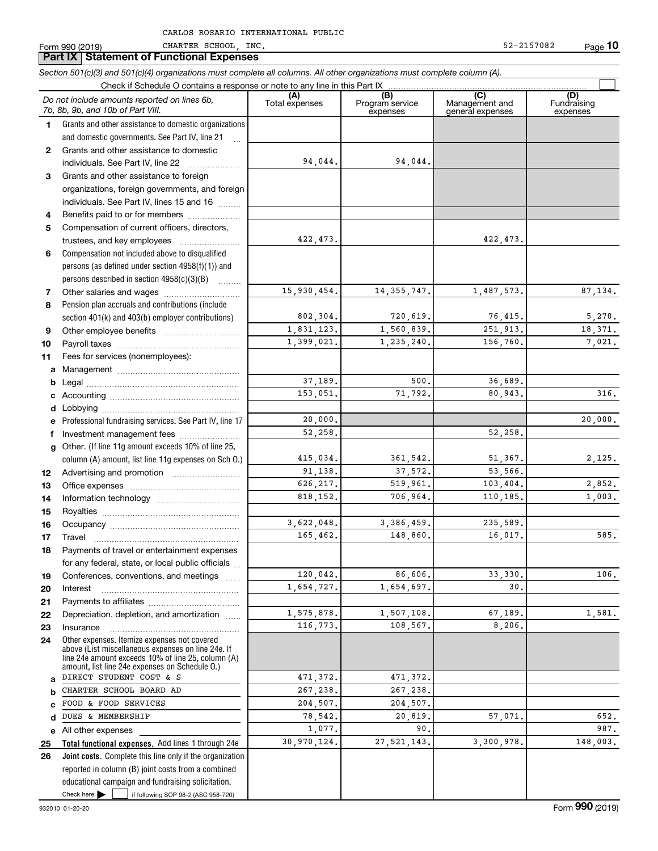|              | Section 501(c)(3) and 501(c)(4) organizations must complete all columns. All other organizations must complete column (A).<br>Check if Schedule O contains a response or note to any line in this Part IX  |                       |                        |                       |                    |
|--------------|------------------------------------------------------------------------------------------------------------------------------------------------------------------------------------------------------------|-----------------------|------------------------|-----------------------|--------------------|
|              | Do not include amounts reported on lines 6b,<br>7b, 8b, 9b, and 10b of Part VIII.                                                                                                                          | (A)<br>Total expenses | (B)<br>Program service | (C)<br>Management and | (D)<br>Fundraising |
| 1.           | Grants and other assistance to domestic organizations                                                                                                                                                      |                       | expenses               | general expenses      | expenses           |
|              | and domestic governments. See Part IV, line 21<br>$\ddotsc$                                                                                                                                                |                       |                        |                       |                    |
| $\mathbf{2}$ | Grants and other assistance to domestic                                                                                                                                                                    |                       |                        |                       |                    |
|              | individuals. See Part IV, line 22                                                                                                                                                                          | 94,044.               | 94,044.                |                       |                    |
| 3            | Grants and other assistance to foreign                                                                                                                                                                     |                       |                        |                       |                    |
|              | organizations, foreign governments, and foreign                                                                                                                                                            |                       |                        |                       |                    |
|              | individuals. See Part IV, lines 15 and 16                                                                                                                                                                  |                       |                        |                       |                    |
| 4            | Benefits paid to or for members                                                                                                                                                                            |                       |                        |                       |                    |
| 5            | Compensation of current officers, directors,                                                                                                                                                               |                       |                        |                       |                    |
|              | trustees, and key employees                                                                                                                                                                                | 422,473.              |                        | 422, 473.             |                    |
| 6            | Compensation not included above to disqualified                                                                                                                                                            |                       |                        |                       |                    |
|              | persons (as defined under section 4958(f)(1)) and                                                                                                                                                          |                       |                        |                       |                    |
|              | persons described in section 4958(c)(3)(B)                                                                                                                                                                 |                       |                        |                       |                    |
| 7            |                                                                                                                                                                                                            | 15,930,454.           | 14, 355, 747.          | 1,487,573.            | 87, 134.           |
| 8            | Pension plan accruals and contributions (include                                                                                                                                                           |                       |                        |                       |                    |
|              | section 401(k) and 403(b) employer contributions)                                                                                                                                                          | 802,304.              | 720,619.               | 76,415.               | 5,270.             |
| 9            |                                                                                                                                                                                                            | 1,831,123.            | 1,560,839.             | 251,913.              | 18,371.            |
| 10           |                                                                                                                                                                                                            | 1,399,021.            | 1,235,240.             | 156.760.              | 7,021.             |
| 11           | Fees for services (nonemployees):                                                                                                                                                                          |                       |                        |                       |                    |
| a            |                                                                                                                                                                                                            |                       |                        |                       |                    |
| b            |                                                                                                                                                                                                            | 37,189.               | 500.                   | 36,689.               |                    |
| с            |                                                                                                                                                                                                            | 153,051.              | 71,792.                | 80,943.               | 316.               |
| d            | Lobbying                                                                                                                                                                                                   |                       |                        |                       |                    |
| е            | Professional fundraising services. See Part IV, line 17                                                                                                                                                    | 20,000.               |                        |                       | 20,000.            |
| f            | Investment management fees                                                                                                                                                                                 | 52,258.               |                        | 52,258.               |                    |
| g            | Other. (If line 11g amount exceeds 10% of line 25,                                                                                                                                                         |                       |                        |                       |                    |
|              | column (A) amount, list line 11g expenses on Sch O.)                                                                                                                                                       | 415,034.              | 361,542.               | 51,367.               | 2,125.             |
| 12           | Advertising and promotion <i></i>                                                                                                                                                                          | 91,138.               | 37,572.                | 53,566.               |                    |
| 13           |                                                                                                                                                                                                            | 626, 217.             | 519,961.               | 103,404.              | 2,852.             |
| 14           |                                                                                                                                                                                                            | 818, 152.             | 706,964.               | 110,185.              | 1,003.             |
| 15           |                                                                                                                                                                                                            |                       |                        |                       |                    |
| 16           |                                                                                                                                                                                                            | 3,622,048.            | 3,386,459.             | 235,589.              |                    |
| 17           |                                                                                                                                                                                                            | 165,462.              | 148,860.               | 16,017.               | 585.               |
| 18           | Payments of travel or entertainment expenses                                                                                                                                                               |                       |                        |                       |                    |
|              | for any federal, state, or local public officials                                                                                                                                                          |                       |                        |                       |                    |
| 19           | Conferences, conventions, and meetings<br>$\sim$                                                                                                                                                           | 120,042.              | 86,606.                | 33, 330.              | 106.               |
| 20           | Interest                                                                                                                                                                                                   | 1,654,727.            | 1,654,697.             | 30.                   |                    |
| 21           |                                                                                                                                                                                                            |                       |                        |                       |                    |
| 22           | Depreciation, depletion, and amortization                                                                                                                                                                  | 1,575,878.            | 1,507,108.             | 67,189.               | 1,581.             |
| 23           | Insurance                                                                                                                                                                                                  | 116,773.              | 108.567.               | 8,206.                |                    |
| 24           | Other expenses. Itemize expenses not covered<br>above (List miscellaneous expenses on line 24e. If<br>line 24e amount exceeds 10% of line 25, column (A)<br>amount, list line 24e expenses on Schedule O.) |                       |                        |                       |                    |
| a            | DIRECT STUDENT COST & S                                                                                                                                                                                    | 471,372.              | 471,372.               |                       |                    |
| b            | CHARTER SCHOOL BOARD AD                                                                                                                                                                                    | 267,238.              | 267,238.               |                       |                    |
| C            | FOOD & FOOD SERVICES                                                                                                                                                                                       | 204,507.              | 204,507.               |                       |                    |
| d            | DUES & MEMBERSHIP                                                                                                                                                                                          | 78,542.               | 20,819.                | 57,071.               | 652.               |
| е            | All other expenses                                                                                                                                                                                         | 1,077.                | 90.                    |                       | 987.               |
| 25           | Total functional expenses. Add lines 1 through 24e                                                                                                                                                         | 30,970,124.           | 27, 521, 143.          | 3,300,978.            | 148,003.           |
| 26           | Joint costs. Complete this line only if the organization                                                                                                                                                   |                       |                        |                       |                    |
|              | reported in column (B) joint costs from a combined                                                                                                                                                         |                       |                        |                       |                    |
|              | educational campaign and fundraising solicitation.                                                                                                                                                         |                       |                        |                       |                    |
|              | Check here $\blacktriangleright$<br>if following SOP 98-2 (ASC 958-720)                                                                                                                                    |                       |                        |                       |                    |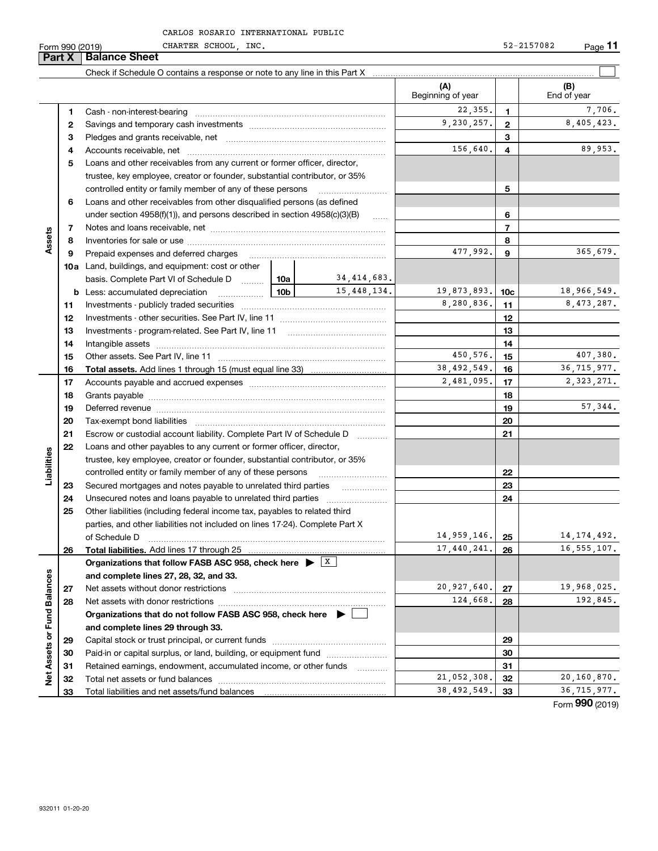CHARTER SCHOOL, INC. 52-2157082

|                             | Part X | <b>Balance Sheet</b>                                                                                                                                                                                                           |          |             |                          |                 |                    |
|-----------------------------|--------|--------------------------------------------------------------------------------------------------------------------------------------------------------------------------------------------------------------------------------|----------|-------------|--------------------------|-----------------|--------------------|
|                             |        |                                                                                                                                                                                                                                |          |             |                          |                 |                    |
|                             |        |                                                                                                                                                                                                                                |          |             | (A)<br>Beginning of year |                 | (B)<br>End of year |
|                             | 1      |                                                                                                                                                                                                                                |          |             | 22,355.                  | 1.              | 7,706.             |
|                             | 2      |                                                                                                                                                                                                                                |          |             | 9,230,257.               | $\mathbf{2}$    | 8,405,423.         |
|                             | з      |                                                                                                                                                                                                                                |          |             |                          | 3               |                    |
|                             | 4      |                                                                                                                                                                                                                                |          |             | 156,640.                 | 4               | 89,953.            |
|                             | 5      | Loans and other receivables from any current or former officer, director,                                                                                                                                                      |          |             |                          |                 |                    |
|                             |        | trustee, key employee, creator or founder, substantial contributor, or 35%                                                                                                                                                     |          |             |                          |                 |                    |
|                             |        | controlled entity or family member of any of these persons                                                                                                                                                                     |          |             |                          | 5               |                    |
|                             | 6      | Loans and other receivables from other disqualified persons (as defined                                                                                                                                                        |          |             |                          |                 |                    |
|                             |        | under section 4958(f)(1)), and persons described in section 4958(c)(3)(B)                                                                                                                                                      |          | 1.1.1.1     |                          | 6               |                    |
|                             | 7      |                                                                                                                                                                                                                                |          |             |                          | $\overline{7}$  |                    |
| Assets                      | 8      |                                                                                                                                                                                                                                |          |             |                          | 8               |                    |
|                             | 9      | Prepaid expenses and deferred charges                                                                                                                                                                                          |          |             | 477,992.                 | 9               | 365,679.           |
|                             |        | <b>10a</b> Land, buildings, and equipment: cost or other                                                                                                                                                                       |          |             |                          |                 |                    |
|                             |        | basis. Complete Part VI of Schedule D  10a                                                                                                                                                                                     |          | 34,414,683. |                          |                 |                    |
|                             | b      | <u>  10b</u> 10m<br>Less: accumulated depreciation                                                                                                                                                                             |          | 15,448,134. | 19,873,893.              | 10 <sub>c</sub> | 18,966,549.        |
|                             | 11     |                                                                                                                                                                                                                                |          |             | 8,280,836.               | 11              | 8,473,287.         |
|                             | 12     |                                                                                                                                                                                                                                |          |             |                          | 12              |                    |
|                             | 13     |                                                                                                                                                                                                                                |          |             |                          | 13              |                    |
|                             | 14     |                                                                                                                                                                                                                                |          |             |                          | 14              |                    |
|                             | 15     |                                                                                                                                                                                                                                | 450,576. | 15          | 407,380.                 |                 |                    |
|                             | 16     |                                                                                                                                                                                                                                |          |             | 38,492,549.              | 16              | 36, 715, 977.      |
|                             | 17     |                                                                                                                                                                                                                                |          |             | 2,481,095.               | 17              | 2,323,271.         |
|                             | 18     |                                                                                                                                                                                                                                |          |             |                          | 18              |                    |
|                             | 19     | Deferred revenue manual contracts and contracts are all the manual contracts and contracts are contracted and contracts are contracted and contract are contracted and contract are contracted and contract are contracted and |          |             |                          | 19              | 57,344.            |
|                             | 20     |                                                                                                                                                                                                                                |          |             | 20                       |                 |                    |
|                             | 21     | Escrow or custodial account liability. Complete Part IV of Schedule D                                                                                                                                                          |          |             |                          | 21              |                    |
|                             | 22     | Loans and other payables to any current or former officer, director,                                                                                                                                                           |          |             |                          |                 |                    |
| Liabilities                 |        | trustee, key employee, creator or founder, substantial contributor, or 35%                                                                                                                                                     |          |             |                          |                 |                    |
|                             |        | controlled entity or family member of any of these persons                                                                                                                                                                     |          |             |                          | 22              |                    |
|                             | 23     | Secured mortgages and notes payable to unrelated third parties                                                                                                                                                                 |          |             |                          | 23              |                    |
|                             | 24     | Unsecured notes and loans payable to unrelated third parties                                                                                                                                                                   |          |             |                          | 24              |                    |
|                             | 25     | Other liabilities (including federal income tax, payables to related third                                                                                                                                                     |          |             |                          |                 |                    |
|                             |        | parties, and other liabilities not included on lines 17-24). Complete Part X                                                                                                                                                   |          |             |                          |                 |                    |
|                             |        | of Schedule D                                                                                                                                                                                                                  |          |             | 14,959,146.              | 25              | 14, 174, 492.      |
|                             | 26     | Total liabilities. Add lines 17 through 25                                                                                                                                                                                     |          |             | 17,440,241.              | 26              | 16, 555, 107.      |
|                             |        | Organizations that follow FASB ASC 958, check here $\blacktriangleright$ $\boxed{\text{X}}$                                                                                                                                    |          |             |                          |                 |                    |
|                             |        | and complete lines 27, 28, 32, and 33.                                                                                                                                                                                         |          |             |                          |                 |                    |
|                             | 27     | Net assets without donor restrictions                                                                                                                                                                                          |          |             | 20,927,640.<br>124,668.  | 27              | 19,968,025.        |
|                             | 28     | Net assets with donor restrictions                                                                                                                                                                                             |          |             |                          | 28              | 192,845.           |
|                             |        | Organizations that do not follow FASB ASC 958, check here $\blacktriangleright$                                                                                                                                                |          |             |                          |                 |                    |
| Net Assets or Fund Balances |        | and complete lines 29 through 33.                                                                                                                                                                                              |          |             |                          |                 |                    |
|                             | 29     |                                                                                                                                                                                                                                |          |             |                          | 29              |                    |
|                             | 30     | Paid-in or capital surplus, or land, building, or equipment fund                                                                                                                                                               |          |             |                          | 30              |                    |
|                             | 31     | Retained earnings, endowment, accumulated income, or other funds                                                                                                                                                               |          |             | 21,052,308.              | 31              | 20, 160, 870.      |
|                             | 32     |                                                                                                                                                                                                                                |          |             | 38, 492, 549.            | 32              | 36, 715, 977.      |
|                             | 33     |                                                                                                                                                                                                                                |          |             |                          | 33              | $000$ ( $0.22$     |

Form (2019) **990**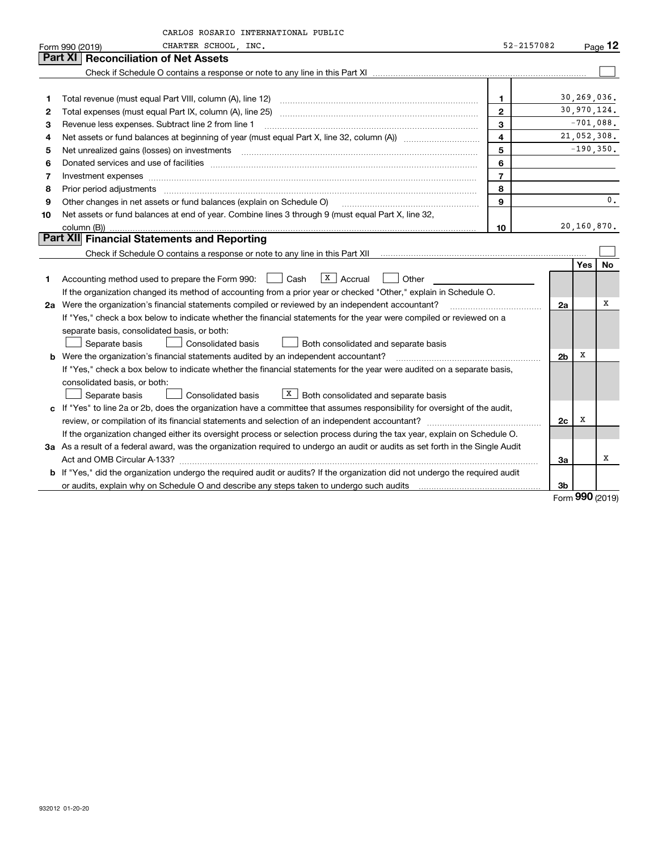|    | CARLOS ROSARIO INTERNATIONAL PUBLIC                                                                                             |                |                |              |           |
|----|---------------------------------------------------------------------------------------------------------------------------------|----------------|----------------|--------------|-----------|
|    | CHARTER SCHOOL, INC.<br>Form 990 (2019)                                                                                         | 52-2157082     |                |              | Page $12$ |
|    | Part XI<br><b>Reconciliation of Net Assets</b>                                                                                  |                |                |              |           |
|    |                                                                                                                                 |                |                |              |           |
|    |                                                                                                                                 |                |                |              |           |
| 1  |                                                                                                                                 | 1              |                | 30,269,036.  |           |
| 2  |                                                                                                                                 | $\overline{2}$ |                | 30,970,124.  |           |
| 3  | Revenue less expenses. Subtract line 2 from line 1                                                                              | 3              |                | $-701,088.$  |           |
| 4  |                                                                                                                                 | 4              |                | 21,052,308.  |           |
| 5  |                                                                                                                                 | 5              |                | $-190, 350.$ |           |
| 6  |                                                                                                                                 | 6              |                |              |           |
| 7  | Investment expenses www.communication.communication.com/internation.com/internation.com/internation.com/intern                  | $\overline{7}$ |                |              |           |
| 8  |                                                                                                                                 | 8              |                |              |           |
| 9  | Other changes in net assets or fund balances (explain on Schedule O)                                                            | 9              |                |              | 0.        |
| 10 | Net assets or fund balances at end of year. Combine lines 3 through 9 (must equal Part X, line 32,                              |                |                |              |           |
|    | column (B))                                                                                                                     | 10             |                | 20,160,870.  |           |
|    | Part XII Financial Statements and Reporting                                                                                     |                |                |              |           |
|    |                                                                                                                                 |                |                |              |           |
|    |                                                                                                                                 |                |                | <b>Yes</b>   | <b>No</b> |
| 1  | $X$ Accrual<br>Accounting method used to prepare the Form 990: <u>I</u> Cash<br>Other                                           |                |                |              |           |
|    | If the organization changed its method of accounting from a prior year or checked "Other," explain in Schedule O.               |                |                |              |           |
|    | 2a Were the organization's financial statements compiled or reviewed by an independent accountant?                              |                | 2a             |              | x         |
|    | If "Yes," check a box below to indicate whether the financial statements for the year were compiled or reviewed on a            |                |                |              |           |
|    | separate basis, consolidated basis, or both:                                                                                    |                |                |              |           |
|    | Separate basis<br><b>Consolidated basis</b><br><b>Both consolidated and separate basis</b>                                      |                |                |              |           |
| b  | Were the organization's financial statements audited by an independent accountant?                                              |                | 2 <sub>b</sub> | х            |           |
|    | If "Yes," check a box below to indicate whether the financial statements for the year were audited on a separate basis,         |                |                |              |           |
|    | consolidated basis, or both:                                                                                                    |                |                |              |           |
|    | $X$ Both consolidated and separate basis<br>Separate basis<br>Consolidated basis                                                |                |                |              |           |
|    | c If "Yes" to line 2a or 2b, does the organization have a committee that assumes responsibility for oversight of the audit,     |                |                | x            |           |
|    |                                                                                                                                 |                | 2c             |              |           |
|    | If the organization changed either its oversight process or selection process during the tax year, explain on Schedule O.       |                |                |              |           |
|    | 3a As a result of a federal award, was the organization required to undergo an audit or audits as set forth in the Single Audit |                |                |              |           |
|    |                                                                                                                                 |                | За             |              | х         |
|    | b If "Yes," did the organization undergo the required audit or audits? If the organization did not undergo the required audit   |                |                |              |           |
|    |                                                                                                                                 |                | 3b             |              |           |

Form (2019) **990**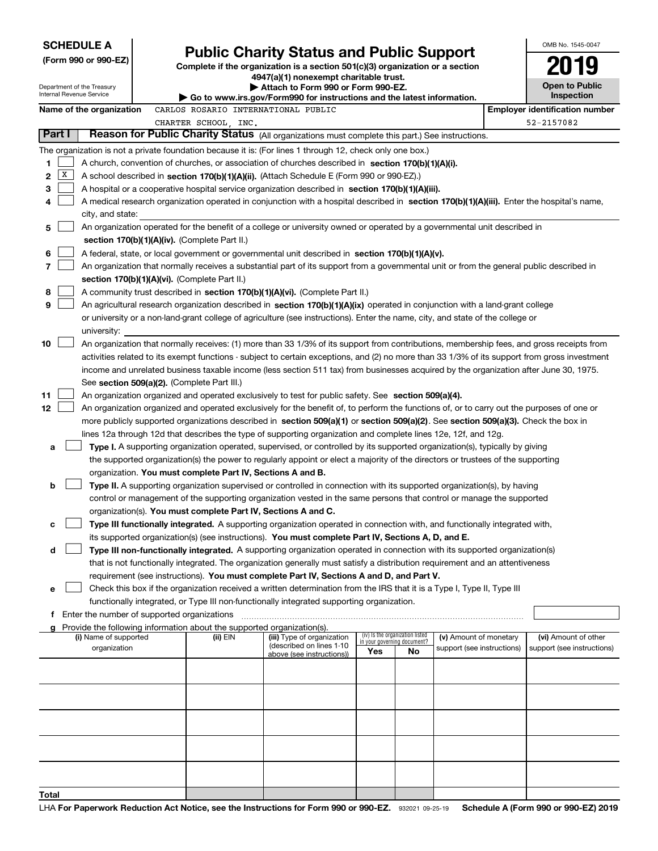| <b>SCHEDULE A</b><br>(Form 990 or 990-EZ)<br>Department of the Treasury<br>Internal Revenue Service |        |                                               |                                                                          | <b>Public Charity Status and Public Support</b><br>Complete if the organization is a section 501(c)(3) organization or a section<br>4947(a)(1) nonexempt charitable trust.<br>Attach to Form 990 or Form 990-EZ.<br>Go to www.irs.gov/Form990 for instructions and the latest information. |                                    |                                 |                            | OMB No. 1545-0047<br><b>Open to Public</b><br>Inspection |
|-----------------------------------------------------------------------------------------------------|--------|-----------------------------------------------|--------------------------------------------------------------------------|--------------------------------------------------------------------------------------------------------------------------------------------------------------------------------------------------------------------------------------------------------------------------------------------|------------------------------------|---------------------------------|----------------------------|----------------------------------------------------------|
|                                                                                                     |        | Name of the organization                      | CARLOS ROSARIO INTERNATIONAL PUBLIC                                      |                                                                                                                                                                                                                                                                                            |                                    |                                 |                            | <b>Employer identification number</b>                    |
|                                                                                                     |        |                                               | CHARTER SCHOOL, INC.                                                     |                                                                                                                                                                                                                                                                                            |                                    |                                 |                            | 52-2157082                                               |
|                                                                                                     | Part I |                                               |                                                                          | Reason for Public Charity Status (All organizations must complete this part.) See instructions.                                                                                                                                                                                            |                                    |                                 |                            |                                                          |
|                                                                                                     |        |                                               |                                                                          | The organization is not a private foundation because it is: (For lines 1 through 12, check only one box.)                                                                                                                                                                                  |                                    |                                 |                            |                                                          |
| 1                                                                                                   |        |                                               |                                                                          | A church, convention of churches, or association of churches described in section 170(b)(1)(A)(i).                                                                                                                                                                                         |                                    |                                 |                            |                                                          |
| 2                                                                                                   | x      |                                               |                                                                          | A school described in section 170(b)(1)(A)(ii). (Attach Schedule E (Form 990 or 990-EZ).)                                                                                                                                                                                                  |                                    |                                 |                            |                                                          |
| 3                                                                                                   |        |                                               |                                                                          | A hospital or a cooperative hospital service organization described in section $170(b)(1)(A)(iii)$ .                                                                                                                                                                                       |                                    |                                 |                            |                                                          |
| 4                                                                                                   |        |                                               |                                                                          | A medical research organization operated in conjunction with a hospital described in section 170(b)(1)(A)(iii). Enter the hospital's name,                                                                                                                                                 |                                    |                                 |                            |                                                          |
|                                                                                                     |        | city, and state:                              |                                                                          |                                                                                                                                                                                                                                                                                            |                                    |                                 |                            |                                                          |
| 5                                                                                                   |        |                                               |                                                                          | An organization operated for the benefit of a college or university owned or operated by a governmental unit described in                                                                                                                                                                  |                                    |                                 |                            |                                                          |
|                                                                                                     |        |                                               | section 170(b)(1)(A)(iv). (Complete Part II.)                            |                                                                                                                                                                                                                                                                                            |                                    |                                 |                            |                                                          |
| 6                                                                                                   |        |                                               |                                                                          | A federal, state, or local government or governmental unit described in section 170(b)(1)(A)(v).                                                                                                                                                                                           |                                    |                                 |                            |                                                          |
| 7                                                                                                   |        |                                               |                                                                          | An organization that normally receives a substantial part of its support from a governmental unit or from the general public described in                                                                                                                                                  |                                    |                                 |                            |                                                          |
|                                                                                                     |        |                                               | section 170(b)(1)(A)(vi). (Complete Part II.)                            |                                                                                                                                                                                                                                                                                            |                                    |                                 |                            |                                                          |
| 8                                                                                                   |        |                                               |                                                                          | A community trust described in section 170(b)(1)(A)(vi). (Complete Part II.)                                                                                                                                                                                                               |                                    |                                 |                            |                                                          |
| 9                                                                                                   |        |                                               |                                                                          | An agricultural research organization described in section 170(b)(1)(A)(ix) operated in conjunction with a land-grant college                                                                                                                                                              |                                    |                                 |                            |                                                          |
|                                                                                                     |        |                                               |                                                                          | or university or a non-land-grant college of agriculture (see instructions). Enter the name, city, and state of the college or                                                                                                                                                             |                                    |                                 |                            |                                                          |
|                                                                                                     |        | university:                                   |                                                                          |                                                                                                                                                                                                                                                                                            |                                    |                                 |                            |                                                          |
| 10                                                                                                  |        |                                               |                                                                          | An organization that normally receives: (1) more than 33 1/3% of its support from contributions, membership fees, and gross receipts from<br>activities related to its exempt functions - subject to certain exceptions, and (2) no more than 33 1/3% of its support from gross investment |                                    |                                 |                            |                                                          |
|                                                                                                     |        |                                               |                                                                          | income and unrelated business taxable income (less section 511 tax) from businesses acquired by the organization after June 30, 1975.                                                                                                                                                      |                                    |                                 |                            |                                                          |
|                                                                                                     |        |                                               | See section 509(a)(2). (Complete Part III.)                              |                                                                                                                                                                                                                                                                                            |                                    |                                 |                            |                                                          |
| 11                                                                                                  |        |                                               |                                                                          | An organization organized and operated exclusively to test for public safety. See section 509(a)(4).                                                                                                                                                                                       |                                    |                                 |                            |                                                          |
| 12                                                                                                  |        |                                               |                                                                          | An organization organized and operated exclusively for the benefit of, to perform the functions of, or to carry out the purposes of one or                                                                                                                                                 |                                    |                                 |                            |                                                          |
|                                                                                                     |        |                                               |                                                                          | more publicly supported organizations described in section 509(a)(1) or section 509(a)(2). See section 509(a)(3). Check the box in                                                                                                                                                         |                                    |                                 |                            |                                                          |
|                                                                                                     |        |                                               |                                                                          | lines 12a through 12d that describes the type of supporting organization and complete lines 12e, 12f, and 12g.                                                                                                                                                                             |                                    |                                 |                            |                                                          |
| a                                                                                                   |        |                                               |                                                                          | Type I. A supporting organization operated, supervised, or controlled by its supported organization(s), typically by giving                                                                                                                                                                |                                    |                                 |                            |                                                          |
|                                                                                                     |        |                                               |                                                                          | the supported organization(s) the power to regularly appoint or elect a majority of the directors or trustees of the supporting                                                                                                                                                            |                                    |                                 |                            |                                                          |
|                                                                                                     |        |                                               | organization. You must complete Part IV, Sections A and B.               |                                                                                                                                                                                                                                                                                            |                                    |                                 |                            |                                                          |
| b                                                                                                   |        |                                               |                                                                          | Type II. A supporting organization supervised or controlled in connection with its supported organization(s), by having                                                                                                                                                                    |                                    |                                 |                            |                                                          |
|                                                                                                     |        |                                               |                                                                          | control or management of the supporting organization vested in the same persons that control or manage the supported                                                                                                                                                                       |                                    |                                 |                            |                                                          |
|                                                                                                     |        |                                               | organization(s). You must complete Part IV, Sections A and C.            |                                                                                                                                                                                                                                                                                            |                                    |                                 |                            |                                                          |
| c                                                                                                   |        |                                               |                                                                          | Type III functionally integrated. A supporting organization operated in connection with, and functionally integrated with,                                                                                                                                                                 |                                    |                                 |                            |                                                          |
|                                                                                                     |        |                                               |                                                                          | its supported organization(s) (see instructions). You must complete Part IV, Sections A, D, and E.                                                                                                                                                                                         |                                    |                                 |                            |                                                          |
| d                                                                                                   |        |                                               |                                                                          | Type III non-functionally integrated. A supporting organization operated in connection with its supported organization(s)                                                                                                                                                                  |                                    |                                 |                            |                                                          |
|                                                                                                     |        |                                               |                                                                          | that is not functionally integrated. The organization generally must satisfy a distribution requirement and an attentiveness                                                                                                                                                               |                                    |                                 |                            |                                                          |
|                                                                                                     |        |                                               |                                                                          | requirement (see instructions). You must complete Part IV, Sections A and D, and Part V.                                                                                                                                                                                                   |                                    |                                 |                            |                                                          |
| е                                                                                                   |        |                                               |                                                                          | Check this box if the organization received a written determination from the IRS that it is a Type I, Type II, Type III                                                                                                                                                                    |                                    |                                 |                            |                                                          |
|                                                                                                     |        | f Enter the number of supported organizations |                                                                          | functionally integrated, or Type III non-functionally integrated supporting organization.                                                                                                                                                                                                  |                                    |                                 |                            |                                                          |
|                                                                                                     |        |                                               | g Provide the following information about the supported organization(s). |                                                                                                                                                                                                                                                                                            |                                    |                                 |                            |                                                          |
|                                                                                                     |        | (i) Name of supported                         | (ii) EIN                                                                 | (iii) Type of organization                                                                                                                                                                                                                                                                 |                                    | (iv) Is the organization listed | (v) Amount of monetary     | (vi) Amount of other                                     |
|                                                                                                     |        | organization                                  |                                                                          | (described on lines 1-10<br>above (see instructions))                                                                                                                                                                                                                                      | in your governing document?<br>Yes | <b>No</b>                       | support (see instructions) | support (see instructions)                               |
|                                                                                                     |        |                                               |                                                                          |                                                                                                                                                                                                                                                                                            |                                    |                                 |                            |                                                          |
|                                                                                                     |        |                                               |                                                                          |                                                                                                                                                                                                                                                                                            |                                    |                                 |                            |                                                          |
|                                                                                                     |        |                                               |                                                                          |                                                                                                                                                                                                                                                                                            |                                    |                                 |                            |                                                          |
|                                                                                                     |        |                                               |                                                                          |                                                                                                                                                                                                                                                                                            |                                    |                                 |                            |                                                          |
|                                                                                                     |        |                                               |                                                                          |                                                                                                                                                                                                                                                                                            |                                    |                                 |                            |                                                          |
|                                                                                                     |        |                                               |                                                                          |                                                                                                                                                                                                                                                                                            |                                    |                                 |                            |                                                          |
|                                                                                                     |        |                                               |                                                                          |                                                                                                                                                                                                                                                                                            |                                    |                                 |                            |                                                          |
|                                                                                                     |        |                                               |                                                                          |                                                                                                                                                                                                                                                                                            |                                    |                                 |                            |                                                          |
|                                                                                                     |        |                                               |                                                                          |                                                                                                                                                                                                                                                                                            |                                    |                                 |                            |                                                          |
| Total                                                                                               |        |                                               |                                                                          |                                                                                                                                                                                                                                                                                            |                                    |                                 |                            |                                                          |
|                                                                                                     |        |                                               |                                                                          |                                                                                                                                                                                                                                                                                            |                                    |                                 |                            |                                                          |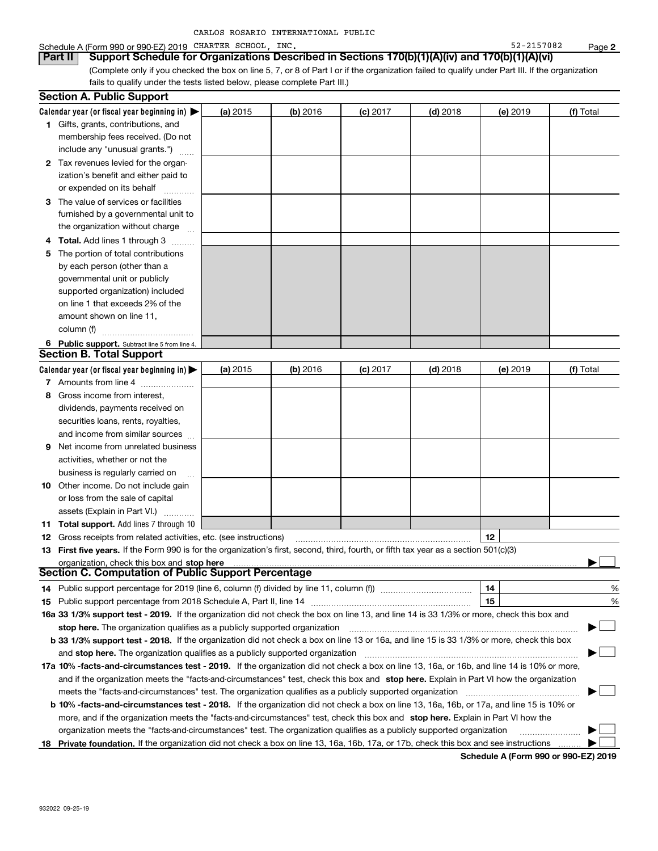| CARLOS ROSARIO INTERNATIONAL PUBLIC |  |  |  |  |
|-------------------------------------|--|--|--|--|
|-------------------------------------|--|--|--|--|

#### Schedule A (Form 990 or 990-EZ) 2019 CHARTER SCHOOL,INC. 52-2157082 Page

(Complete only if you checked the box on line 5, 7, or 8 of Part I or if the organization failed to qualify under Part III. If the organization fails to qualify under the tests listed below, please complete Part III.) **Part II Support Schedule for Organizations Described in Sections 170(b)(1)(A)(iv) and 170(b)(1)(A)(vi)** 

|   | <b>Section A. Public Support</b>                                                                                                               |          |            |            |            |          |           |
|---|------------------------------------------------------------------------------------------------------------------------------------------------|----------|------------|------------|------------|----------|-----------|
|   | Calendar year (or fiscal year beginning in) $\blacktriangleright$                                                                              | (a) 2015 | $(b)$ 2016 | $(c)$ 2017 | $(d)$ 2018 | (e) 2019 | (f) Total |
|   | <b>1</b> Gifts, grants, contributions, and                                                                                                     |          |            |            |            |          |           |
|   | membership fees received. (Do not                                                                                                              |          |            |            |            |          |           |
|   | include any "unusual grants.")                                                                                                                 |          |            |            |            |          |           |
|   | 2 Tax revenues levied for the organ-                                                                                                           |          |            |            |            |          |           |
|   | ization's benefit and either paid to                                                                                                           |          |            |            |            |          |           |
|   | or expended on its behalf                                                                                                                      |          |            |            |            |          |           |
|   | 3 The value of services or facilities                                                                                                          |          |            |            |            |          |           |
|   | furnished by a governmental unit to                                                                                                            |          |            |            |            |          |           |
|   | the organization without charge                                                                                                                |          |            |            |            |          |           |
| 4 | <b>Total.</b> Add lines 1 through 3                                                                                                            |          |            |            |            |          |           |
| 5 | The portion of total contributions                                                                                                             |          |            |            |            |          |           |
|   | by each person (other than a                                                                                                                   |          |            |            |            |          |           |
|   | governmental unit or publicly                                                                                                                  |          |            |            |            |          |           |
|   | supported organization) included                                                                                                               |          |            |            |            |          |           |
|   | on line 1 that exceeds 2% of the                                                                                                               |          |            |            |            |          |           |
|   | amount shown on line 11,                                                                                                                       |          |            |            |            |          |           |
|   | column (f)                                                                                                                                     |          |            |            |            |          |           |
|   | 6 Public support. Subtract line 5 from line 4.                                                                                                 |          |            |            |            |          |           |
|   | <b>Section B. Total Support</b>                                                                                                                |          |            |            |            |          |           |
|   | Calendar year (or fiscal year beginning in) $\blacktriangleright$                                                                              | (a) 2015 | $(b)$ 2016 | $(c)$ 2017 | $(d)$ 2018 | (e) 2019 | (f) Total |
|   | 7 Amounts from line 4                                                                                                                          |          |            |            |            |          |           |
| 8 | Gross income from interest,                                                                                                                    |          |            |            |            |          |           |
|   | dividends, payments received on                                                                                                                |          |            |            |            |          |           |
|   | securities loans, rents, royalties,                                                                                                            |          |            |            |            |          |           |
|   | and income from similar sources                                                                                                                |          |            |            |            |          |           |
| 9 | Net income from unrelated business                                                                                                             |          |            |            |            |          |           |
|   | activities, whether or not the                                                                                                                 |          |            |            |            |          |           |
|   | business is regularly carried on                                                                                                               |          |            |            |            |          |           |
|   | <b>10</b> Other income. Do not include gain                                                                                                    |          |            |            |            |          |           |
|   | or loss from the sale of capital                                                                                                               |          |            |            |            |          |           |
|   | assets (Explain in Part VI.)                                                                                                                   |          |            |            |            |          |           |
|   | <b>11 Total support.</b> Add lines 7 through 10                                                                                                |          |            |            |            |          |           |
|   | <b>12</b> Gross receipts from related activities, etc. (see instructions)                                                                      |          |            |            |            | 12       |           |
|   | 13 First five years. If the Form 990 is for the organization's first, second, third, fourth, or fifth tax year as a section 501(c)(3)          |          |            |            |            |          |           |
|   | organization, check this box and stop here                                                                                                     |          |            |            |            |          |           |
|   | Section C. Computation of Public Support Percentage                                                                                            |          |            |            |            |          |           |
|   | 14 Public support percentage for 2019 (line 6, column (f) divided by line 11, column (f) <i>mummention</i>                                     |          |            |            |            | 14       | %         |
|   |                                                                                                                                                |          |            |            |            | 15       | %         |
|   | 16a 33 1/3% support test - 2019. If the organization did not check the box on line 13, and line 14 is 33 1/3% or more, check this box and      |          |            |            |            |          |           |
|   | stop here. The organization qualifies as a publicly supported organization                                                                     |          |            |            |            |          | $\Box$    |
|   | b 33 1/3% support test - 2018. If the organization did not check a box on line 13 or 16a, and line 15 is 33 1/3% or more, check this box       |          |            |            |            |          |           |
|   | and stop here. The organization qualifies as a publicly supported organization                                                                 |          |            |            |            |          |           |
|   | 17a 10% -facts-and-circumstances test - 2019. If the organization did not check a box on line 13, 16a, or 16b, and line 14 is 10% or more,     |          |            |            |            |          |           |
|   | and if the organization meets the "facts-and-circumstances" test, check this box and stop here. Explain in Part VI how the organization        |          |            |            |            |          |           |
|   | meets the "facts and circumstances" test. The organization qualifies as a publicly supported organization <i>manumumumumum</i>                 |          |            |            |            |          |           |
|   | <b>b 10% -facts-and-circumstances test - 2018.</b> If the organization did not check a box on line 13, 16a, 16b, or 17a, and line 15 is 10% or |          |            |            |            |          |           |
|   | more, and if the organization meets the "facts-and-circumstances" test, check this box and stop here. Explain in Part VI how the               |          |            |            |            |          |           |
|   | organization meets the "facts-and-circumstances" test. The organization qualifies as a publicly supported organization                         |          |            |            |            |          |           |
|   | 18 Private foundation. If the organization did not check a box on line 13, 16a, 16b, 17a, or 17b, check this box and see instructions          |          |            |            |            |          |           |

**Schedule A (Form 990 or 990-EZ) 2019**

**2**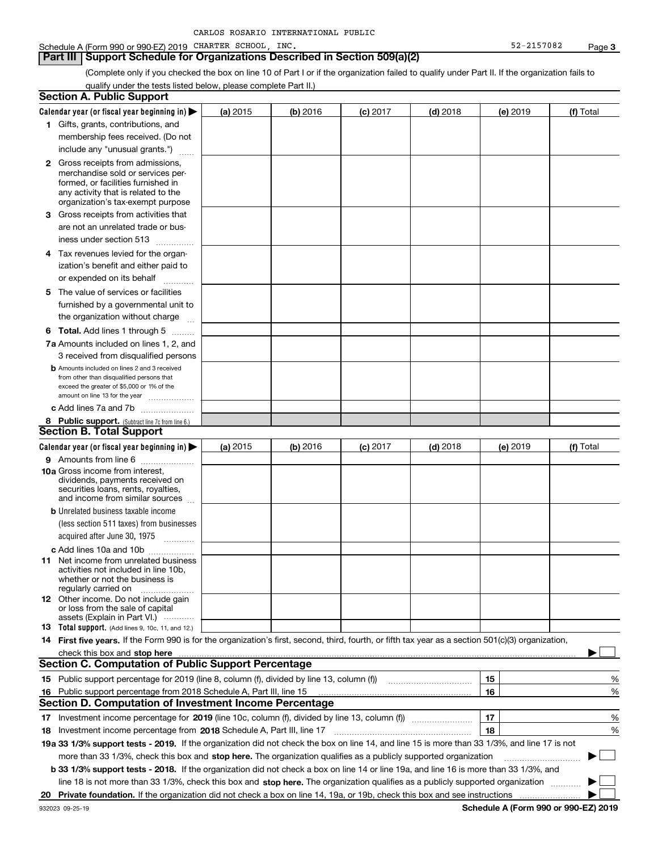| CARLOS ROSARIO INTERNATIONAL PUBLIC |  |
|-------------------------------------|--|
|-------------------------------------|--|

#### **Part III Support Schedule for Organizations Described in Section 509(a)(2)**

(Complete only if you checked the box on line 10 of Part I or if the organization failed to qualify under Part II. If the organization fails to qualify under the tests listed below, please complete Part II.)

|    | <b>Section A. Public Support</b>                                                                                                                                                                                                                                                            |          |          |            |            |          |           |
|----|---------------------------------------------------------------------------------------------------------------------------------------------------------------------------------------------------------------------------------------------------------------------------------------------|----------|----------|------------|------------|----------|-----------|
|    | Calendar year (or fiscal year beginning in) $\blacktriangleright$                                                                                                                                                                                                                           | (a) 2015 | (b) 2016 | $(c)$ 2017 | $(d)$ 2018 | (e) 2019 | (f) Total |
|    | 1 Gifts, grants, contributions, and                                                                                                                                                                                                                                                         |          |          |            |            |          |           |
|    | membership fees received. (Do not                                                                                                                                                                                                                                                           |          |          |            |            |          |           |
|    | include any "unusual grants.")                                                                                                                                                                                                                                                              |          |          |            |            |          |           |
|    | <b>2</b> Gross receipts from admissions,                                                                                                                                                                                                                                                    |          |          |            |            |          |           |
|    | merchandise sold or services per-                                                                                                                                                                                                                                                           |          |          |            |            |          |           |
|    | formed, or facilities furnished in                                                                                                                                                                                                                                                          |          |          |            |            |          |           |
|    | any activity that is related to the<br>organization's tax-exempt purpose                                                                                                                                                                                                                    |          |          |            |            |          |           |
|    | 3 Gross receipts from activities that                                                                                                                                                                                                                                                       |          |          |            |            |          |           |
|    | are not an unrelated trade or bus-                                                                                                                                                                                                                                                          |          |          |            |            |          |           |
|    | iness under section 513                                                                                                                                                                                                                                                                     |          |          |            |            |          |           |
|    | 4 Tax revenues levied for the organ-                                                                                                                                                                                                                                                        |          |          |            |            |          |           |
|    | ization's benefit and either paid to                                                                                                                                                                                                                                                        |          |          |            |            |          |           |
|    | or expended on its behalf<br>.                                                                                                                                                                                                                                                              |          |          |            |            |          |           |
|    | 5 The value of services or facilities                                                                                                                                                                                                                                                       |          |          |            |            |          |           |
|    | furnished by a governmental unit to                                                                                                                                                                                                                                                         |          |          |            |            |          |           |
|    | the organization without charge                                                                                                                                                                                                                                                             |          |          |            |            |          |           |
|    | <b>6 Total.</b> Add lines 1 through 5                                                                                                                                                                                                                                                       |          |          |            |            |          |           |
|    | 7a Amounts included on lines 1, 2, and                                                                                                                                                                                                                                                      |          |          |            |            |          |           |
|    | 3 received from disqualified persons                                                                                                                                                                                                                                                        |          |          |            |            |          |           |
|    | <b>b</b> Amounts included on lines 2 and 3 received                                                                                                                                                                                                                                         |          |          |            |            |          |           |
|    | from other than disqualified persons that                                                                                                                                                                                                                                                   |          |          |            |            |          |           |
|    | exceed the greater of \$5,000 or 1% of the<br>amount on line 13 for the year                                                                                                                                                                                                                |          |          |            |            |          |           |
|    | c Add lines 7a and 7b                                                                                                                                                                                                                                                                       |          |          |            |            |          |           |
|    | 8 Public support. (Subtract line 7c from line 6.)                                                                                                                                                                                                                                           |          |          |            |            |          |           |
|    | <b>Section B. Total Support</b>                                                                                                                                                                                                                                                             |          |          |            |            |          |           |
|    | Calendar year (or fiscal year beginning in)                                                                                                                                                                                                                                                 | (a) 2015 | (b) 2016 | $(c)$ 2017 | $(d)$ 2018 | (e) 2019 | (f) Total |
|    | 9 Amounts from line 6                                                                                                                                                                                                                                                                       |          |          |            |            |          |           |
|    | <b>10a</b> Gross income from interest,                                                                                                                                                                                                                                                      |          |          |            |            |          |           |
|    | dividends, payments received on                                                                                                                                                                                                                                                             |          |          |            |            |          |           |
|    | securities loans, rents, royalties,<br>and income from similar sources                                                                                                                                                                                                                      |          |          |            |            |          |           |
|    | <b>b</b> Unrelated business taxable income                                                                                                                                                                                                                                                  |          |          |            |            |          |           |
|    | (less section 511 taxes) from businesses                                                                                                                                                                                                                                                    |          |          |            |            |          |           |
|    | acquired after June 30, 1975 [10001]                                                                                                                                                                                                                                                        |          |          |            |            |          |           |
|    | c Add lines 10a and 10b                                                                                                                                                                                                                                                                     |          |          |            |            |          |           |
|    | 11 Net income from unrelated business                                                                                                                                                                                                                                                       |          |          |            |            |          |           |
|    | activities not included in line 10b,                                                                                                                                                                                                                                                        |          |          |            |            |          |           |
|    | whether or not the business is<br>regularly carried on                                                                                                                                                                                                                                      |          |          |            |            |          |           |
|    | <b>12</b> Other income. Do not include gain                                                                                                                                                                                                                                                 |          |          |            |            |          |           |
|    | or loss from the sale of capital                                                                                                                                                                                                                                                            |          |          |            |            |          |           |
|    | assets (Explain in Part VI.)                                                                                                                                                                                                                                                                |          |          |            |            |          |           |
|    | <b>13</b> Total support. (Add lines 9, 10c, 11, and 12.)                                                                                                                                                                                                                                    |          |          |            |            |          |           |
|    | 14 First five years. If the Form 990 is for the organization's first, second, third, fourth, or fifth tax year as a section 501(c)(3) organization,                                                                                                                                         |          |          |            |            |          |           |
|    | check this box and stop here with the continuum control to the control of the state of the state of the control of the state of the control of the control of the control of the control of the control of the control of the<br><b>Section C. Computation of Public Support Percentage</b> |          |          |            |            |          |           |
|    |                                                                                                                                                                                                                                                                                             |          |          |            |            |          |           |
|    | 15 Public support percentage for 2019 (line 8, column (f), divided by line 13, column (f))                                                                                                                                                                                                  |          |          |            |            | 15<br>16 | ℀         |
|    | 16 Public support percentage from 2018 Schedule A, Part III, line 15<br><b>Section D. Computation of Investment Income Percentage</b>                                                                                                                                                       |          |          |            |            |          | %         |
|    |                                                                                                                                                                                                                                                                                             |          |          |            |            |          |           |
|    | 17 Investment income percentage for 2019 (line 10c, column (f), divided by line 13, column (f))                                                                                                                                                                                             |          |          |            |            | 17       | %         |
|    | <b>18</b> Investment income percentage from <b>2018</b> Schedule A, Part III, line 17                                                                                                                                                                                                       |          |          |            |            | 18       | %         |
|    | 19a 33 1/3% support tests - 2019. If the organization did not check the box on line 14, and line 15 is more than 33 1/3%, and line 17 is not                                                                                                                                                |          |          |            |            |          |           |
|    | more than 33 1/3%, check this box and stop here. The organization qualifies as a publicly supported organization                                                                                                                                                                            |          |          |            |            |          |           |
|    | b 33 1/3% support tests - 2018. If the organization did not check a box on line 14 or line 19a, and line 16 is more than 33 1/3%, and                                                                                                                                                       |          |          |            |            |          |           |
|    | line 18 is not more than 33 1/3%, check this box and stop here. The organization qualifies as a publicly supported organization                                                                                                                                                             |          |          |            |            |          |           |
| 20 |                                                                                                                                                                                                                                                                                             |          |          |            |            |          |           |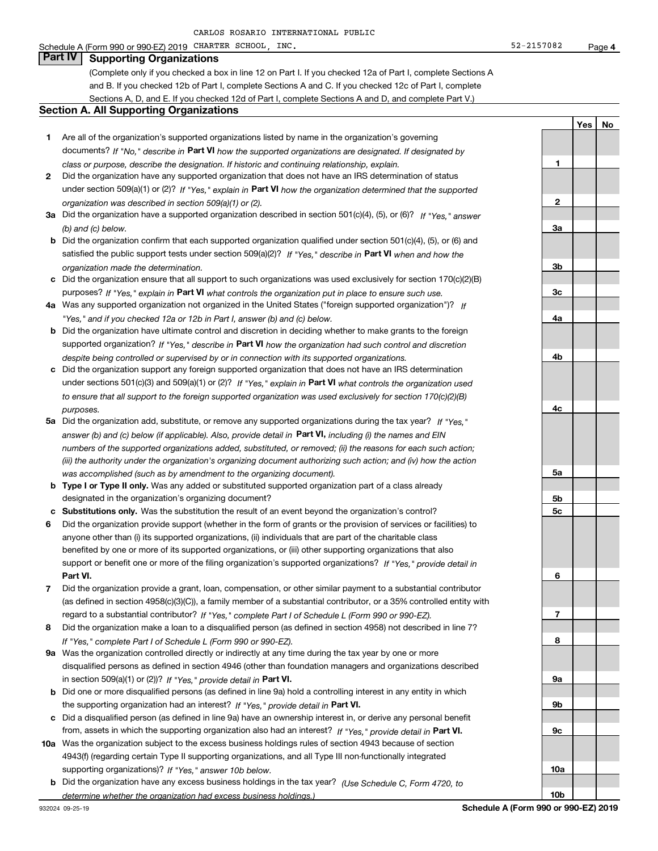#### Schedule A (Form 990 or 990-EZ) 2019 CHARTER SCHOOL,INC. 52-2157082 Page

### **Part IV Supporting Organizations**

(Complete only if you checked a box in line 12 on Part I. If you checked 12a of Part I, complete Sections A and B. If you checked 12b of Part I, complete Sections A and C. If you checked 12c of Part I, complete Sections A, D, and E. If you checked 12d of Part I, complete Sections A and D, and complete Part V.)

#### **Section A. All Supporting Organizations**

- **1** Are all of the organization's supported organizations listed by name in the organization's governing documents? If "No," describe in **Part VI** how the supported organizations are designated. If designated by *class or purpose, describe the designation. If historic and continuing relationship, explain.*
- **2** Did the organization have any supported organization that does not have an IRS determination of status under section 509(a)(1) or (2)? If "Yes," explain in Part VI how the organization determined that the supported *organization was described in section 509(a)(1) or (2).*
- **3a** Did the organization have a supported organization described in section 501(c)(4), (5), or (6)? If "Yes," answer *(b) and (c) below.*
- **b** Did the organization confirm that each supported organization qualified under section 501(c)(4), (5), or (6) and satisfied the public support tests under section 509(a)(2)? If "Yes," describe in **Part VI** when and how the *organization made the determination.*
- **c**Did the organization ensure that all support to such organizations was used exclusively for section 170(c)(2)(B) purposes? If "Yes," explain in **Part VI** what controls the organization put in place to ensure such use.
- **4a***If* Was any supported organization not organized in the United States ("foreign supported organization")? *"Yes," and if you checked 12a or 12b in Part I, answer (b) and (c) below.*
- **b** Did the organization have ultimate control and discretion in deciding whether to make grants to the foreign supported organization? If "Yes," describe in **Part VI** how the organization had such control and discretion *despite being controlled or supervised by or in connection with its supported organizations.*
- **c** Did the organization support any foreign supported organization that does not have an IRS determination under sections 501(c)(3) and 509(a)(1) or (2)? If "Yes," explain in **Part VI** what controls the organization used *to ensure that all support to the foreign supported organization was used exclusively for section 170(c)(2)(B) purposes.*
- **5a***If "Yes,"* Did the organization add, substitute, or remove any supported organizations during the tax year? answer (b) and (c) below (if applicable). Also, provide detail in **Part VI,** including (i) the names and EIN *numbers of the supported organizations added, substituted, or removed; (ii) the reasons for each such action; (iii) the authority under the organization's organizing document authorizing such action; and (iv) how the action was accomplished (such as by amendment to the organizing document).*
- **b** Type I or Type II only. Was any added or substituted supported organization part of a class already designated in the organization's organizing document?
- **cSubstitutions only.**  Was the substitution the result of an event beyond the organization's control?
- **6** Did the organization provide support (whether in the form of grants or the provision of services or facilities) to **Part VI.** *If "Yes," provide detail in* support or benefit one or more of the filing organization's supported organizations? anyone other than (i) its supported organizations, (ii) individuals that are part of the charitable class benefited by one or more of its supported organizations, or (iii) other supporting organizations that also
- **7**Did the organization provide a grant, loan, compensation, or other similar payment to a substantial contributor *If "Yes," complete Part I of Schedule L (Form 990 or 990-EZ).* regard to a substantial contributor? (as defined in section 4958(c)(3)(C)), a family member of a substantial contributor, or a 35% controlled entity with
- **8** Did the organization make a loan to a disqualified person (as defined in section 4958) not described in line 7? *If "Yes," complete Part I of Schedule L (Form 990 or 990-EZ).*
- **9a** Was the organization controlled directly or indirectly at any time during the tax year by one or more in section 509(a)(1) or (2))? If "Yes," *provide detail in* <code>Part VI.</code> disqualified persons as defined in section 4946 (other than foundation managers and organizations described
- **b** Did one or more disqualified persons (as defined in line 9a) hold a controlling interest in any entity in which the supporting organization had an interest? If "Yes," provide detail in P**art VI**.
- **c**Did a disqualified person (as defined in line 9a) have an ownership interest in, or derive any personal benefit from, assets in which the supporting organization also had an interest? If "Yes," provide detail in P**art VI.**
- **10a** Was the organization subject to the excess business holdings rules of section 4943 because of section supporting organizations)? If "Yes," answer 10b below. 4943(f) (regarding certain Type II supporting organizations, and all Type III non-functionally integrated
- **b** Did the organization have any excess business holdings in the tax year? (Use Schedule C, Form 4720, to *determine whether the organization had excess business holdings.)*

**1**

**2**

**3a**

**3b**

**3c**

**4a**

**4b**

**4c**

**5a**

**5b5c**

**6**

**7**

**8**

**9a**

**9b**

**9c**

**10a**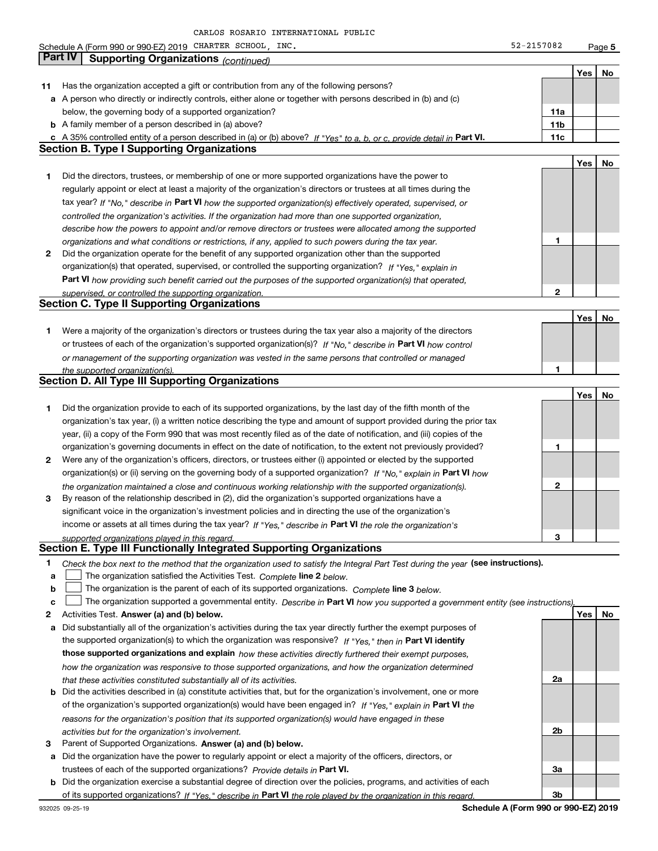**5Yes No 11** Has the organization accepted a gift or contribution from any of the following persons? **a** A person who directly or indirectly controls, either alone or together with persons described in (b) and (c) **b** A family member of a person described in (a) above? **c** A 35% controlled entity of a person described in (a) or (b) above? If "Yes" to a, b, or c, provide detail in Part VI. **11c 11a11bYes No 1** Did the directors, trustees, or membership of one or more supported organizations have the power to **2** Did the organization operate for the benefit of any supported organization other than the supported tax year? If "No," describe in Part VI how the supported organization(s) effectively operated, supervised, or **12Part VI**  *how providing such benefit carried out the purposes of the supported organization(s) that operated,* **Yes No 1** Were a majority of the organization's directors or trustees during the tax year also a majority of the directors or trustees of each of the organization's supported organization(s)? If "No," describe in **Part VI** how control **1Yes No 12** Were any of the organization's officers, directors, or trustees either (i) appointed or elected by the supported **3123**organization(s) or (ii) serving on the governing body of a supported organization? If "No," explain in **Part VI** how income or assets at all times during the tax year? If "Yes," describe in **Part VI** the role the organization's **12Answer (a) and (b) below. Yes No** Activities Test. Check the box next to the method that the organization used to satisfy the Integral Part Test during the year (see instructions). **abclinupy** The organization satisfied the Activities Test. Complete line 2 below. The organization is the parent of each of its supported organizations. *Complete* line 3 *below.* The organization supported a governmental entity. *Describe in* Part **VI** how you supported a government entity (see instructions), **a** Did substantially all of the organization's activities during the tax year directly further the exempt purposes of **b** Did the activities described in (a) constitute activities that, but for the organization's involvement, one or more the supported organization(s) to which the organization was responsive? If "Yes," then in **Part VI identify those supported organizations and explain**  *how these activities directly furthered their exempt purposes,* **2a** of the organization's supported organization(s) would have been engaged in? If "Yes," explain in **Part VI** the *controlled the organization's activities. If the organization had more than one supported organization, describe how the powers to appoint and/or remove directors or trustees were allocated among the supported organizations and what conditions or restrictions, if any, applied to such powers during the tax year. If "Yes," explain in* organization(s) that operated, supervised, or controlled the supporting organization? *supervised, or controlled the supporting organization. or management of the supporting organization was vested in the same persons that controlled or managed the supported organization(s). the organization maintained a close and continuous working relationship with the supported organization(s). supported organizations played in this regard. how the organization was responsive to those supported organizations, and how the organization determined that these activities constituted substantially all of its activities.* Schedule A (Form 990 or 990-EZ) 2019 CHARTER SCHOOL,INC. 52-2157082 Page below, the governing body of a supported organization? regularly appoint or elect at least a majority of the organization's directors or trustees at all times during the Did the organization provide to each of its supported organizations, by the last day of the fifth month of the organization's tax year, (i) a written notice describing the type and amount of support provided during the prior tax year, (ii) a copy of the Form 990 that was most recently filed as of the date of notification, and (iii) copies of the organization's governing documents in effect on the date of notification, to the extent not previously provided? By reason of the relationship described in (2), did the organization's supported organizations have a significant voice in the organization's investment policies and in directing the use of the organization's **Part IV Supporting Organizations** *(continued)* **Section B. Type I Supporting Organizations Section C. Type II Supporting Organizations Section D. All Type III Supporting Organizations Section E. Type III Functionally Integrated Supporting Organizations**  $\mathcal{L}^{\text{max}}$  $\mathcal{L}^{\text{max}}$ 

**3** Parent of Supported Organizations. Answer (a) and (b) below. *activities but for the organization's involvement.*

**a** Did the organization have the power to regularly appoint or elect a majority of the officers, directors, or trustees of each of the supported organizations? *Provide details in* Part VI.

*reasons for the organization's position that its supported organization(s) would have engaged in these*

**b** Did the organization exercise a substantial degree of direction over the policies, programs, and activities of each of its supported organizations? If "Yes," describe in Part VI the role played by the organization in this regard.

932025 09-25-19

**Schedule A (Form 990 or 990-EZ) 2019**

**2b**

**3a**

**3b**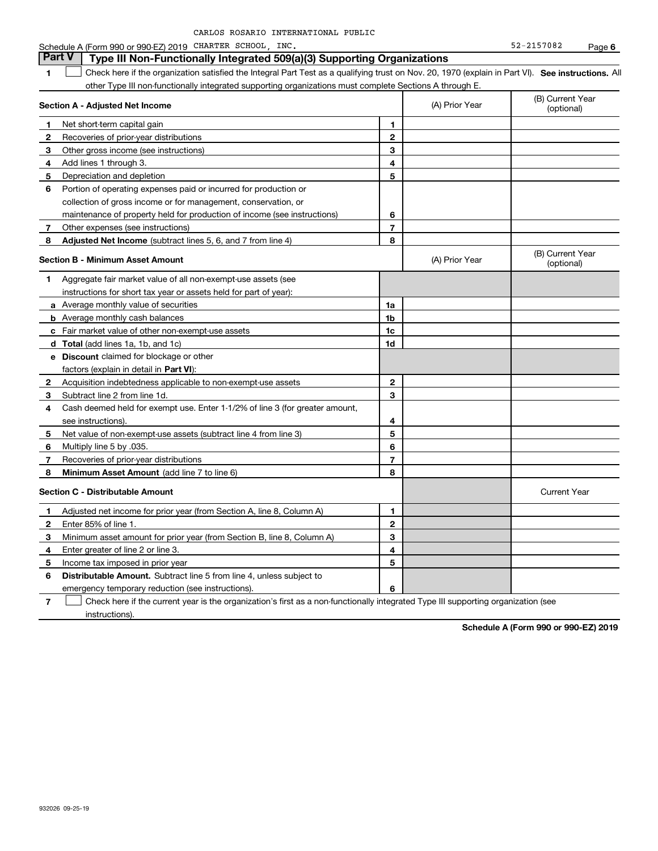| CARLOS ROSARIO INTERNATIONAL PUBLIC |  |
|-------------------------------------|--|
|-------------------------------------|--|

#### **1SEP 10. See instructions.** All antegral Part Test as a qualifying trust on Nov. 20, 1970 (explain in Part VI). See instructions. All **Section A - Adjusted Net Income 123** Other gross income (see instructions) **4**Add lines 1 through 3. **56** Portion of operating expenses paid or incurred for production or **7** Other expenses (see instructions) **8** Adjusted Net Income (subtract lines 5, 6, and 7 from line 4) **8 8 1234567Section B - Minimum Asset Amount 1**Aggregate fair market value of all non-exempt-use assets (see **2**Acquisition indebtedness applicable to non-exempt-use assets **3** Subtract line 2 from line 1d. **4**Cash deemed held for exempt use. Enter 1-1/2% of line 3 (for greater amount, **5** Net value of non-exempt-use assets (subtract line 4 from line 3) **678a** Average monthly value of securities **b** Average monthly cash balances **c**Fair market value of other non-exempt-use assets **dTotal**  (add lines 1a, 1b, and 1c) **eDiscount** claimed for blockage or other **1a1b1c1d2345678**factors (explain in detail in **Part VI**): **Minimum Asset Amount**  (add line 7 to line 6) **Section C - Distributable Amount 123456123456Distributable Amount.** Subtract line 5 from line 4, unless subject to Schedule A (Form 990 or 990-EZ) 2019 CHARTER SCHOOL,INC. 52-2157082 Page other Type III non-functionally integrated supporting organizations must complete Sections A through E. (B) Current Year (optional)(A) Prior Year Net short-term capital gain Recoveries of prior-year distributions Depreciation and depletion collection of gross income or for management, conservation, or maintenance of property held for production of income (see instructions) (B) Current Year (optional)(A) Prior Year instructions for short tax year or assets held for part of year): see instructions). Multiply line 5 by .035. Recoveries of prior-year distributions Current Year Adjusted net income for prior year (from Section A, line 8, Column A) Enter 85% of line 1. Minimum asset amount for prior year (from Section B, line 8, Column A) Enter greater of line 2 or line 3. Income tax imposed in prior year emergency temporary reduction (see instructions). **Part V** Type III Non-Functionally Integrated 509(a)(3) Supporting Organizations  $\mathcal{L}^{\text{max}}$

**7**Check here if the current year is the organization's first as a non-functionally integrated Type III supporting organization (see instructions). $\mathcal{L}^{\text{max}}$ 

**Schedule A (Form 990 or 990-EZ) 2019**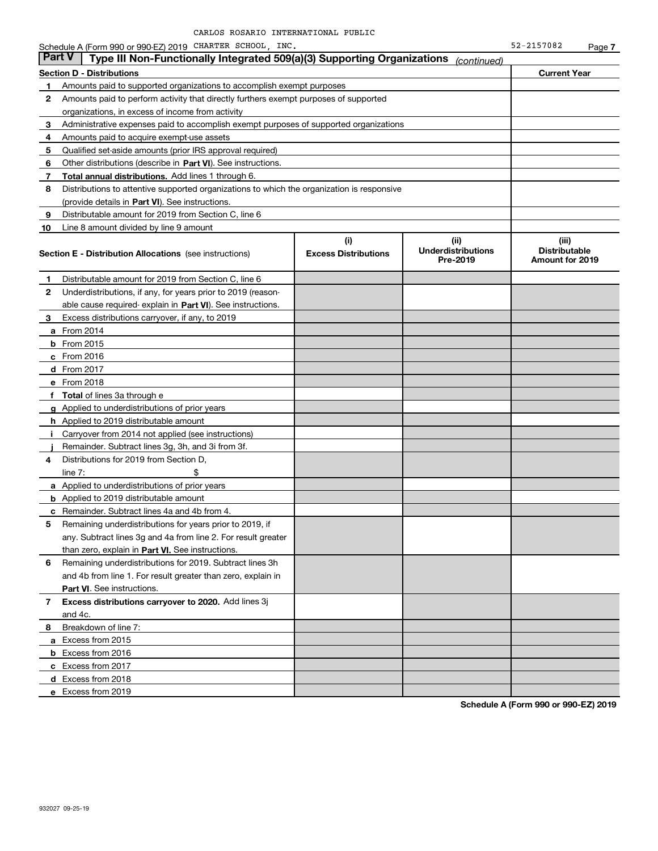|               | Schedule A (Form 990 or 990-EZ) 2019 CHARTER SCHOOL, INC.                                  |                                    |                                               | 52-2157082                                       | Page 7 |
|---------------|--------------------------------------------------------------------------------------------|------------------------------------|-----------------------------------------------|--------------------------------------------------|--------|
| <b>Part V</b> | Type III Non-Functionally Integrated 509(a)(3) Supporting Organizations                    |                                    | (continued)                                   |                                                  |        |
|               | <b>Section D - Distributions</b>                                                           |                                    |                                               | <b>Current Year</b>                              |        |
| 1             | Amounts paid to supported organizations to accomplish exempt purposes                      |                                    |                                               |                                                  |        |
| 2             | Amounts paid to perform activity that directly furthers exempt purposes of supported       |                                    |                                               |                                                  |        |
|               | organizations, in excess of income from activity                                           |                                    |                                               |                                                  |        |
| 3             | Administrative expenses paid to accomplish exempt purposes of supported organizations      |                                    |                                               |                                                  |        |
| 4             | Amounts paid to acquire exempt-use assets                                                  |                                    |                                               |                                                  |        |
| 5             | Qualified set-aside amounts (prior IRS approval required)                                  |                                    |                                               |                                                  |        |
| 6             | Other distributions (describe in Part VI). See instructions.                               |                                    |                                               |                                                  |        |
| 7             | <b>Total annual distributions.</b> Add lines 1 through 6.                                  |                                    |                                               |                                                  |        |
| 8             | Distributions to attentive supported organizations to which the organization is responsive |                                    |                                               |                                                  |        |
|               | (provide details in Part VI). See instructions.                                            |                                    |                                               |                                                  |        |
| 9             | Distributable amount for 2019 from Section C, line 6                                       |                                    |                                               |                                                  |        |
| 10            | Line 8 amount divided by line 9 amount                                                     |                                    |                                               |                                                  |        |
|               | <b>Section E - Distribution Allocations</b> (see instructions)                             | (i)<br><b>Excess Distributions</b> | (ii)<br><b>Underdistributions</b><br>Pre-2019 | (iii)<br><b>Distributable</b><br>Amount for 2019 |        |
| 1.            | Distributable amount for 2019 from Section C, line 6                                       |                                    |                                               |                                                  |        |
| 2             | Underdistributions, if any, for years prior to 2019 (reason-                               |                                    |                                               |                                                  |        |
|               | able cause required-explain in Part VI). See instructions.                                 |                                    |                                               |                                                  |        |
| 3             | Excess distributions carryover, if any, to 2019                                            |                                    |                                               |                                                  |        |
|               | a From 2014                                                                                |                                    |                                               |                                                  |        |
|               | <b>b</b> From 2015                                                                         |                                    |                                               |                                                  |        |
|               | $c$ From 2016                                                                              |                                    |                                               |                                                  |        |
|               | <b>d</b> From 2017                                                                         |                                    |                                               |                                                  |        |
|               | e From 2018                                                                                |                                    |                                               |                                                  |        |
|               | f Total of lines 3a through e                                                              |                                    |                                               |                                                  |        |
|               | g Applied to underdistributions of prior years                                             |                                    |                                               |                                                  |        |
|               | <b>h</b> Applied to 2019 distributable amount                                              |                                    |                                               |                                                  |        |
| Ť             | Carryover from 2014 not applied (see instructions)                                         |                                    |                                               |                                                  |        |
|               | Remainder. Subtract lines 3g, 3h, and 3i from 3f.                                          |                                    |                                               |                                                  |        |
| 4             | Distributions for 2019 from Section D,                                                     |                                    |                                               |                                                  |        |
|               | \$<br>line $7:$                                                                            |                                    |                                               |                                                  |        |
|               | <b>a</b> Applied to underdistributions of prior years                                      |                                    |                                               |                                                  |        |
|               | <b>b</b> Applied to 2019 distributable amount                                              |                                    |                                               |                                                  |        |
|               | <b>c</b> Remainder. Subtract lines 4a and 4b from 4.                                       |                                    |                                               |                                                  |        |
|               | Remaining underdistributions for years prior to 2019, if                                   |                                    |                                               |                                                  |        |
|               | any. Subtract lines 3g and 4a from line 2. For result greater                              |                                    |                                               |                                                  |        |
|               | than zero, explain in Part VI. See instructions.                                           |                                    |                                               |                                                  |        |
| 6             | Remaining underdistributions for 2019. Subtract lines 3h                                   |                                    |                                               |                                                  |        |
|               | and 4b from line 1. For result greater than zero, explain in                               |                                    |                                               |                                                  |        |
|               | Part VI. See instructions.                                                                 |                                    |                                               |                                                  |        |
| 7             | Excess distributions carryover to 2020. Add lines 3j                                       |                                    |                                               |                                                  |        |
|               | and 4c.                                                                                    |                                    |                                               |                                                  |        |
| 8             | Breakdown of line 7:                                                                       |                                    |                                               |                                                  |        |
|               | a Excess from 2015                                                                         |                                    |                                               |                                                  |        |
|               | <b>b</b> Excess from 2016                                                                  |                                    |                                               |                                                  |        |
|               | c Excess from 2017                                                                         |                                    |                                               |                                                  |        |
|               | d Excess from 2018                                                                         |                                    |                                               |                                                  |        |
|               | e Excess from 2019                                                                         |                                    |                                               |                                                  |        |
|               |                                                                                            |                                    |                                               |                                                  |        |

**Schedule A (Form 990 or 990-EZ) 2019**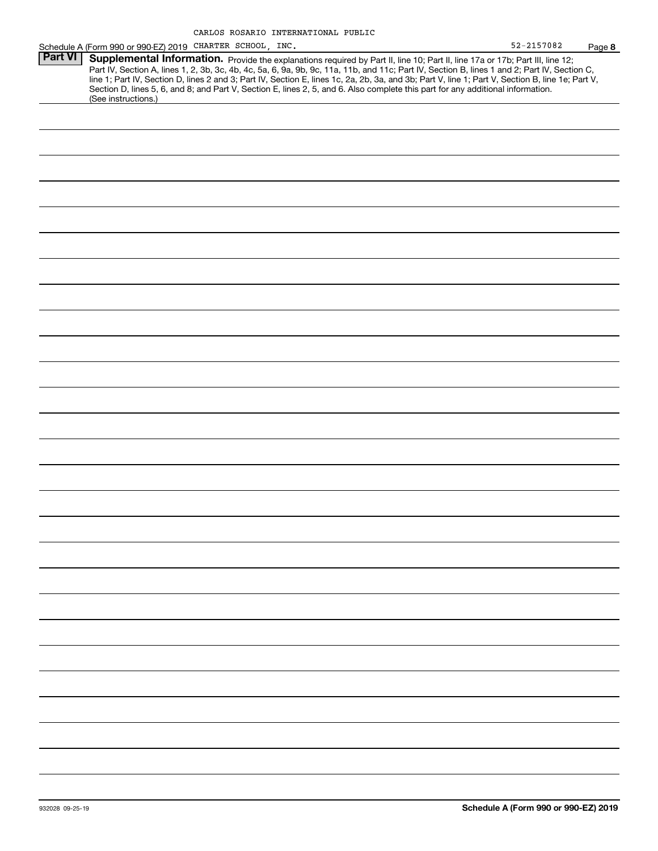| 52-2157082 | Page 8 |
|------------|--------|
|------------|--------|

|                | Schedule A (Form 990 or 990-EZ) 2019 CHARTER SCHOOL , INC.                                                                                       | 52-2157082 | Page |
|----------------|--------------------------------------------------------------------------------------------------------------------------------------------------|------------|------|
| <b>Part VI</b> | Supplemental Information. Provide the explanations required by Part II, line 10; Part II, line 17a or 17b; Part III, line 12;                    |            |      |
|                | Part IV, Section A, lines 1, 2, 3b, 3c, 4b, 4c, 5a, 6, 9a, 9b, 9c, 11a, 11b, and 11c; Part IV, Section B, lines 1 and 2; Part IV, Section C,     |            |      |
|                | line 1; Part IV, Section D, lines 2 and 3; Part IV, Section E, lines 1c, 2a, 2b, 3a, and 3b; Part V, line 1; Part V, Section B, line 1e; Part V, |            |      |
|                | Section D, lines 5, 6, and 8; and Part V, Section E, lines 2, 5, and 6. Also complete this part for any additional information.                  |            |      |
|                | (See instructions.)                                                                                                                              |            |      |
|                |                                                                                                                                                  |            |      |
|                |                                                                                                                                                  |            |      |
|                |                                                                                                                                                  |            |      |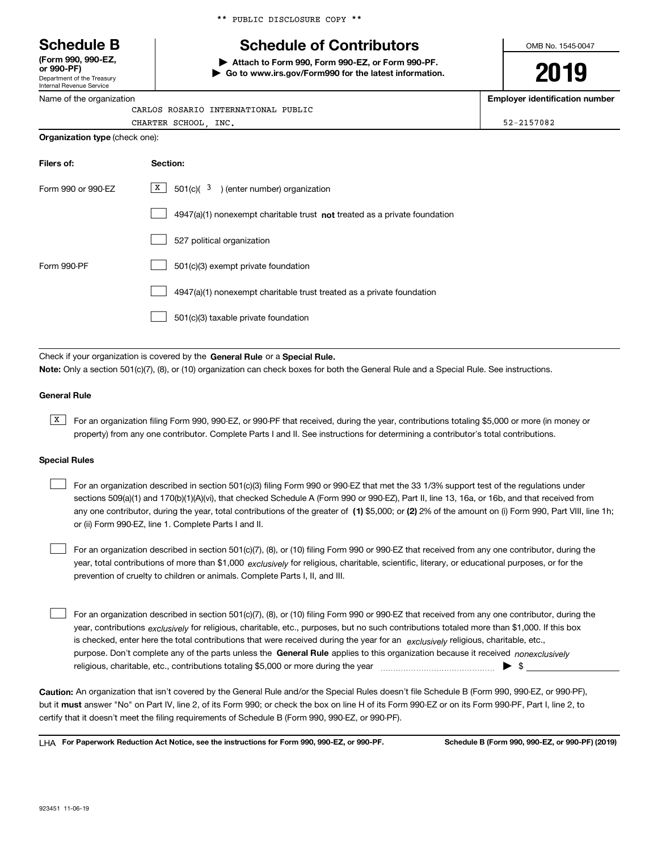\*\* PUBLIC DISCLOSURE COPY \*\*

# **Schedule B Schedule of Contributors**

**| Attach to Form 990, Form 990-EZ, or Form 990-PF. | Go to www.irs.gov/Form990 for the latest information.** OMB No. 1545-0047

**2019**

**Employer identification number**

| Name of the organization              | <b>Employer identific</b> |
|---------------------------------------|---------------------------|
| CARLOS ROSARIO INTERNATIONAL PUBLIC   |                           |
| CHARTER SCHOOL INC.                   | 52-2157082                |
| <b>Organization type (check one):</b> |                           |

| Filers of:         | Section:                                                                           |
|--------------------|------------------------------------------------------------------------------------|
| Form 990 or 990-EZ | $X$ 501(c)( 3) (enter number) organization                                         |
|                    | $4947(a)(1)$ nonexempt charitable trust <b>not</b> treated as a private foundation |
|                    | 527 political organization                                                         |
| Form 990-PF        | 501(c)(3) exempt private foundation                                                |
|                    | 4947(a)(1) nonexempt charitable trust treated as a private foundation              |
|                    | 501(c)(3) taxable private foundation                                               |

Check if your organization is covered by the **General Rule** or a **Special Rule. Note:**  Only a section 501(c)(7), (8), or (10) organization can check boxes for both the General Rule and a Special Rule. See instructions.

#### **General Rule**

Department of the Treasury Internal Revenue Service

**(Form 990, 990-EZ, or 990-PF)**

> $\overline{X}$  For an organization filing Form 990, 990-EZ, or 990-PF that received, during the year, contributions totaling \$5,000 or more (in money or property) from any one contributor. Complete Parts I and II. See instructions for determining a contributor's total contributions.

#### **Special Rules**

| For an organization described in section 501(c)(3) filing Form 990 or 990-EZ that met the 33 1/3% support test of the regulations under               |
|-------------------------------------------------------------------------------------------------------------------------------------------------------|
| sections 509(a)(1) and 170(b)(1)(A)(vi), that checked Schedule A (Form 990 or 990-EZ), Part II, line 13, 16a, or 16b, and that received from          |
| any one contributor, during the year, total contributions of the greater of (1) \$5,000; or (2) 2% of the amount on (i) Form 990, Part VIII, line 1h; |
| or (ii) Form 990-EZ, line 1. Complete Parts I and II.                                                                                                 |

year, total contributions of more than \$1,000 *exclusively* for religious, charitable, scientific, literary, or educational purposes, or for the For an organization described in section 501(c)(7), (8), or (10) filing Form 990 or 990-EZ that received from any one contributor, during the prevention of cruelty to children or animals. Complete Parts I, II, and III.  $\mathcal{L}^{\text{max}}$ 

purpose. Don't complete any of the parts unless the **General Rule** applies to this organization because it received *nonexclusively* year, contributions <sub>exclusively</sub> for religious, charitable, etc., purposes, but no such contributions totaled more than \$1,000. If this box is checked, enter here the total contributions that were received during the year for an  $\;$ exclusively religious, charitable, etc., For an organization described in section 501(c)(7), (8), or (10) filing Form 990 or 990-EZ that received from any one contributor, during the religious, charitable, etc., contributions totaling \$5,000 or more during the year  $\Box$ — $\Box$  =  $\Box$  $\mathcal{L}^{\text{max}}$ 

**Caution:**  An organization that isn't covered by the General Rule and/or the Special Rules doesn't file Schedule B (Form 990, 990-EZ, or 990-PF),  **must** but it answer "No" on Part IV, line 2, of its Form 990; or check the box on line H of its Form 990-EZ or on its Form 990-PF, Part I, line 2, to certify that it doesn't meet the filing requirements of Schedule B (Form 990, 990-EZ, or 990-PF).

**For Paperwork Reduction Act Notice, see the instructions for Form 990, 990-EZ, or 990-PF. Schedule B (Form 990, 990-EZ, or 990-PF) (2019)** LHA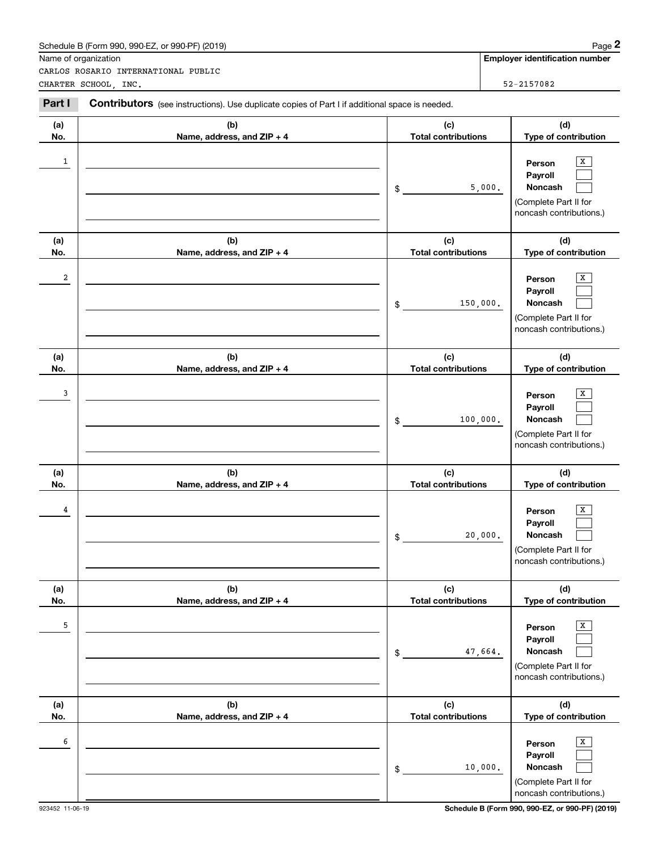|                      | Schedule B (Form 990, 990-EZ, or 990-PF) (2019)                                                |                                   | Page 2                                                                                                 |
|----------------------|------------------------------------------------------------------------------------------------|-----------------------------------|--------------------------------------------------------------------------------------------------------|
| Name of organization | CARLOS ROSARIO INTERNATIONAL PUBLIC                                                            |                                   | <b>Employer identification number</b>                                                                  |
|                      | CHARTER SCHOOL, INC.                                                                           |                                   | 52-2157082                                                                                             |
| Part I               | Contributors (see instructions). Use duplicate copies of Part I if additional space is needed. |                                   |                                                                                                        |
| (a)<br>No.           | (b)<br>Name, address, and ZIP + 4                                                              | (c)<br><b>Total contributions</b> | (d)<br>Type of contribution                                                                            |
| 1                    |                                                                                                | \$                                | Х<br>Person<br>Payroll<br>5,000.<br><b>Noncash</b><br>(Complete Part II for<br>noncash contributions.) |
| (a)<br>No.           | (b)<br>Name, address, and ZIP + 4                                                              | (c)<br><b>Total contributions</b> | (d)<br>Type of contribution                                                                            |
| 2                    |                                                                                                | 150,000.<br>\$                    | х<br>Person<br>Payroll<br>Noncash<br>(Complete Part II for<br>noncash contributions.)                  |
| (a)<br>No.           | (b)<br>Name, address, and ZIP + 4                                                              | (c)<br><b>Total contributions</b> | (d)<br>Type of contribution                                                                            |
| 3                    |                                                                                                | 100,000.<br>\$                    | х<br>Person<br>Payroll<br>Noncash<br>(Complete Part II for<br>noncash contributions.)                  |
| (a)<br>No.           | (b)<br>Name, address, and ZIP + 4                                                              | (c)<br><b>Total contributions</b> | (d)<br>Type of contribution                                                                            |
| 4                    |                                                                                                | \$                                | х<br>Person<br>Payroll<br>20,000.<br>Noncash<br>(Complete Part II for<br>noncash contributions.)       |
| (a)<br>No.           | (b)<br>Name, address, and ZIP + 4                                                              | (c)<br><b>Total contributions</b> | (d)<br>Type of contribution                                                                            |
| 5                    |                                                                                                | \$                                | Х<br>Person<br>Payroll<br>Noncash<br>47,664.<br>(Complete Part II for<br>noncash contributions.)       |
| (a)<br>No.           | (b)<br>Name, address, and ZIP + 4                                                              | (c)<br><b>Total contributions</b> | (d)<br>Type of contribution                                                                            |
| 6                    |                                                                                                | \$                                | Х<br>Person<br>Payroll<br>Noncash<br>10,000.<br>(Complete Part II for<br>noncash contributions.)       |

923452 11-06-19 **Schedule B (Form 990, 990-EZ, or 990-PF) (2019)**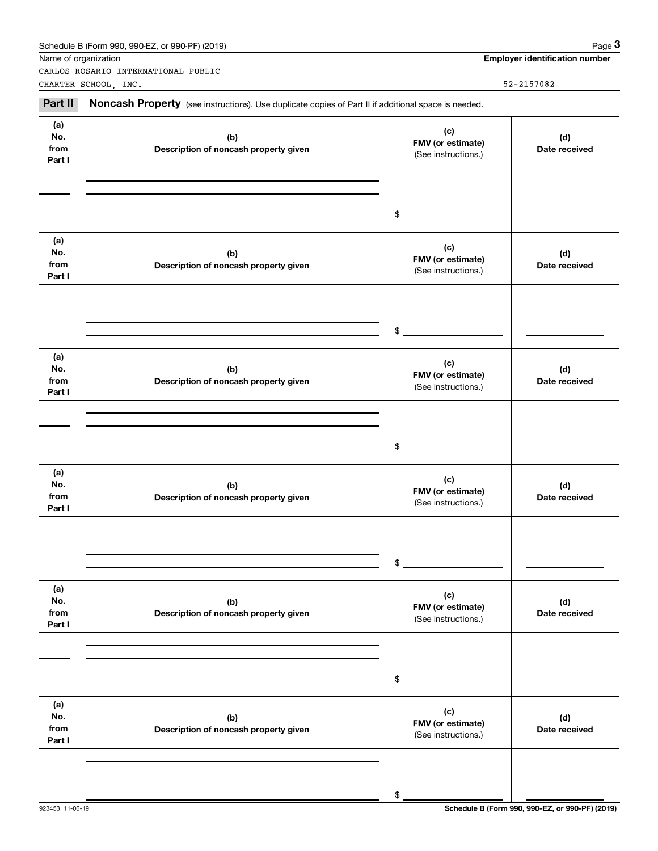|                                                                                                                                                                                                                         | Schedule B (Form 990, 990-EZ, or 990-PF) (2019)                                                     |                                                 | Page 3                                |
|-------------------------------------------------------------------------------------------------------------------------------------------------------------------------------------------------------------------------|-----------------------------------------------------------------------------------------------------|-------------------------------------------------|---------------------------------------|
|                                                                                                                                                                                                                         |                                                                                                     |                                                 | <b>Employer identification number</b> |
|                                                                                                                                                                                                                         | CARLOS ROSARIO INTERNATIONAL PUBLIC                                                                 |                                                 | 52-2157082                            |
|                                                                                                                                                                                                                         |                                                                                                     |                                                 |                                       |
|                                                                                                                                                                                                                         | Noncash Property (see instructions). Use duplicate copies of Part II if additional space is needed. |                                                 |                                       |
| (a)<br>No.<br>from<br>Part I                                                                                                                                                                                            | (b)<br>Description of noncash property given                                                        | (c)<br>FMV (or estimate)<br>(See instructions.) | (d)<br>Date received                  |
|                                                                                                                                                                                                                         |                                                                                                     | \$                                              |                                       |
| Name of organization<br>CHARTER SCHOOL, INC.<br>Part II<br>(a)<br>No.<br>from<br>Part I<br>(a)<br>No.<br>from<br>Part I<br>(a)<br>No.<br>from<br>Part I<br>(a)<br>No.<br>from<br>Part I<br>(a)<br>No.<br>from<br>Part I | (b)<br>Description of noncash property given                                                        | (c)<br>FMV (or estimate)<br>(See instructions.) | (d)<br>Date received                  |
|                                                                                                                                                                                                                         |                                                                                                     | \$                                              |                                       |
|                                                                                                                                                                                                                         | (b)<br>Description of noncash property given                                                        | (c)<br>FMV (or estimate)<br>(See instructions.) | (d)<br>Date received                  |
|                                                                                                                                                                                                                         |                                                                                                     | $\sim$                                          |                                       |
|                                                                                                                                                                                                                         | (b)<br>Description of noncash property given                                                        | (c)<br>FMV (or estimate)<br>(See instructions.) | (d)<br>Date received                  |
|                                                                                                                                                                                                                         |                                                                                                     | \$                                              |                                       |
|                                                                                                                                                                                                                         | (b)<br>Description of noncash property given                                                        | (c)<br>FMV (or estimate)<br>(See instructions.) | (d)<br>Date received                  |
|                                                                                                                                                                                                                         |                                                                                                     | \$                                              |                                       |
|                                                                                                                                                                                                                         | (b)<br>Description of noncash property given                                                        | (c)<br>FMV (or estimate)<br>(See instructions.) | (d)<br>Date received                  |
|                                                                                                                                                                                                                         |                                                                                                     | \$                                              |                                       |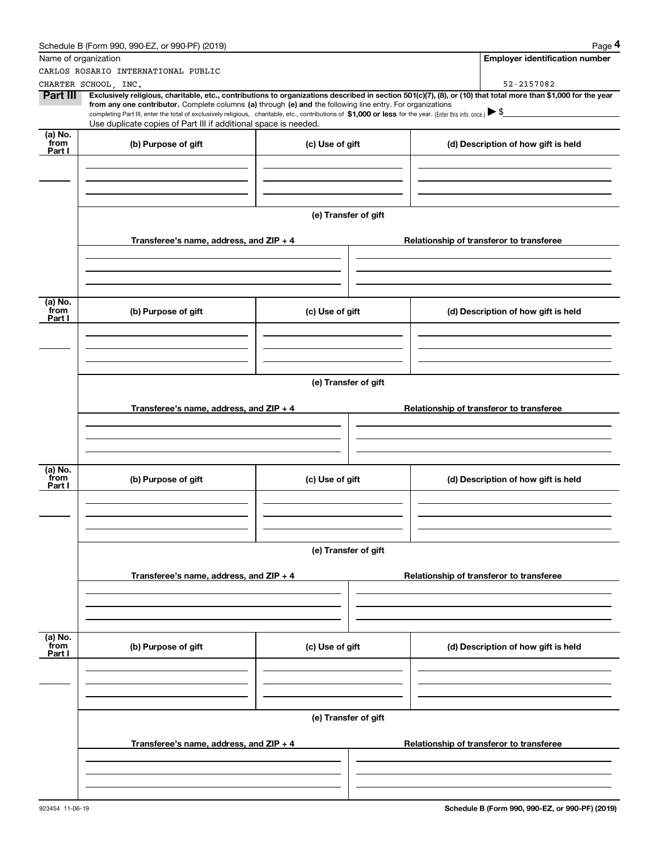|                 | Schedule B (Form 990, 990-EZ, or 990-PF) (2019)                                                                                                                                                                                                                              |                      |  | Page 4                                   |  |  |  |
|-----------------|------------------------------------------------------------------------------------------------------------------------------------------------------------------------------------------------------------------------------------------------------------------------------|----------------------|--|------------------------------------------|--|--|--|
|                 | Name of organization                                                                                                                                                                                                                                                         |                      |  | <b>Employer identification number</b>    |  |  |  |
|                 | CARLOS ROSARIO INTERNATIONAL PUBLIC                                                                                                                                                                                                                                          |                      |  |                                          |  |  |  |
| Part III        | CHARTER SCHOOL, INC.                                                                                                                                                                                                                                                         |                      |  | 52-2157082                               |  |  |  |
|                 | Exclusively religious, charitable, etc., contributions to organizations described in section 501(c)(7), (8), or (10) that total more than \$1,000 for the year<br>from any one contributor. Complete columns (a) through (e) and the following line entry. For organizations |                      |  |                                          |  |  |  |
|                 | completing Part III, enter the total of exclusively religious, charitable, etc., contributions of \$1,000 or less for the year. (Enter this info. once.) $\blacktriangleright$ \$<br>Use duplicate copies of Part III if additional space is needed.                         |                      |  |                                          |  |  |  |
| (a) No.         |                                                                                                                                                                                                                                                                              |                      |  |                                          |  |  |  |
| from<br>Part I  | (b) Purpose of gift                                                                                                                                                                                                                                                          | (c) Use of gift      |  | (d) Description of how gift is held      |  |  |  |
|                 |                                                                                                                                                                                                                                                                              |                      |  |                                          |  |  |  |
|                 |                                                                                                                                                                                                                                                                              |                      |  |                                          |  |  |  |
|                 |                                                                                                                                                                                                                                                                              |                      |  |                                          |  |  |  |
|                 |                                                                                                                                                                                                                                                                              | (e) Transfer of gift |  |                                          |  |  |  |
|                 |                                                                                                                                                                                                                                                                              |                      |  |                                          |  |  |  |
|                 | Transferee's name, address, and $ZIP + 4$                                                                                                                                                                                                                                    |                      |  | Relationship of transferor to transferee |  |  |  |
|                 |                                                                                                                                                                                                                                                                              |                      |  |                                          |  |  |  |
|                 |                                                                                                                                                                                                                                                                              |                      |  |                                          |  |  |  |
|                 |                                                                                                                                                                                                                                                                              |                      |  |                                          |  |  |  |
| (a) No.<br>from |                                                                                                                                                                                                                                                                              |                      |  |                                          |  |  |  |
| Part I          | (b) Purpose of gift                                                                                                                                                                                                                                                          | (c) Use of gift      |  | (d) Description of how gift is held      |  |  |  |
|                 |                                                                                                                                                                                                                                                                              |                      |  |                                          |  |  |  |
|                 |                                                                                                                                                                                                                                                                              |                      |  |                                          |  |  |  |
|                 |                                                                                                                                                                                                                                                                              |                      |  |                                          |  |  |  |
|                 | (e) Transfer of gift                                                                                                                                                                                                                                                         |                      |  |                                          |  |  |  |
|                 |                                                                                                                                                                                                                                                                              |                      |  |                                          |  |  |  |
|                 | Transferee's name, address, and $ZIP + 4$                                                                                                                                                                                                                                    |                      |  | Relationship of transferor to transferee |  |  |  |
|                 |                                                                                                                                                                                                                                                                              |                      |  |                                          |  |  |  |
|                 |                                                                                                                                                                                                                                                                              |                      |  |                                          |  |  |  |
|                 |                                                                                                                                                                                                                                                                              |                      |  |                                          |  |  |  |
| (a) No.<br>from | (b) Purpose of gift                                                                                                                                                                                                                                                          | (c) Use of gift      |  | (d) Description of how gift is held      |  |  |  |
| Part I          |                                                                                                                                                                                                                                                                              |                      |  |                                          |  |  |  |
|                 |                                                                                                                                                                                                                                                                              |                      |  |                                          |  |  |  |
|                 |                                                                                                                                                                                                                                                                              |                      |  |                                          |  |  |  |
|                 |                                                                                                                                                                                                                                                                              |                      |  |                                          |  |  |  |
|                 |                                                                                                                                                                                                                                                                              | (e) Transfer of gift |  |                                          |  |  |  |
|                 |                                                                                                                                                                                                                                                                              |                      |  |                                          |  |  |  |
|                 | Transferee's name, address, and $ZIP + 4$                                                                                                                                                                                                                                    |                      |  | Relationship of transferor to transferee |  |  |  |
|                 |                                                                                                                                                                                                                                                                              |                      |  |                                          |  |  |  |
|                 |                                                                                                                                                                                                                                                                              |                      |  |                                          |  |  |  |
|                 |                                                                                                                                                                                                                                                                              |                      |  |                                          |  |  |  |
| (a) No.<br>from | (b) Purpose of gift                                                                                                                                                                                                                                                          | (c) Use of gift      |  | (d) Description of how gift is held      |  |  |  |
| Part I          |                                                                                                                                                                                                                                                                              |                      |  |                                          |  |  |  |
|                 |                                                                                                                                                                                                                                                                              |                      |  |                                          |  |  |  |
|                 |                                                                                                                                                                                                                                                                              |                      |  |                                          |  |  |  |
|                 |                                                                                                                                                                                                                                                                              |                      |  |                                          |  |  |  |
|                 |                                                                                                                                                                                                                                                                              | (e) Transfer of gift |  |                                          |  |  |  |
|                 |                                                                                                                                                                                                                                                                              |                      |  |                                          |  |  |  |
|                 | Transferee's name, address, and ZIP + 4                                                                                                                                                                                                                                      |                      |  | Relationship of transferor to transferee |  |  |  |
|                 |                                                                                                                                                                                                                                                                              |                      |  |                                          |  |  |  |
|                 |                                                                                                                                                                                                                                                                              |                      |  |                                          |  |  |  |
|                 |                                                                                                                                                                                                                                                                              |                      |  |                                          |  |  |  |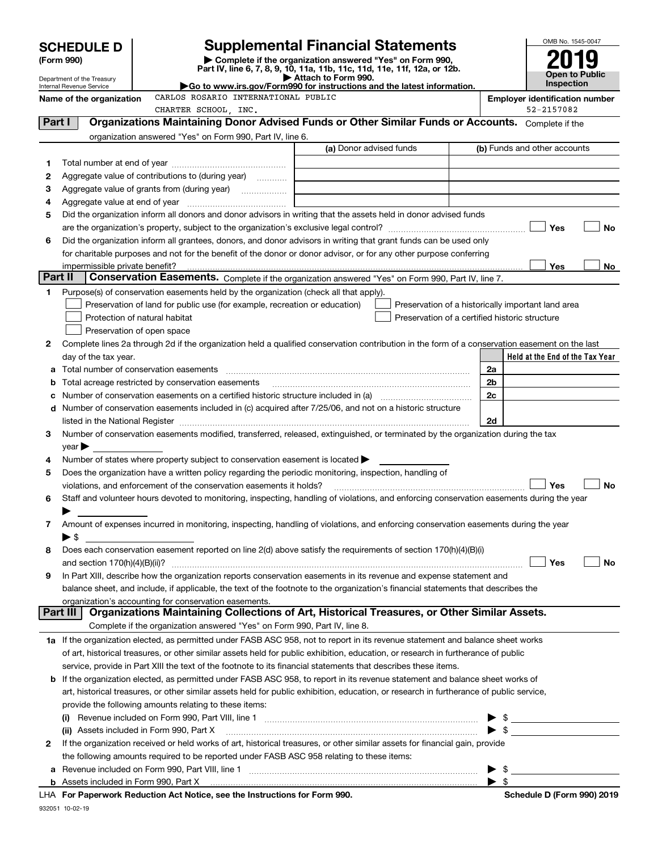|         | <b>SCHEDULE D</b>                                                                                                                                                                                                                | <b>Supplemental Financial Statements</b>                                                                                                                                                                                                                                                                                                                           |                                                    |    | OMB No. 1545-0047                                                                                                                                                                                                                                                                                                   |
|---------|----------------------------------------------------------------------------------------------------------------------------------------------------------------------------------------------------------------------------------|--------------------------------------------------------------------------------------------------------------------------------------------------------------------------------------------------------------------------------------------------------------------------------------------------------------------------------------------------------------------|----------------------------------------------------|----|---------------------------------------------------------------------------------------------------------------------------------------------------------------------------------------------------------------------------------------------------------------------------------------------------------------------|
|         | (Form 990)                                                                                                                                                                                                                       | Complete if the organization answered "Yes" on Form 990,                                                                                                                                                                                                                                                                                                           |                                                    |    |                                                                                                                                                                                                                                                                                                                     |
|         | Department of the Treasury                                                                                                                                                                                                       | Part IV, line 6, 7, 8, 9, 10, 11a, 11b, 11c, 11d, 11e, 11f, 12a, or 12b.<br>Attach to Form 990.                                                                                                                                                                                                                                                                    |                                                    |    | Open to Public                                                                                                                                                                                                                                                                                                      |
|         | Internal Revenue Service                                                                                                                                                                                                         | Go to www.irs.gov/Form990 for instructions and the latest information.                                                                                                                                                                                                                                                                                             |                                                    |    | <b>Inspection</b>                                                                                                                                                                                                                                                                                                   |
|         | Name of the organization                                                                                                                                                                                                         | CARLOS ROSARIO INTERNATIONAL PUBLIC                                                                                                                                                                                                                                                                                                                                |                                                    |    | <b>Employer identification number</b>                                                                                                                                                                                                                                                                               |
|         |                                                                                                                                                                                                                                  | CHARTER SCHOOL, INC.                                                                                                                                                                                                                                                                                                                                               |                                                    |    | 52-2157082                                                                                                                                                                                                                                                                                                          |
| Part I  |                                                                                                                                                                                                                                  | Organizations Maintaining Donor Advised Funds or Other Similar Funds or Accounts. Complete if the                                                                                                                                                                                                                                                                  |                                                    |    |                                                                                                                                                                                                                                                                                                                     |
|         |                                                                                                                                                                                                                                  | organization answered "Yes" on Form 990, Part IV, line 6.                                                                                                                                                                                                                                                                                                          | (a) Donor advised funds                            |    | (b) Funds and other accounts                                                                                                                                                                                                                                                                                        |
|         |                                                                                                                                                                                                                                  |                                                                                                                                                                                                                                                                                                                                                                    |                                                    |    |                                                                                                                                                                                                                                                                                                                     |
| 1       |                                                                                                                                                                                                                                  | Aggregate value of contributions to (during year)                                                                                                                                                                                                                                                                                                                  |                                                    |    |                                                                                                                                                                                                                                                                                                                     |
| 2<br>З  |                                                                                                                                                                                                                                  | Aggregate value of grants from (during year)                                                                                                                                                                                                                                                                                                                       |                                                    |    |                                                                                                                                                                                                                                                                                                                     |
| 4       | Aggregate value at end of year                                                                                                                                                                                                   |                                                                                                                                                                                                                                                                                                                                                                    |                                                    |    |                                                                                                                                                                                                                                                                                                                     |
| 5       |                                                                                                                                                                                                                                  | Did the organization inform all donors and donor advisors in writing that the assets held in donor advised funds                                                                                                                                                                                                                                                   |                                                    |    |                                                                                                                                                                                                                                                                                                                     |
|         |                                                                                                                                                                                                                                  |                                                                                                                                                                                                                                                                                                                                                                    |                                                    |    | Yes<br>No                                                                                                                                                                                                                                                                                                           |
| 6       |                                                                                                                                                                                                                                  | Did the organization inform all grantees, donors, and donor advisors in writing that grant funds can be used only                                                                                                                                                                                                                                                  |                                                    |    |                                                                                                                                                                                                                                                                                                                     |
|         |                                                                                                                                                                                                                                  | for charitable purposes and not for the benefit of the donor or donor advisor, or for any other purpose conferring                                                                                                                                                                                                                                                 |                                                    |    |                                                                                                                                                                                                                                                                                                                     |
|         | impermissible private benefit?                                                                                                                                                                                                   |                                                                                                                                                                                                                                                                                                                                                                    |                                                    |    | Yes<br>No                                                                                                                                                                                                                                                                                                           |
| Part II |                                                                                                                                                                                                                                  | Conservation Easements. Complete if the organization answered "Yes" on Form 990, Part IV, line 7.                                                                                                                                                                                                                                                                  |                                                    |    |                                                                                                                                                                                                                                                                                                                     |
| 1       |                                                                                                                                                                                                                                  | Purpose(s) of conservation easements held by the organization (check all that apply).                                                                                                                                                                                                                                                                              |                                                    |    |                                                                                                                                                                                                                                                                                                                     |
|         |                                                                                                                                                                                                                                  | Preservation of land for public use (for example, recreation or education)                                                                                                                                                                                                                                                                                         | Preservation of a historically important land area |    |                                                                                                                                                                                                                                                                                                                     |
|         | Protection of natural habitat                                                                                                                                                                                                    |                                                                                                                                                                                                                                                                                                                                                                    | Preservation of a certified historic structure     |    |                                                                                                                                                                                                                                                                                                                     |
|         | Preservation of open space                                                                                                                                                                                                       |                                                                                                                                                                                                                                                                                                                                                                    |                                                    |    |                                                                                                                                                                                                                                                                                                                     |
| 2       |                                                                                                                                                                                                                                  | Complete lines 2a through 2d if the organization held a qualified conservation contribution in the form of a conservation easement on the last                                                                                                                                                                                                                     |                                                    |    |                                                                                                                                                                                                                                                                                                                     |
|         | day of the tax year.                                                                                                                                                                                                             |                                                                                                                                                                                                                                                                                                                                                                    |                                                    |    | Held at the End of the Tax Year                                                                                                                                                                                                                                                                                     |
|         |                                                                                                                                                                                                                                  |                                                                                                                                                                                                                                                                                                                                                                    |                                                    | 2a |                                                                                                                                                                                                                                                                                                                     |
|         |                                                                                                                                                                                                                                  | Total acreage restricted by conservation easements                                                                                                                                                                                                                                                                                                                 |                                                    | 2b |                                                                                                                                                                                                                                                                                                                     |
|         | 2c<br>Number of conservation easements on a certified historic structure included in (a) manufacture included in (a)<br>Number of conservation easements included in (c) acquired after 7/25/06, and not on a historic structure |                                                                                                                                                                                                                                                                                                                                                                    |                                                    |    |                                                                                                                                                                                                                                                                                                                     |
| d       |                                                                                                                                                                                                                                  |                                                                                                                                                                                                                                                                                                                                                                    |                                                    | 2d |                                                                                                                                                                                                                                                                                                                     |
| 3       |                                                                                                                                                                                                                                  | listed in the National Register [111] increases: the National Register [11] increases: [11] increases: [11] increases: [11] increases: [11] increases: [11] increases: [11] increases: [11] increases: [11] increases: [11] in<br>Number of conservation easements modified, transferred, released, extinguished, or terminated by the organization during the tax |                                                    |    |                                                                                                                                                                                                                                                                                                                     |
|         | $\vee$ ear                                                                                                                                                                                                                       |                                                                                                                                                                                                                                                                                                                                                                    |                                                    |    |                                                                                                                                                                                                                                                                                                                     |
| 4       |                                                                                                                                                                                                                                  | Number of states where property subject to conservation easement is located                                                                                                                                                                                                                                                                                        |                                                    |    |                                                                                                                                                                                                                                                                                                                     |
| 5       |                                                                                                                                                                                                                                  | Does the organization have a written policy regarding the periodic monitoring, inspection, handling of                                                                                                                                                                                                                                                             |                                                    |    |                                                                                                                                                                                                                                                                                                                     |
|         |                                                                                                                                                                                                                                  | violations, and enforcement of the conservation easements it holds?                                                                                                                                                                                                                                                                                                |                                                    |    | Yes<br>No                                                                                                                                                                                                                                                                                                           |
|         |                                                                                                                                                                                                                                  | Staff and volunteer hours devoted to monitoring, inspecting, handling of violations, and enforcing conservation easements during the year                                                                                                                                                                                                                          |                                                    |    |                                                                                                                                                                                                                                                                                                                     |
|         |                                                                                                                                                                                                                                  |                                                                                                                                                                                                                                                                                                                                                                    |                                                    |    |                                                                                                                                                                                                                                                                                                                     |
| 7       |                                                                                                                                                                                                                                  | Amount of expenses incurred in monitoring, inspecting, handling of violations, and enforcing conservation easements during the year                                                                                                                                                                                                                                |                                                    |    |                                                                                                                                                                                                                                                                                                                     |
|         | $\blacktriangleright$ \$                                                                                                                                                                                                         |                                                                                                                                                                                                                                                                                                                                                                    |                                                    |    |                                                                                                                                                                                                                                                                                                                     |
| 8       |                                                                                                                                                                                                                                  | Does each conservation easement reported on line 2(d) above satisfy the requirements of section 170(h)(4)(B)(i)                                                                                                                                                                                                                                                    |                                                    |    |                                                                                                                                                                                                                                                                                                                     |
|         | and section $170(h)(4)(B)(ii)$ ?                                                                                                                                                                                                 |                                                                                                                                                                                                                                                                                                                                                                    |                                                    |    | Yes<br>No                                                                                                                                                                                                                                                                                                           |
| 9       |                                                                                                                                                                                                                                  | In Part XIII, describe how the organization reports conservation easements in its revenue and expense statement and                                                                                                                                                                                                                                                |                                                    |    |                                                                                                                                                                                                                                                                                                                     |
|         |                                                                                                                                                                                                                                  | balance sheet, and include, if applicable, the text of the footnote to the organization's financial statements that describes the                                                                                                                                                                                                                                  |                                                    |    |                                                                                                                                                                                                                                                                                                                     |
|         | Part III                                                                                                                                                                                                                         | organization's accounting for conservation easements.<br>Organizations Maintaining Collections of Art, Historical Treasures, or Other Similar Assets.                                                                                                                                                                                                              |                                                    |    |                                                                                                                                                                                                                                                                                                                     |
|         |                                                                                                                                                                                                                                  | Complete if the organization answered "Yes" on Form 990, Part IV, line 8.                                                                                                                                                                                                                                                                                          |                                                    |    |                                                                                                                                                                                                                                                                                                                     |
|         |                                                                                                                                                                                                                                  | 1a If the organization elected, as permitted under FASB ASC 958, not to report in its revenue statement and balance sheet works                                                                                                                                                                                                                                    |                                                    |    |                                                                                                                                                                                                                                                                                                                     |
|         |                                                                                                                                                                                                                                  | of art, historical treasures, or other similar assets held for public exhibition, education, or research in furtherance of public                                                                                                                                                                                                                                  |                                                    |    |                                                                                                                                                                                                                                                                                                                     |
|         |                                                                                                                                                                                                                                  | service, provide in Part XIII the text of the footnote to its financial statements that describes these items.                                                                                                                                                                                                                                                     |                                                    |    |                                                                                                                                                                                                                                                                                                                     |
|         |                                                                                                                                                                                                                                  | <b>b</b> If the organization elected, as permitted under FASB ASC 958, to report in its revenue statement and balance sheet works of                                                                                                                                                                                                                               |                                                    |    |                                                                                                                                                                                                                                                                                                                     |
|         |                                                                                                                                                                                                                                  | art, historical treasures, or other similar assets held for public exhibition, education, or research in furtherance of public service,                                                                                                                                                                                                                            |                                                    |    |                                                                                                                                                                                                                                                                                                                     |
|         |                                                                                                                                                                                                                                  | provide the following amounts relating to these items:                                                                                                                                                                                                                                                                                                             |                                                    |    |                                                                                                                                                                                                                                                                                                                     |
|         | (i)                                                                                                                                                                                                                              |                                                                                                                                                                                                                                                                                                                                                                    |                                                    |    |                                                                                                                                                                                                                                                                                                                     |
|         | (ii) Assets included in Form 990, Part X                                                                                                                                                                                         |                                                                                                                                                                                                                                                                                                                                                                    |                                                    |    | $\frac{1}{2}$                                                                                                                                                                                                                                                                                                       |
| 2       |                                                                                                                                                                                                                                  | If the organization received or held works of art, historical treasures, or other similar assets for financial gain, provide                                                                                                                                                                                                                                       |                                                    |    |                                                                                                                                                                                                                                                                                                                     |
|         |                                                                                                                                                                                                                                  | the following amounts required to be reported under FASB ASC 958 relating to these items:                                                                                                                                                                                                                                                                          |                                                    |    |                                                                                                                                                                                                                                                                                                                     |
| а       |                                                                                                                                                                                                                                  |                                                                                                                                                                                                                                                                                                                                                                    |                                                    |    | $\frac{1}{2}$ $\frac{1}{2}$ $\frac{1}{2}$ $\frac{1}{2}$ $\frac{1}{2}$ $\frac{1}{2}$ $\frac{1}{2}$ $\frac{1}{2}$ $\frac{1}{2}$ $\frac{1}{2}$ $\frac{1}{2}$ $\frac{1}{2}$ $\frac{1}{2}$ $\frac{1}{2}$ $\frac{1}{2}$ $\frac{1}{2}$ $\frac{1}{2}$ $\frac{1}{2}$ $\frac{1}{2}$ $\frac{1}{2}$ $\frac{1}{2}$ $\frac{1}{2}$ |
|         |                                                                                                                                                                                                                                  |                                                                                                                                                                                                                                                                                                                                                                    |                                                    |    |                                                                                                                                                                                                                                                                                                                     |
|         |                                                                                                                                                                                                                                  |                                                                                                                                                                                                                                                                                                                                                                    |                                                    |    |                                                                                                                                                                                                                                                                                                                     |

932051 10-02-19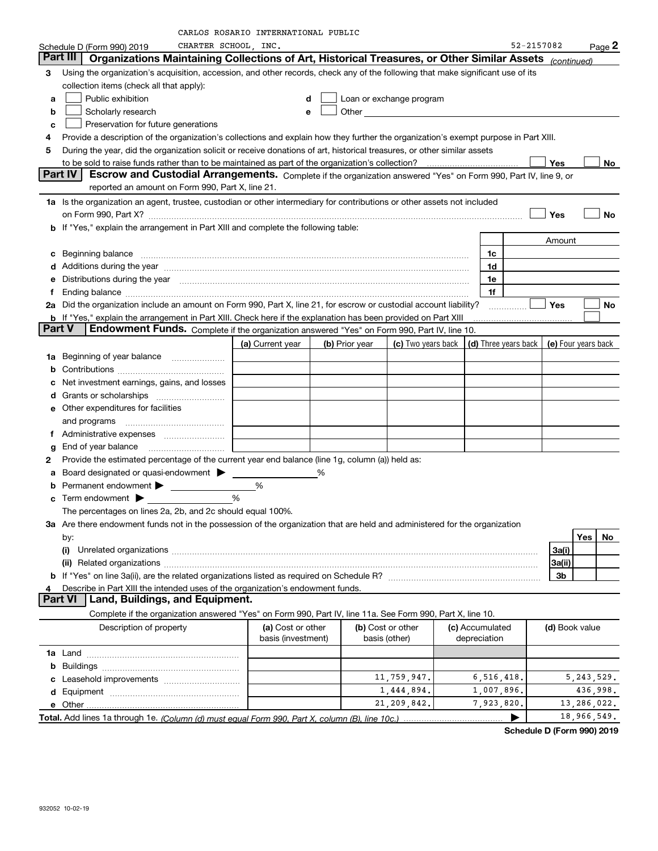|               |                                                                                                                                                                                                                                | OS KOSAKIO INIEKNAIIONAL POBLIC         |                |                          |                      |                |                     |
|---------------|--------------------------------------------------------------------------------------------------------------------------------------------------------------------------------------------------------------------------------|-----------------------------------------|----------------|--------------------------|----------------------|----------------|---------------------|
|               | CHARTER SCHOOL INC.<br>Schedule D (Form 990) 2019                                                                                                                                                                              |                                         |                |                          |                      | 52-2157082     | $Page$ 2            |
|               | Organizations Maintaining Collections of Art, Historical Treasures, or Other Similar Assets (continued)<br>Part III                                                                                                            |                                         |                |                          |                      |                |                     |
| З             | Using the organization's acquisition, accession, and other records, check any of the following that make significant use of its                                                                                                |                                         |                |                          |                      |                |                     |
|               | collection items (check all that apply):                                                                                                                                                                                       |                                         |                |                          |                      |                |                     |
| a             | Public exhibition                                                                                                                                                                                                              | d                                       |                | Loan or exchange program |                      |                |                     |
| b             | Scholarly research                                                                                                                                                                                                             | e                                       |                |                          |                      |                |                     |
| c             | Preservation for future generations                                                                                                                                                                                            |                                         |                |                          |                      |                |                     |
| 4             | Provide a description of the organization's collections and explain how they further the organization's exempt purpose in Part XIII.                                                                                           |                                         |                |                          |                      |                |                     |
| 5             | During the year, did the organization solicit or receive donations of art, historical treasures, or other similar assets                                                                                                       |                                         |                |                          |                      |                |                     |
|               |                                                                                                                                                                                                                                |                                         |                |                          |                      | Yes            | No                  |
|               | Part IV<br>Escrow and Custodial Arrangements. Complete if the organization answered "Yes" on Form 990, Part IV, line 9, or<br>reported an amount on Form 990, Part X, line 21.                                                 |                                         |                |                          |                      |                |                     |
|               |                                                                                                                                                                                                                                |                                         |                |                          |                      |                |                     |
|               | 1a Is the organization an agent, trustee, custodian or other intermediary for contributions or other assets not included                                                                                                       |                                         |                |                          |                      |                |                     |
|               | on Form 990, Part X? [11] matter contracts and contracts and contracts are contracted as a function of the set of the set of the set of the set of the set of the set of the set of the set of the set of the set of the set o |                                         |                |                          |                      | Yes            | <b>No</b>           |
|               | <b>b</b> If "Yes," explain the arrangement in Part XIII and complete the following table:                                                                                                                                      |                                         |                |                          |                      |                |                     |
|               |                                                                                                                                                                                                                                |                                         |                |                          |                      | Amount         |                     |
| c             |                                                                                                                                                                                                                                |                                         |                |                          | 1c                   |                |                     |
|               | d Additions during the year manufactured and an account of a distribution of Additions during the year manufactured and account of Additions during the year manufactured and account of the state of Additional Additional Ad |                                         |                |                          | 1d                   |                |                     |
| е             | Distributions during the year manufactured and an account of the year manufactured and the year manufactured and the year manufactured and the year manufactured and the year manufactured and the year manufactured and the y |                                         |                |                          | 1e                   |                |                     |
|               | Ending balance measurements are all the contract of the contract of the contract of the contract of the contract of the contract of the contract of the contract of the contract of the contract of the contract of the contra |                                         |                |                          | 1f                   |                |                     |
|               | 2a Did the organization include an amount on Form 990, Part X, line 21, for escrow or custodial account liability?                                                                                                             |                                         |                |                          |                      | Yes            | No                  |
|               | <b>b</b> If "Yes," explain the arrangement in Part XIII. Check here if the explanation has been provided on Part XIII                                                                                                          |                                         |                |                          |                      |                |                     |
| <b>Part V</b> | Endowment Funds. Complete if the organization answered "Yes" on Form 990, Part IV, line 10.                                                                                                                                    |                                         |                |                          |                      |                |                     |
|               |                                                                                                                                                                                                                                | (a) Current year                        | (b) Prior year | (c) Two years back       | (d) Three years back |                | (e) Four years back |
| 1a            | Beginning of year balance                                                                                                                                                                                                      | <u> 1980 - Johann Barbara, martxa a</u> |                |                          |                      |                |                     |
| b             |                                                                                                                                                                                                                                |                                         |                |                          |                      |                |                     |
|               | Net investment earnings, gains, and losses                                                                                                                                                                                     |                                         |                |                          |                      |                |                     |
| d             |                                                                                                                                                                                                                                |                                         |                |                          |                      |                |                     |
| е             | Other expenditures for facilities                                                                                                                                                                                              |                                         |                |                          |                      |                |                     |
|               | and programs                                                                                                                                                                                                                   |                                         |                |                          |                      |                |                     |
| Ť.            |                                                                                                                                                                                                                                |                                         |                |                          |                      |                |                     |
| g             | End of year balance                                                                                                                                                                                                            |                                         |                |                          |                      |                |                     |
| 2             | Provide the estimated percentage of the current year end balance (line 1g, column (a)) held as:                                                                                                                                |                                         |                |                          |                      |                |                     |
| а             |                                                                                                                                                                                                                                |                                         |                |                          |                      |                |                     |
| b             |                                                                                                                                                                                                                                | %                                       |                |                          |                      |                |                     |
| c             |                                                                                                                                                                                                                                | %                                       |                |                          |                      |                |                     |
|               | The percentages on lines 2a, 2b, and 2c should equal 100%.                                                                                                                                                                     |                                         |                |                          |                      |                |                     |
|               | 3a Are there endowment funds not in the possession of the organization that are held and administered for the organization                                                                                                     |                                         |                |                          |                      |                |                     |
|               | by:                                                                                                                                                                                                                            |                                         |                |                          |                      |                | Yes<br>No           |
|               | (i)                                                                                                                                                                                                                            |                                         |                |                          |                      | 3a(i)          |                     |
|               |                                                                                                                                                                                                                                |                                         |                |                          |                      | 3a(ii)         |                     |
| b             |                                                                                                                                                                                                                                |                                         |                |                          |                      | 3b             |                     |
| 4             | Describe in Part XIII the intended uses of the organization's endowment funds.                                                                                                                                                 |                                         |                |                          |                      |                |                     |
|               | Land, Buildings, and Equipment.<br><b>Part VI</b>                                                                                                                                                                              |                                         |                |                          |                      |                |                     |
|               | Complete if the organization answered "Yes" on Form 990, Part IV, line 11a. See Form 990, Part X, line 10.                                                                                                                     |                                         |                |                          |                      |                |                     |
|               | Description of property                                                                                                                                                                                                        | (a) Cost or other                       |                | (b) Cost or other        | (c) Accumulated      | (d) Book value |                     |
|               |                                                                                                                                                                                                                                | basis (investment)                      |                | basis (other)            | depreciation         |                |                     |
|               |                                                                                                                                                                                                                                |                                         |                |                          |                      |                |                     |
| b             |                                                                                                                                                                                                                                |                                         |                |                          |                      |                |                     |
|               |                                                                                                                                                                                                                                |                                         |                | 11,759,947.              | 6, 516, 418.         |                | 5, 243, 529.        |
|               |                                                                                                                                                                                                                                |                                         |                | 1,444,894.               | 1,007,896.           |                | 436,998.            |
|               | e Other                                                                                                                                                                                                                        |                                         |                | 21, 209, 842.            | 7,923,820.           |                | 13,286,022.         |
|               |                                                                                                                                                                                                                                |                                         |                |                          |                      |                | 18,966,549.         |
|               |                                                                                                                                                                                                                                |                                         |                |                          |                      |                |                     |

**Schedule D (Form 990) 2019**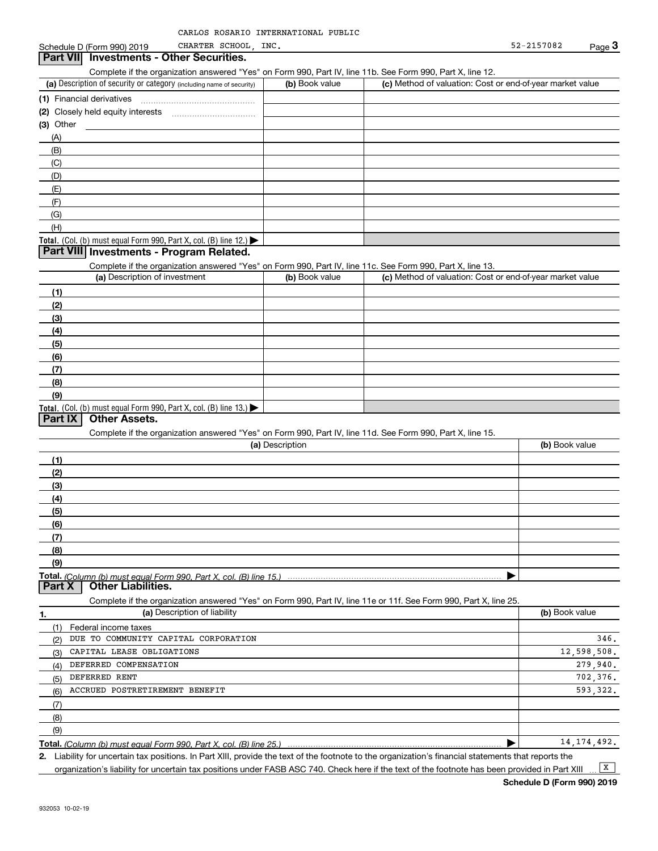#### (a) Description of security or category (including name of security)  $\vert$  (b) Book value  $\vert$  (c) Total. (Col. (b) must equal Form 990, Part X, col. (B) line 12.) Total. (Col. (b) must equal Form 990, Part X, col. (B) line 13.) **(1)** Financial derivatives ~~~~~~~~~~~~~~~ **(2)** Closely held equity interests ~~~~~~~~~~~ **(3)**Other(a) Description of investment **b (b)** Book value **(1)(2)(3)(4) (5)(6)(7)(8)(9)(a) (b)**  Description**(1)(2) (3)(4)(5) (6)(7)(8)(9)Total.**  *(Column (b) must equal Form 990, Part X, col. (B) line 15.)* **1.(a)** Description of liability **Book value** Book value Book value Book value Book value Schedule D (Form 990) 2019 CHARTER SCHOOL, INC.  $\blacksquare$  52-2157082 Page 3 Complete if the organization answered "Yes" on Form 990, Part IV, line 11b. See Form 990, Part X, line 12.  $(b)$  Book value  $\vert$  (c) Method of valuation: Cost or end-of-year market value (A)(B)(C)(D)(E)(F)(G)(H)Complete if the organization answered "Yes" on Form 990, Part IV, line 11c. See Form 990, Part X, line 13. (c) Method of valuation: Cost or end-of-year market value Complete if the organization answered "Yes" on Form 990, Part IV, line 11d. See Form 990, Part X, line 15. (b) Book value  $\blacktriangleright$ Complete if the organization answered "Yes" on Form 990, Part IV, line 11e or 11f. See Form 990, Part X, line 25. (1)(2)(3)(4) $(5)$ (6)Federal income taxes **Part VII Investments - Other Securities. Part VIII Investments - Program Related. Part IX Other Assets. Part X Other Liabilities.** CHARTER SCHOOL, DUE TO COMMUNITY CAPITAL CORPORATION CAPITAL LEASE OBLIGATIONS DEFERRED COMPENSATION DEFERRED RENT ACCRUED POSTRETIREMENT BENEFIT 346.12,598,508. 279,940. 702,376. 593,322.

**Total.**  *(Column (b) must equal Form 990, Part X, col. (B) line 25.)*

**2.** $\blacktriangleright$ 

Liability for uncertain tax positions. In Part XIII, provide the text of the footnote to the organization's financial statements that reports the organization's liability for uncertain tax positions under FASB ASC 740. Check here if the text of the footnote has been provided in Part XIII  $\boxed{\mathbf{X}}$ 

14,174,492.

(7)(8)(9)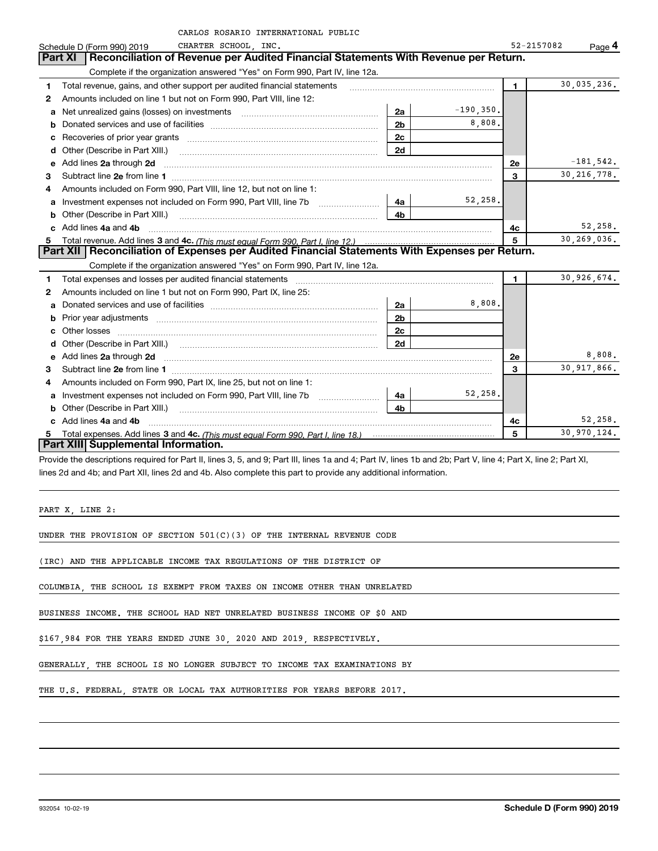|    | CARLOS ROSARIO INTERNATIONAL PUBLIC                                                                                    |                |              |            |               |
|----|------------------------------------------------------------------------------------------------------------------------|----------------|--------------|------------|---------------|
|    | CHARTER SCHOOL, INC.<br>Schedule D (Form 990) 2019                                                                     |                |              | 52-2157082 | Page 4        |
|    | Reconciliation of Revenue per Audited Financial Statements With Revenue per Return.<br><b>Part XI</b>                  |                |              |            |               |
|    | Complete if the organization answered "Yes" on Form 990, Part IV, line 12a.                                            |                |              |            |               |
| 1  | Total revenue, gains, and other support per audited financial statements                                               |                |              | 1.         | 30,035,236.   |
| 2  | Amounts included on line 1 but not on Form 990, Part VIII, line 12:                                                    |                |              |            |               |
| a  |                                                                                                                        | 2a             | $-190, 350.$ |            |               |
| b  |                                                                                                                        | 2 <sub>b</sub> | 8,808.       |            |               |
| с  |                                                                                                                        | 2c             |              |            |               |
| d  |                                                                                                                        | 2d             |              |            |               |
| е  | Add lines 2a through 2d                                                                                                |                |              | 2e         | $-181,542.$   |
| 3  |                                                                                                                        |                |              | 3          | 30, 216, 778. |
| 4  | Amounts included on Form 990, Part VIII, line 12, but not on line 1:                                                   |                |              |            |               |
| a  |                                                                                                                        | 4a             | 52,258.      |            |               |
| b  | Other (Describe in Part XIII.) [100] [100] [100] [100] [100] [100] [100] [100] [100] [100] [100] [100] [100] [         | 4b             |              |            |               |
| c. | Add lines 4a and 4b                                                                                                    |                |              | 4c         | 52,258.       |
| 5. |                                                                                                                        |                |              | 5          | 30,269,036.   |
|    | Part XII   Reconciliation of Expenses per Audited Financial Statements With Expenses per Return.                       |                |              |            |               |
|    | Complete if the organization answered "Yes" on Form 990, Part IV, line 12a.                                            |                |              |            |               |
| 1  | Total expenses and losses per audited financial statements                                                             |                |              | 1.         | 30,926,674.   |
| 2  | Amounts included on line 1 but not on Form 990, Part IX, line 25:                                                      |                |              |            |               |
| a  | Donated services and use of facilities <b>EXAMPLE 2008</b>                                                             | 2a             | 8,808.       |            |               |
| b  |                                                                                                                        | 2b             |              |            |               |
| c  | Other losses                                                                                                           | 2с             |              |            |               |
|    |                                                                                                                        | 2d             |              |            |               |
| е  | Add lines 2a through 2d <b>contained a contained a contained a contained a</b> contained a contained a contact the set |                |              | 2e         | 8,808.        |
| з  |                                                                                                                        |                |              | 3          | 30,917,866.   |
| 4  | Amounts included on Form 990, Part IX, line 25, but not on line 1:                                                     |                |              |            |               |
| a  |                                                                                                                        | 4a             | 52,258.      |            |               |
| b  | Other (Describe in Part XIII.)                                                                                         | 4b             |              |            |               |
|    | c Add lines 4a and 4b                                                                                                  |                |              | 4c         | 52,258.       |
|    |                                                                                                                        |                |              | 5          | 30,970,124.   |
|    | Part XIII Supplemental Information.                                                                                    |                |              |            |               |

Provide the descriptions required for Part II, lines 3, 5, and 9; Part III, lines 1a and 4; Part IV, lines 1b and 2b; Part V, line 4; Part X, line 2; Part XI, lines 2d and 4b; and Part XII, lines 2d and 4b. Also complete this part to provide any additional information.

PART X, LINE 2:

UNDER THE PROVISION OF SECTION 501(C)(3) OF THE INTERNAL REVENUE CODE

(IRC) AND THE APPLICABLE INCOME TAX REGULATIONS OF THE DISTRICT OF

COLUMBIA, THE SCHOOL IS EXEMPT FROM TAXES ON INCOME OTHER THAN UNRELATED

BUSINESS INCOME. THE SCHOOL HAD NET UNRELATED BUSINESS INCOME OF \$0 AND

\$167,984 FOR THE YEARS ENDED JUNE 30, 2020 AND 2019, RESPECTIVELY.

GENERALLY, THE SCHOOL IS NO LONGER SUBJECT TO INCOME TAX EXAMINATIONS BY

THE U.S. FEDERAL, STATE OR LOCAL TAX AUTHORITIES FOR YEARS BEFORE 2017.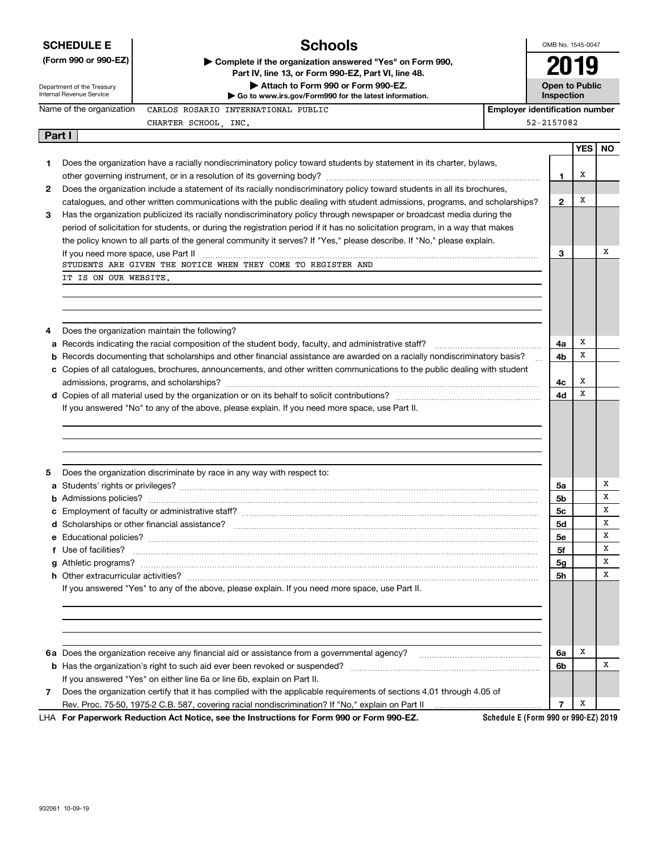|        | <b>Schools</b><br><b>SCHEDULE E</b>                                                                                                     |                                                                                                                               | OMB No. 1545-0047                     |                                     |            |           |
|--------|-----------------------------------------------------------------------------------------------------------------------------------------|-------------------------------------------------------------------------------------------------------------------------------|---------------------------------------|-------------------------------------|------------|-----------|
|        | (Form 990 or 990-EZ)<br>Complete if the organization answered "Yes" on Form 990,<br>Part IV, line 13, or Form 990-EZ, Part VI, line 48. |                                                                                                                               |                                       | 2019                                |            |           |
|        | Department of the Treasury<br>Internal Revenue Service                                                                                  | Attach to Form 990 or Form 990-EZ.<br>Go to www.irs.gov/Form990 for the latest information.                                   |                                       | <b>Open to Public</b><br>Inspection |            |           |
|        | Name of the organization                                                                                                                | CARLOS ROSARIO INTERNATIONAL PUBLIC                                                                                           | <b>Employer identification number</b> |                                     |            |           |
|        |                                                                                                                                         | CHARTER SCHOOL, INC.                                                                                                          |                                       | 52-2157082                          |            |           |
| Part I |                                                                                                                                         |                                                                                                                               |                                       |                                     |            |           |
|        |                                                                                                                                         |                                                                                                                               |                                       |                                     | <b>YES</b> | <b>NO</b> |
| 1      |                                                                                                                                         | Does the organization have a racially nondiscriminatory policy toward students by statement in its charter, bylaws,           |                                       |                                     | х          |           |
|        |                                                                                                                                         | Does the organization include a statement of its racially nondiscriminatory policy toward students in all its brochures,      |                                       | 1                                   |            |           |
| 2      |                                                                                                                                         | catalogues, and other written communications with the public dealing with student admissions, programs, and scholarships?     |                                       | $\mathbf{2}$                        | х          |           |
| 3      |                                                                                                                                         | Has the organization publicized its racially nondiscriminatory policy through newspaper or broadcast media during the         |                                       |                                     |            |           |
|        |                                                                                                                                         | period of solicitation for students, or during the registration period if it has no solicitation program, in a way that makes |                                       |                                     |            |           |
|        |                                                                                                                                         | the policy known to all parts of the general community it serves? If "Yes," please describe. If "No," please explain.         |                                       |                                     |            |           |
|        |                                                                                                                                         | If you need more space, use Part II <b>manufacture and continuum and continuum and continuum and continuum and continuum</b>  |                                       | 3                                   |            | х         |
|        |                                                                                                                                         | STUDENTS ARE GIVEN THE NOTICE WHEN THEY COME TO REGISTER AND                                                                  |                                       |                                     |            |           |
|        | IT IS ON OUR WEBSITE.                                                                                                                   |                                                                                                                               |                                       |                                     |            |           |
|        |                                                                                                                                         |                                                                                                                               |                                       |                                     |            |           |
|        |                                                                                                                                         |                                                                                                                               |                                       |                                     |            |           |
|        |                                                                                                                                         |                                                                                                                               |                                       |                                     |            |           |
| 4      |                                                                                                                                         | Does the organization maintain the following?                                                                                 |                                       |                                     | х          |           |
| а      |                                                                                                                                         | Records documenting that scholarships and other financial assistance are awarded on a racially nondiscriminatory basis?       |                                       | 4a<br>4b                            | X          |           |
|        |                                                                                                                                         | c Copies of all catalogues, brochures, announcements, and other written communications to the public dealing with student     |                                       |                                     |            |           |
|        |                                                                                                                                         |                                                                                                                               |                                       | 4с                                  | X          |           |
|        |                                                                                                                                         |                                                                                                                               |                                       | 4d                                  | X          |           |
|        |                                                                                                                                         | If you answered "No" to any of the above, please explain. If you need more space, use Part II.                                |                                       |                                     |            |           |
|        |                                                                                                                                         |                                                                                                                               |                                       |                                     |            |           |
|        |                                                                                                                                         |                                                                                                                               |                                       |                                     |            |           |
|        |                                                                                                                                         |                                                                                                                               |                                       |                                     |            |           |
| 5      |                                                                                                                                         | Does the organization discriminate by race in any way with respect to:                                                        |                                       |                                     |            |           |
|        |                                                                                                                                         |                                                                                                                               |                                       | 5a                                  |            | х         |
|        |                                                                                                                                         |                                                                                                                               |                                       | 5b                                  |            | х         |
|        |                                                                                                                                         |                                                                                                                               |                                       | 5с                                  |            | X         |
|        |                                                                                                                                         |                                                                                                                               |                                       | 5d                                  |            | х         |
|        |                                                                                                                                         |                                                                                                                               |                                       | 5е                                  |            | Х         |
|        | Use of facilities?                                                                                                                      |                                                                                                                               |                                       | 5f                                  |            | Х         |
|        |                                                                                                                                         |                                                                                                                               |                                       | 5g                                  |            | Х         |
|        |                                                                                                                                         |                                                                                                                               |                                       | 5h                                  |            | Х         |
|        |                                                                                                                                         | If you answered "Yes" to any of the above, please explain. If you need more space, use Part II.                               |                                       |                                     |            |           |
|        |                                                                                                                                         |                                                                                                                               |                                       |                                     |            |           |
|        |                                                                                                                                         |                                                                                                                               |                                       |                                     |            |           |
|        |                                                                                                                                         |                                                                                                                               |                                       |                                     |            |           |
|        |                                                                                                                                         |                                                                                                                               |                                       | 6a                                  | х          |           |
|        |                                                                                                                                         |                                                                                                                               |                                       |                                     |            | х         |
|        |                                                                                                                                         |                                                                                                                               |                                       | 6b                                  |            |           |
|        |                                                                                                                                         | If you answered "Yes" on either line 6a or line 6b, explain on Part II.                                                       |                                       |                                     |            |           |
| 7      |                                                                                                                                         | Does the organization certify that it has complied with the applicable requirements of sections 4.01 through 4.05 of          |                                       |                                     |            |           |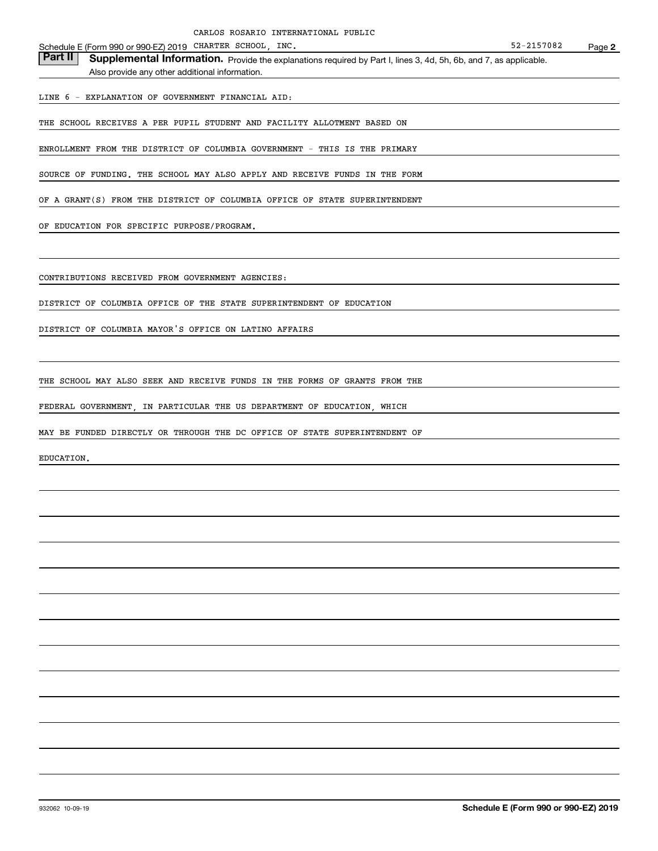Schedule E (Form 990 or 990-EZ) 2019 CHARTER SCHOOL, INC. 52-2157082 Page

Part II | Supplemental Information. Provide the explanations required by Part I, lines 3, 4d, 5h, 6b, and 7, as applicable. Also provide any other additional information.

LINE 6 - EXPLANATION OF GOVERNMENT FINANCIAL AID:

THE SCHOOL RECEIVES A PER PUPIL STUDENT AND FACILITY ALLOTMENT BASED ON

ENROLLMENT FROM THE DISTRICT OF COLUMBIA GOVERNMENT - THIS IS THE PRIMARY

SOURCE OF FUNDING. THE SCHOOL MAY ALSO APPLY AND RECEIVE FUNDS IN THE FORM

OF A GRANT(S) FROM THE DISTRICT OF COLUMBIA OFFICE OF STATE SUPERINTENDENT

OF EDUCATION FOR SPECIFIC PURPOSE/PROGRAM.

CONTRIBUTIONS RECEIVED FROM GOVERNMENT AGENCIES:

DISTRICT OF COLUMBIA OFFICE OF THE STATE SUPERINTENDENT OF EDUCATION

DISTRICT OF COLUMBIA MAYOR'S OFFICE ON LATINO AFFAIRS

THE SCHOOL MAY ALSO SEEK AND RECEIVE FUNDS IN THE FORMS OF GRANTS FROM THE

FEDERAL GOVERNMENT, IN PARTICULAR THE US DEPARTMENT OF EDUCATION, WHICH

MAY BE FUNDED DIRECTLY OR THROUGH THE DC OFFICE OF STATE SUPERINTENDENT OF

EDUCATION.

**2**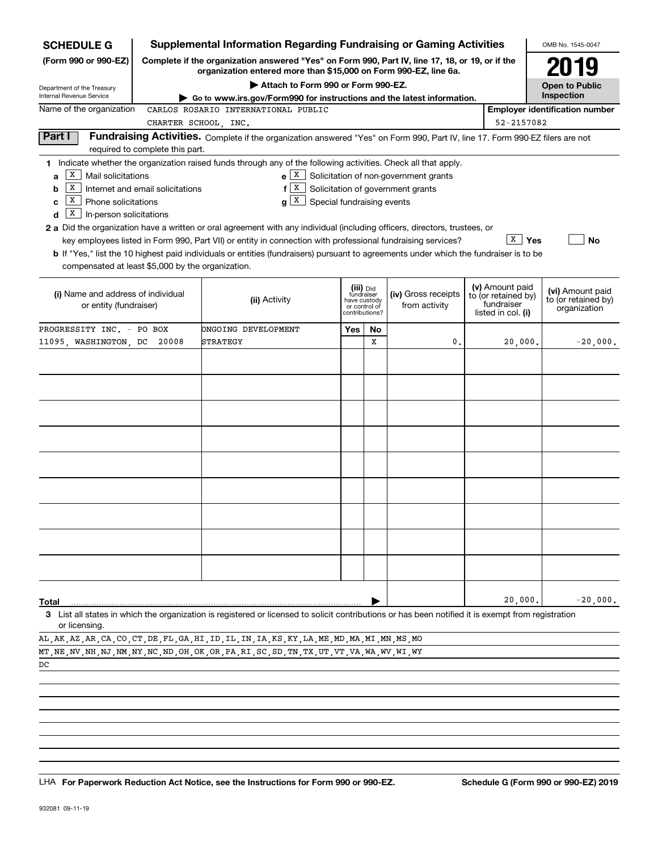| <b>SCHEDULE G</b>                                                                                            |                                                                               | <b>Supplemental Information Regarding Fundraising or Gaming Activities</b>                                                                                                                                                                                                                                                                                                                                                                                                                                                                         |                                                                            |    |                                                                            |                                                                            | OMB No. 1545-0047                                       |
|--------------------------------------------------------------------------------------------------------------|-------------------------------------------------------------------------------|----------------------------------------------------------------------------------------------------------------------------------------------------------------------------------------------------------------------------------------------------------------------------------------------------------------------------------------------------------------------------------------------------------------------------------------------------------------------------------------------------------------------------------------------------|----------------------------------------------------------------------------|----|----------------------------------------------------------------------------|----------------------------------------------------------------------------|---------------------------------------------------------|
| (Form 990 or 990-EZ)                                                                                         |                                                                               | Complete if the organization answered "Yes" on Form 990, Part IV, line 17, 18, or 19, or if the<br>organization entered more than \$15,000 on Form 990-EZ, line 6a.                                                                                                                                                                                                                                                                                                                                                                                |                                                                            |    |                                                                            |                                                                            | 2019                                                    |
| Department of the Treasury                                                                                   |                                                                               | Attach to Form 990 or Form 990-EZ.                                                                                                                                                                                                                                                                                                                                                                                                                                                                                                                 |                                                                            |    |                                                                            |                                                                            | <b>Open to Public</b>                                   |
| Internal Revenue Service<br>Name of the organization                                                         |                                                                               | Go to www.irs.gov/Form990 for instructions and the latest information.<br>CARLOS ROSARIO INTERNATIONAL PUBLIC                                                                                                                                                                                                                                                                                                                                                                                                                                      |                                                                            |    |                                                                            |                                                                            | Inspection<br><b>Employer identification number</b>     |
|                                                                                                              | CHARTER SCHOOL, INC.                                                          |                                                                                                                                                                                                                                                                                                                                                                                                                                                                                                                                                    |                                                                            |    |                                                                            | 52-2157082                                                                 |                                                         |
| Part I                                                                                                       |                                                                               | Fundraising Activities. Complete if the organization answered "Yes" on Form 990, Part IV, line 17. Form 990-EZ filers are not                                                                                                                                                                                                                                                                                                                                                                                                                      |                                                                            |    |                                                                            |                                                                            |                                                         |
|                                                                                                              | required to complete this part.                                               |                                                                                                                                                                                                                                                                                                                                                                                                                                                                                                                                                    |                                                                            |    |                                                                            |                                                                            |                                                         |
| x<br>Mail solicitations<br>a<br>х<br>b<br>x<br>Phone solicitations<br>c<br>x<br>In-person solicitations<br>d | Internet and email solicitations                                              | 1 Indicate whether the organization raised funds through any of the following activities. Check all that apply.<br>$e \mid X$<br>X<br>f<br>$g \mid X$<br>2 a Did the organization have a written or oral agreement with any individual (including officers, directors, trustees, or<br>key employees listed in Form 990, Part VII) or entity in connection with professional fundraising services?<br><b>b</b> If "Yes," list the 10 highest paid individuals or entities (fundraisers) pursuant to agreements under which the fundraiser is to be | Special fundraising events                                                 |    | Solicitation of non-government grants<br>Solicitation of government grants | $X \mid Y$ es                                                              | <b>No</b>                                               |
| compensated at least \$5,000 by the organization.                                                            |                                                                               |                                                                                                                                                                                                                                                                                                                                                                                                                                                                                                                                                    |                                                                            |    |                                                                            |                                                                            |                                                         |
|                                                                                                              | (i) Name and address of individual<br>(ii) Activity<br>or entity (fundraiser) |                                                                                                                                                                                                                                                                                                                                                                                                                                                                                                                                                    | (iii) Did<br>fundraiser<br>have custody<br>or control of<br>contributions? |    | (iv) Gross receipts<br>from activity                                       | (v) Amount paid<br>to (or retained by)<br>fundraiser<br>listed in col. (i) | (vi) Amount paid<br>to (or retained by)<br>organization |
| PROGRESSITY INC. - PO BOX                                                                                    |                                                                               | ONGOING DEVELOPMENT                                                                                                                                                                                                                                                                                                                                                                                                                                                                                                                                | Yes                                                                        | No |                                                                            |                                                                            |                                                         |
| 11095, WASHINGTON, DC                                                                                        | 20008                                                                         | STRATEGY                                                                                                                                                                                                                                                                                                                                                                                                                                                                                                                                           |                                                                            | x  | 0.                                                                         | 20,000.                                                                    | $-20,000.$                                              |
|                                                                                                              |                                                                               |                                                                                                                                                                                                                                                                                                                                                                                                                                                                                                                                                    |                                                                            |    |                                                                            |                                                                            |                                                         |
|                                                                                                              |                                                                               |                                                                                                                                                                                                                                                                                                                                                                                                                                                                                                                                                    |                                                                            |    |                                                                            |                                                                            |                                                         |
|                                                                                                              |                                                                               |                                                                                                                                                                                                                                                                                                                                                                                                                                                                                                                                                    |                                                                            |    |                                                                            |                                                                            |                                                         |
|                                                                                                              |                                                                               |                                                                                                                                                                                                                                                                                                                                                                                                                                                                                                                                                    |                                                                            |    |                                                                            |                                                                            |                                                         |
|                                                                                                              |                                                                               |                                                                                                                                                                                                                                                                                                                                                                                                                                                                                                                                                    |                                                                            |    |                                                                            |                                                                            |                                                         |
|                                                                                                              |                                                                               |                                                                                                                                                                                                                                                                                                                                                                                                                                                                                                                                                    |                                                                            |    |                                                                            |                                                                            |                                                         |
|                                                                                                              |                                                                               |                                                                                                                                                                                                                                                                                                                                                                                                                                                                                                                                                    |                                                                            |    |                                                                            |                                                                            |                                                         |
|                                                                                                              |                                                                               |                                                                                                                                                                                                                                                                                                                                                                                                                                                                                                                                                    |                                                                            |    |                                                                            |                                                                            |                                                         |
|                                                                                                              |                                                                               |                                                                                                                                                                                                                                                                                                                                                                                                                                                                                                                                                    |                                                                            |    |                                                                            |                                                                            |                                                         |
|                                                                                                              |                                                                               |                                                                                                                                                                                                                                                                                                                                                                                                                                                                                                                                                    |                                                                            |    |                                                                            |                                                                            |                                                         |
|                                                                                                              |                                                                               |                                                                                                                                                                                                                                                                                                                                                                                                                                                                                                                                                    |                                                                            |    |                                                                            |                                                                            |                                                         |
|                                                                                                              |                                                                               |                                                                                                                                                                                                                                                                                                                                                                                                                                                                                                                                                    |                                                                            |    |                                                                            |                                                                            |                                                         |
|                                                                                                              |                                                                               |                                                                                                                                                                                                                                                                                                                                                                                                                                                                                                                                                    |                                                                            |    |                                                                            |                                                                            |                                                         |
|                                                                                                              |                                                                               |                                                                                                                                                                                                                                                                                                                                                                                                                                                                                                                                                    |                                                                            |    |                                                                            |                                                                            |                                                         |
|                                                                                                              |                                                                               |                                                                                                                                                                                                                                                                                                                                                                                                                                                                                                                                                    |                                                                            |    |                                                                            |                                                                            |                                                         |
|                                                                                                              |                                                                               |                                                                                                                                                                                                                                                                                                                                                                                                                                                                                                                                                    |                                                                            |    |                                                                            | 20,000.                                                                    | $-20,000.$                                              |
| Total                                                                                                        |                                                                               | 3 List all states in which the organization is registered or licensed to solicit contributions or has been notified it is exempt from registration                                                                                                                                                                                                                                                                                                                                                                                                 |                                                                            |    |                                                                            |                                                                            |                                                         |

|    |  |  |  |  |  |  |  |  |  |  |  | AL AK AZ AR CA CO CT DE FL GA HI ID IL IN IA KS KY LA ME MD MA MI MN MS MO                          |  |
|----|--|--|--|--|--|--|--|--|--|--|--|-----------------------------------------------------------------------------------------------------|--|
|    |  |  |  |  |  |  |  |  |  |  |  | MT, NE, NV, NH, NJ, NM, NY, NC, ND, OH, OK, OR, PA, RI, SC, SD, TN, TX, UT, VT, VA, WA, WV, WI, WY, |  |
| DC |  |  |  |  |  |  |  |  |  |  |  |                                                                                                     |  |

LHA For Paperwork Reduction Act Notice, see the Instructions for Form 990 or 990-EZ. Schedule G (Form 990 or 990-EZ) 2019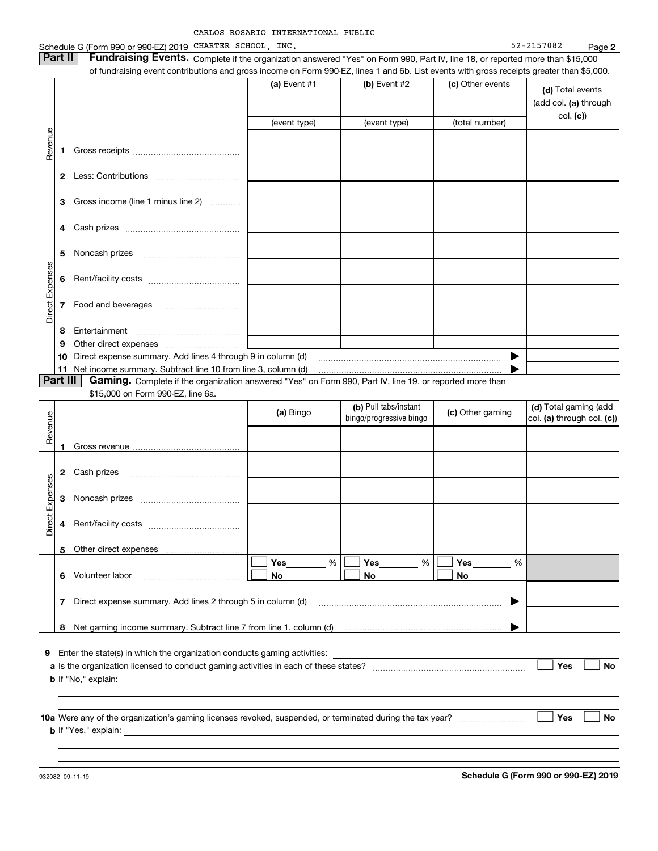|                 |                | Schedule G (Form 990 or 990-EZ) 2019 CHARTER SCHOOL, INC.                                                                                                                                                                                                                  |                |     |                         |                  | 52-2157082<br>Page 2       |
|-----------------|----------------|----------------------------------------------------------------------------------------------------------------------------------------------------------------------------------------------------------------------------------------------------------------------------|----------------|-----|-------------------------|------------------|----------------------------|
|                 | Part II        | Fundraising Events. Complete if the organization answered "Yes" on Form 990, Part IV, line 18, or reported more than \$15,000<br>of fundraising event contributions and gross income on Form 990-EZ, lines 1 and 6b. List events with gross receipts greater than \$5,000. |                |     |                         |                  |                            |
|                 |                |                                                                                                                                                                                                                                                                            | (a) Event $#1$ |     | (b) Event #2            | (c) Other events |                            |
|                 |                |                                                                                                                                                                                                                                                                            |                |     |                         |                  | (d) Total events           |
|                 |                |                                                                                                                                                                                                                                                                            |                |     |                         |                  | (add col. (a) through      |
|                 |                |                                                                                                                                                                                                                                                                            | (event type)   |     | (event type)            | (total number)   | col. (c)                   |
|                 |                |                                                                                                                                                                                                                                                                            |                |     |                         |                  |                            |
| Revenue         | 1              |                                                                                                                                                                                                                                                                            |                |     |                         |                  |                            |
|                 |                |                                                                                                                                                                                                                                                                            |                |     |                         |                  |                            |
|                 |                |                                                                                                                                                                                                                                                                            |                |     |                         |                  |                            |
|                 |                |                                                                                                                                                                                                                                                                            |                |     |                         |                  |                            |
|                 | 3              | Gross income (line 1 minus line 2)                                                                                                                                                                                                                                         |                |     |                         |                  |                            |
|                 |                |                                                                                                                                                                                                                                                                            |                |     |                         |                  |                            |
|                 | 4              |                                                                                                                                                                                                                                                                            |                |     |                         |                  |                            |
|                 | 5              |                                                                                                                                                                                                                                                                            |                |     |                         |                  |                            |
|                 |                |                                                                                                                                                                                                                                                                            |                |     |                         |                  |                            |
|                 | 6              |                                                                                                                                                                                                                                                                            |                |     |                         |                  |                            |
| Direct Expenses |                |                                                                                                                                                                                                                                                                            |                |     |                         |                  |                            |
|                 | 7              | Food and beverages                                                                                                                                                                                                                                                         |                |     |                         |                  |                            |
|                 |                |                                                                                                                                                                                                                                                                            |                |     |                         |                  |                            |
|                 | 8              |                                                                                                                                                                                                                                                                            |                |     |                         |                  |                            |
|                 | 9              |                                                                                                                                                                                                                                                                            |                |     |                         |                  |                            |
|                 | 10             | Direct expense summary. Add lines 4 through 9 in column (d)                                                                                                                                                                                                                |                |     |                         | ▶                |                            |
|                 | 11<br>Part III | Net income summary. Subtract line 10 from line 3, column (d)<br>Gaming. Complete if the organization answered "Yes" on Form 990, Part IV, line 19, or reported more than                                                                                                   |                |     |                         |                  |                            |
|                 |                | \$15,000 on Form 990-EZ, line 6a.                                                                                                                                                                                                                                          |                |     |                         |                  |                            |
|                 |                |                                                                                                                                                                                                                                                                            |                |     | (b) Pull tabs/instant   |                  | (d) Total gaming (add      |
|                 |                |                                                                                                                                                                                                                                                                            | (a) Bingo      |     | bingo/progressive bingo | (c) Other gaming | col. (a) through col. (c)) |
| Revenue         |                |                                                                                                                                                                                                                                                                            |                |     |                         |                  |                            |
|                 | 1              |                                                                                                                                                                                                                                                                            |                |     |                         |                  |                            |
|                 |                |                                                                                                                                                                                                                                                                            |                |     |                         |                  |                            |
|                 | 2              |                                                                                                                                                                                                                                                                            |                |     |                         |                  |                            |
| Expenses        | 3              |                                                                                                                                                                                                                                                                            |                |     |                         |                  |                            |
|                 |                |                                                                                                                                                                                                                                                                            |                |     |                         |                  |                            |
| $\ddot{ }$      | 4              | Rent/facility costs                                                                                                                                                                                                                                                        |                |     |                         |                  |                            |
| Direc           |                |                                                                                                                                                                                                                                                                            |                |     |                         |                  |                            |
|                 | 5              |                                                                                                                                                                                                                                                                            |                |     |                         |                  |                            |
|                 |                |                                                                                                                                                                                                                                                                            | Yes<br>%       | Yes | $\%$                    |                  | %                          |
|                 | 6              | Volunteer labor                                                                                                                                                                                                                                                            | No.            | No  |                         | No               |                            |
|                 |                |                                                                                                                                                                                                                                                                            |                |     |                         |                  |                            |
|                 | 7              | Direct expense summary. Add lines 2 through 5 in column (d)                                                                                                                                                                                                                |                |     |                         |                  |                            |
|                 |                |                                                                                                                                                                                                                                                                            |                |     |                         |                  |                            |
|                 | 8              |                                                                                                                                                                                                                                                                            |                |     |                         |                  |                            |
| 9               |                | Enter the state(s) in which the organization conducts gaming activities:                                                                                                                                                                                                   |                |     |                         |                  |                            |
|                 |                |                                                                                                                                                                                                                                                                            |                |     |                         |                  | Yes<br><b>No</b>           |
|                 |                |                                                                                                                                                                                                                                                                            |                |     |                         |                  |                            |
|                 |                |                                                                                                                                                                                                                                                                            |                |     |                         |                  |                            |
|                 |                |                                                                                                                                                                                                                                                                            |                |     |                         |                  |                            |
|                 |                |                                                                                                                                                                                                                                                                            |                |     |                         |                  | Yes<br><b>No</b>           |
|                 |                | <b>b</b> If "Yes," explain: __                                                                                                                                                                                                                                             |                |     |                         |                  |                            |
|                 |                |                                                                                                                                                                                                                                                                            |                |     |                         |                  |                            |

932082 09-11-19

**Schedule G (Form 990 or 990-EZ) 2019**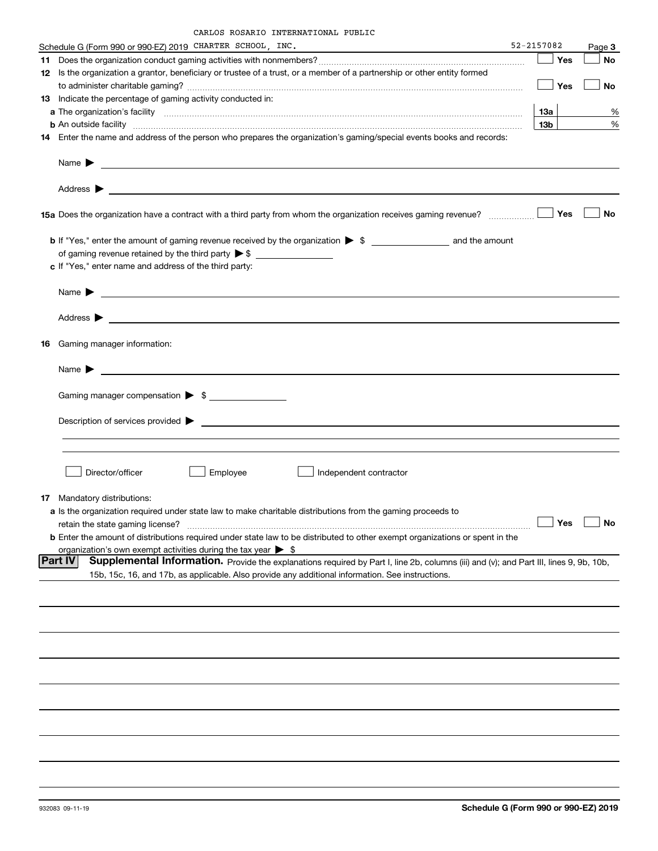|  | CARLOS ROSARIO INTERNATIONAL PUBLIC |  |
|--|-------------------------------------|--|
|  |                                     |  |

| 52-2157082<br>Schedule G (Form 990 or 990-EZ) 2019 CHARTER SCHOOL, INC.                                                                                                                                                                   |                 |            |                     |  |  |  |  |  |  |
|-------------------------------------------------------------------------------------------------------------------------------------------------------------------------------------------------------------------------------------------|-----------------|------------|---------------------|--|--|--|--|--|--|
|                                                                                                                                                                                                                                           |                 | Yes        | Page 3<br><b>No</b> |  |  |  |  |  |  |
| 12 Is the organization a grantor, beneficiary or trustee of a trust, or a member of a partnership or other entity formed                                                                                                                  |                 |            |                     |  |  |  |  |  |  |
|                                                                                                                                                                                                                                           |                 | Yes        | No                  |  |  |  |  |  |  |
| 13 Indicate the percentage of gaming activity conducted in:                                                                                                                                                                               |                 |            |                     |  |  |  |  |  |  |
|                                                                                                                                                                                                                                           | <b>13a</b>      |            | ℀                   |  |  |  |  |  |  |
| <b>b</b> An outside facility <b>contained a contract and a contract of the contract of the contract of the contract of the contract of the contract of the contract of the contract of the contract of the contract of the contract o</b> | 13 <sub>b</sub> |            | %                   |  |  |  |  |  |  |
| 14 Enter the name and address of the person who prepares the organization's gaming/special events books and records:                                                                                                                      |                 |            |                     |  |  |  |  |  |  |
|                                                                                                                                                                                                                                           |                 |            |                     |  |  |  |  |  |  |
|                                                                                                                                                                                                                                           |                 |            |                     |  |  |  |  |  |  |
|                                                                                                                                                                                                                                           |                 | Yes        | No                  |  |  |  |  |  |  |
| <b>b</b> If "Yes," enter the amount of gaming revenue received by the organization $\triangleright$ \$                                                                                                                                    |                 |            |                     |  |  |  |  |  |  |
|                                                                                                                                                                                                                                           |                 |            |                     |  |  |  |  |  |  |
| c If "Yes," enter name and address of the third party:                                                                                                                                                                                    |                 |            |                     |  |  |  |  |  |  |
|                                                                                                                                                                                                                                           |                 |            |                     |  |  |  |  |  |  |
|                                                                                                                                                                                                                                           |                 |            |                     |  |  |  |  |  |  |
| 16 Gaming manager information:                                                                                                                                                                                                            |                 |            |                     |  |  |  |  |  |  |
| Name $\blacktriangleright$ $\lrcorner$                                                                                                                                                                                                    |                 |            |                     |  |  |  |  |  |  |
|                                                                                                                                                                                                                                           |                 |            |                     |  |  |  |  |  |  |
| Gaming manager compensation > \$                                                                                                                                                                                                          |                 |            |                     |  |  |  |  |  |  |
|                                                                                                                                                                                                                                           |                 |            |                     |  |  |  |  |  |  |
|                                                                                                                                                                                                                                           |                 |            |                     |  |  |  |  |  |  |
|                                                                                                                                                                                                                                           |                 |            |                     |  |  |  |  |  |  |
|                                                                                                                                                                                                                                           |                 |            |                     |  |  |  |  |  |  |
| Employee<br>Director/officer<br>Independent contractor                                                                                                                                                                                    |                 |            |                     |  |  |  |  |  |  |
| 17 Mandatory distributions:                                                                                                                                                                                                               |                 |            |                     |  |  |  |  |  |  |
| a Is the organization required under state law to make charitable distributions from the gaming proceeds to                                                                                                                               |                 |            |                     |  |  |  |  |  |  |
| retain the state gaming license?                                                                                                                                                                                                          |                 | $\Box$ Yes | $\Box$ No           |  |  |  |  |  |  |
| <b>b</b> Enter the amount of distributions required under state law to be distributed to other exempt organizations or spent in the                                                                                                       |                 |            |                     |  |  |  |  |  |  |
| organization's own exempt activities during the tax year $\triangleright$ \$                                                                                                                                                              |                 |            |                     |  |  |  |  |  |  |
| Supplemental Information. Provide the explanations required by Part I, line 2b, columns (iii) and (v); and Part III, lines 9, 9b, 10b,<br> Part IV                                                                                        |                 |            |                     |  |  |  |  |  |  |
| 15b, 15c, 16, and 17b, as applicable. Also provide any additional information. See instructions.                                                                                                                                          |                 |            |                     |  |  |  |  |  |  |
|                                                                                                                                                                                                                                           |                 |            |                     |  |  |  |  |  |  |
|                                                                                                                                                                                                                                           |                 |            |                     |  |  |  |  |  |  |
|                                                                                                                                                                                                                                           |                 |            |                     |  |  |  |  |  |  |
|                                                                                                                                                                                                                                           |                 |            |                     |  |  |  |  |  |  |
|                                                                                                                                                                                                                                           |                 |            |                     |  |  |  |  |  |  |
|                                                                                                                                                                                                                                           |                 |            |                     |  |  |  |  |  |  |
|                                                                                                                                                                                                                                           |                 |            |                     |  |  |  |  |  |  |
|                                                                                                                                                                                                                                           |                 |            |                     |  |  |  |  |  |  |
|                                                                                                                                                                                                                                           |                 |            |                     |  |  |  |  |  |  |
|                                                                                                                                                                                                                                           |                 |            |                     |  |  |  |  |  |  |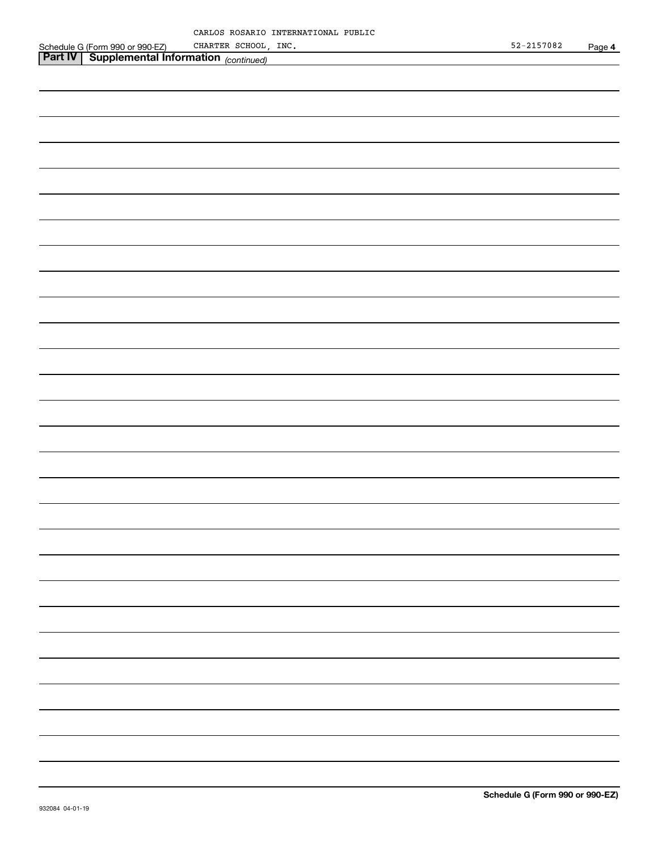|         | CARLOS ROSARIO INTERNATIONAL PUBLIC |  |
|---------|-------------------------------------|--|
| 990-EZ) | CHARTER SCHOOL, INC.                |  |

|                                                                                                             | CHARTER SCHOOL, INC. |  |  | 52-2157082 | Page 4 |
|-------------------------------------------------------------------------------------------------------------|----------------------|--|--|------------|--------|
| Schedule G (Form 990 or 990 EZ) CHARTER SCHOOL ,<br>Part IV Supplemental Information <sub>(continued)</sub> |                      |  |  |            |        |
|                                                                                                             |                      |  |  |            |        |
|                                                                                                             |                      |  |  |            |        |
|                                                                                                             |                      |  |  |            |        |
|                                                                                                             |                      |  |  |            |        |
|                                                                                                             |                      |  |  |            |        |
|                                                                                                             |                      |  |  |            |        |
|                                                                                                             |                      |  |  |            |        |
|                                                                                                             |                      |  |  |            |        |
|                                                                                                             |                      |  |  |            |        |
|                                                                                                             |                      |  |  |            |        |
|                                                                                                             |                      |  |  |            |        |
|                                                                                                             |                      |  |  |            |        |
|                                                                                                             |                      |  |  |            |        |
|                                                                                                             |                      |  |  |            |        |
|                                                                                                             |                      |  |  |            |        |
|                                                                                                             |                      |  |  |            |        |
|                                                                                                             |                      |  |  |            |        |
|                                                                                                             |                      |  |  |            |        |
|                                                                                                             |                      |  |  |            |        |
|                                                                                                             |                      |  |  |            |        |
|                                                                                                             |                      |  |  |            |        |
|                                                                                                             |                      |  |  |            |        |
|                                                                                                             |                      |  |  |            |        |
|                                                                                                             |                      |  |  |            |        |
|                                                                                                             |                      |  |  |            |        |
|                                                                                                             |                      |  |  |            |        |
|                                                                                                             |                      |  |  |            |        |
|                                                                                                             |                      |  |  |            |        |
|                                                                                                             |                      |  |  |            |        |
|                                                                                                             |                      |  |  |            |        |
|                                                                                                             |                      |  |  |            |        |
|                                                                                                             |                      |  |  |            |        |
|                                                                                                             |                      |  |  |            |        |
|                                                                                                             |                      |  |  |            |        |
|                                                                                                             |                      |  |  |            |        |
|                                                                                                             |                      |  |  |            |        |
|                                                                                                             |                      |  |  |            |        |
|                                                                                                             |                      |  |  |            |        |
|                                                                                                             |                      |  |  |            |        |
|                                                                                                             |                      |  |  |            |        |
|                                                                                                             |                      |  |  |            |        |
|                                                                                                             |                      |  |  |            |        |
|                                                                                                             |                      |  |  |            |        |
|                                                                                                             |                      |  |  |            |        |
|                                                                                                             |                      |  |  |            |        |
|                                                                                                             |                      |  |  |            |        |
|                                                                                                             |                      |  |  |            |        |
|                                                                                                             |                      |  |  |            |        |
|                                                                                                             |                      |  |  |            |        |
|                                                                                                             |                      |  |  |            |        |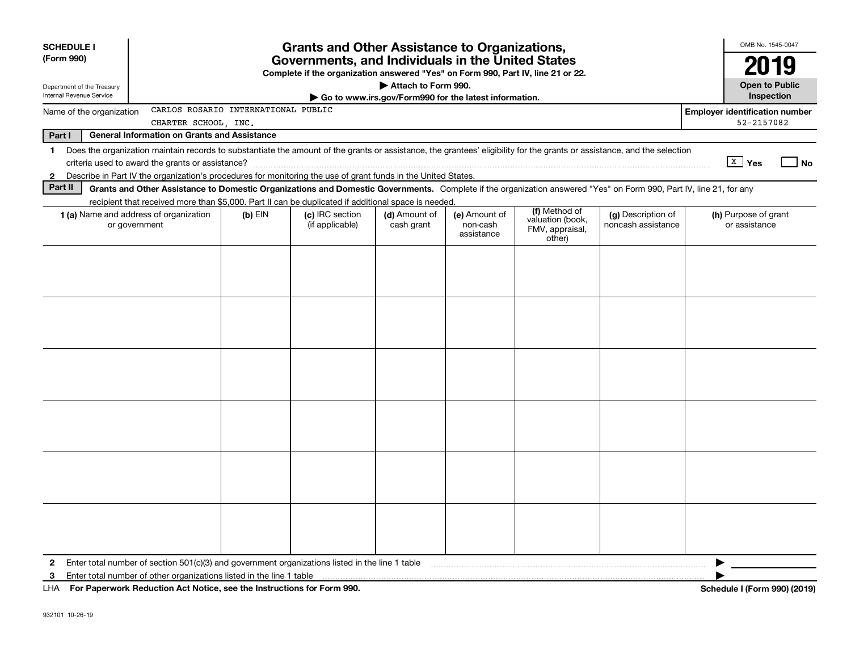| <b>SCHEDULE I</b><br>(Form 990)<br>Department of the Treasury              |                                                                                                                                                                          | <b>Grants and Other Assistance to Organizations,</b><br>Governments, and Individuals in the United States<br>Complete if the organization answered "Yes" on Form 990, Part IV, line 21 or 22. |                                    | OMB No. 1545-0047<br>2019<br><b>Open to Public</b> |                                                       |                                               |                                          |                                       |
|----------------------------------------------------------------------------|--------------------------------------------------------------------------------------------------------------------------------------------------------------------------|-----------------------------------------------------------------------------------------------------------------------------------------------------------------------------------------------|------------------------------------|----------------------------------------------------|-------------------------------------------------------|-----------------------------------------------|------------------------------------------|---------------------------------------|
| Internal Revenue Service                                                   |                                                                                                                                                                          |                                                                                                                                                                                               |                                    |                                                    | Go to www.irs.gov/Form990 for the latest information. |                                               |                                          | Inspection                            |
| Name of the organization                                                   |                                                                                                                                                                          | CARLOS ROSARIO INTERNATIONAL PUBLIC                                                                                                                                                           |                                    |                                                    |                                                       |                                               |                                          | <b>Employer identification number</b> |
|                                                                            | CHARTER SCHOOL, INC.                                                                                                                                                     |                                                                                                                                                                                               |                                    |                                                    |                                                       |                                               |                                          | 52-2157082                            |
| Part I                                                                     | <b>General Information on Grants and Assistance</b>                                                                                                                      |                                                                                                                                                                                               |                                    |                                                    |                                                       |                                               |                                          |                                       |
| $\mathbf 1$                                                                | Does the organization maintain records to substantiate the amount of the grants or assistance, the grantees' eligibility for the grants or assistance, and the selection |                                                                                                                                                                                               |                                    |                                                    |                                                       |                                               |                                          |                                       |
|                                                                            |                                                                                                                                                                          |                                                                                                                                                                                               |                                    |                                                    |                                                       |                                               |                                          | $\boxed{\text{X}}$ Yes<br><b>No</b>   |
| $\mathbf{2}$                                                               | Describe in Part IV the organization's procedures for monitoring the use of grant funds in the United States.                                                            |                                                                                                                                                                                               |                                    |                                                    |                                                       |                                               |                                          |                                       |
| Part II                                                                    | Grants and Other Assistance to Domestic Organizations and Domestic Governments. Complete if the organization answered "Yes" on Form 990, Part IV, line 21, for any       |                                                                                                                                                                                               |                                    |                                                    |                                                       |                                               |                                          |                                       |
|                                                                            | recipient that received more than \$5,000. Part II can be duplicated if additional space is needed.                                                                      |                                                                                                                                                                                               |                                    |                                                    |                                                       | (f) Method of                                 |                                          |                                       |
|                                                                            | 1 (a) Name and address of organization<br>or government                                                                                                                  | $(b)$ EIN                                                                                                                                                                                     | (c) IRC section<br>(if applicable) | (d) Amount of<br>cash grant                        | (e) Amount of<br>non-cash<br>assistance               | valuation (book,<br>FMV, appraisal,<br>other) | (g) Description of<br>noncash assistance | (h) Purpose of grant<br>or assistance |
|                                                                            |                                                                                                                                                                          |                                                                                                                                                                                               |                                    |                                                    |                                                       |                                               |                                          |                                       |
|                                                                            |                                                                                                                                                                          |                                                                                                                                                                                               |                                    |                                                    |                                                       |                                               |                                          |                                       |
|                                                                            |                                                                                                                                                                          |                                                                                                                                                                                               |                                    |                                                    |                                                       |                                               |                                          |                                       |
|                                                                            |                                                                                                                                                                          |                                                                                                                                                                                               |                                    |                                                    |                                                       |                                               |                                          |                                       |
|                                                                            |                                                                                                                                                                          |                                                                                                                                                                                               |                                    |                                                    |                                                       |                                               |                                          |                                       |
|                                                                            |                                                                                                                                                                          |                                                                                                                                                                                               |                                    |                                                    |                                                       |                                               |                                          |                                       |
|                                                                            |                                                                                                                                                                          |                                                                                                                                                                                               |                                    |                                                    |                                                       |                                               |                                          |                                       |
|                                                                            |                                                                                                                                                                          |                                                                                                                                                                                               |                                    |                                                    |                                                       |                                               |                                          |                                       |
|                                                                            |                                                                                                                                                                          |                                                                                                                                                                                               |                                    |                                                    |                                                       |                                               |                                          |                                       |
|                                                                            |                                                                                                                                                                          |                                                                                                                                                                                               |                                    |                                                    |                                                       |                                               |                                          |                                       |
|                                                                            |                                                                                                                                                                          |                                                                                                                                                                                               |                                    |                                                    |                                                       |                                               |                                          |                                       |
|                                                                            |                                                                                                                                                                          |                                                                                                                                                                                               |                                    |                                                    |                                                       |                                               |                                          |                                       |
|                                                                            |                                                                                                                                                                          |                                                                                                                                                                                               |                                    |                                                    |                                                       |                                               |                                          |                                       |
|                                                                            |                                                                                                                                                                          |                                                                                                                                                                                               |                                    |                                                    |                                                       |                                               |                                          |                                       |
|                                                                            |                                                                                                                                                                          |                                                                                                                                                                                               |                                    |                                                    |                                                       |                                               |                                          |                                       |
|                                                                            |                                                                                                                                                                          |                                                                                                                                                                                               |                                    |                                                    |                                                       |                                               |                                          |                                       |
|                                                                            |                                                                                                                                                                          |                                                                                                                                                                                               |                                    |                                                    |                                                       |                                               |                                          |                                       |
|                                                                            |                                                                                                                                                                          |                                                                                                                                                                                               |                                    |                                                    |                                                       |                                               |                                          |                                       |
|                                                                            |                                                                                                                                                                          |                                                                                                                                                                                               |                                    |                                                    |                                                       |                                               |                                          |                                       |
|                                                                            |                                                                                                                                                                          |                                                                                                                                                                                               |                                    |                                                    |                                                       |                                               |                                          |                                       |
|                                                                            |                                                                                                                                                                          |                                                                                                                                                                                               |                                    |                                                    |                                                       |                                               |                                          |                                       |
| $\mathbf{2}$                                                               | Enter total number of section $501(c)(3)$ and government organizations listed in the line 1 table                                                                        |                                                                                                                                                                                               |                                    |                                                    |                                                       |                                               |                                          |                                       |
| 3                                                                          | Enter total number of other organizations listed in the line 1 table                                                                                                     |                                                                                                                                                                                               |                                    |                                                    |                                                       |                                               |                                          |                                       |
| LHA For Paperwork Reduction Act Notice, see the Instructions for Form 990. |                                                                                                                                                                          |                                                                                                                                                                                               |                                    |                                                    |                                                       |                                               |                                          | Schedule I (Form 990) (2019)          |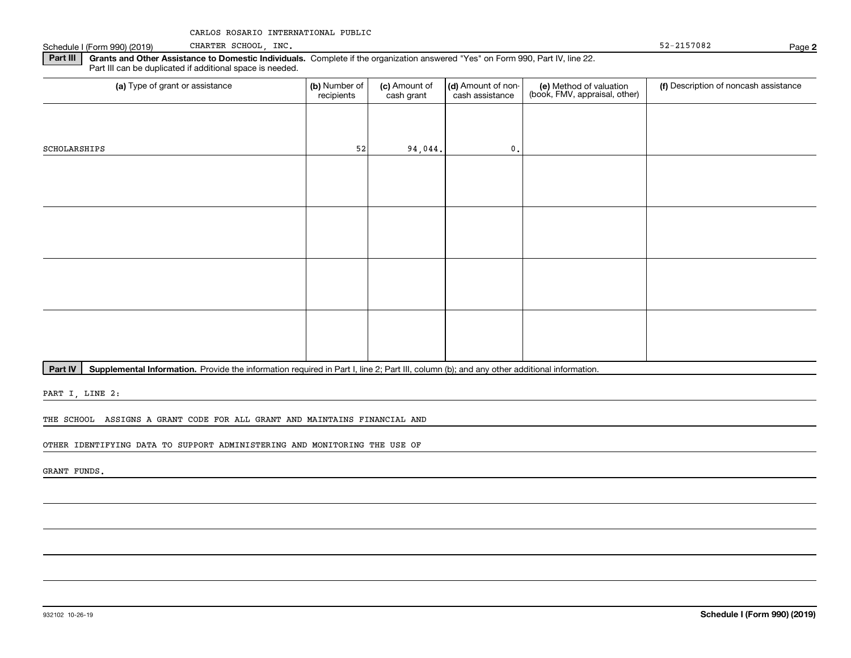Schedule I (Form 990) (2019) CHARTER SCHOOL , INC . The contract of the contract of the contract of the contract of the contract of the contract of the contract of the contract of the contract of the contract of the contra CHARTER SCHOOL, INC.

**2**

**Part III | Grants and Other Assistance to Domestic Individuals. Complete if the organization answered "Yes" on Form 990, Part IV, line 22.** Part III can be duplicated if additional space is needed.

| (a) Type of grant or assistance | (b) Number of<br>recipients | (c) Amount of<br>cash grant | (d) Amount of non-<br>cash assistance | (e) Method of valuation<br>(book, FMV, appraisal, other) | (f) Description of noncash assistance |
|---------------------------------|-----------------------------|-----------------------------|---------------------------------------|----------------------------------------------------------|---------------------------------------|
|                                 |                             |                             |                                       |                                                          |                                       |
| SCHOLARSHIPS                    | 52                          | 94,044.                     | $\mathbf{0}$ .                        |                                                          |                                       |
|                                 |                             |                             |                                       |                                                          |                                       |
|                                 |                             |                             |                                       |                                                          |                                       |
|                                 |                             |                             |                                       |                                                          |                                       |
|                                 |                             |                             |                                       |                                                          |                                       |
|                                 |                             |                             |                                       |                                                          |                                       |
|                                 |                             |                             |                                       |                                                          |                                       |
|                                 |                             |                             |                                       |                                                          |                                       |
|                                 |                             |                             |                                       |                                                          |                                       |

Part IV | Supplemental Information. Provide the information required in Part I, line 2; Part III, column (b); and any other additional information.

PART I, LINE 2:

THE SCHOOL ASSIGNS A GRANT CODE FOR ALL GRANT AND MAINTAINS FINANCIAL AND

OTHER IDENTIFYING DATA TO SUPPORT ADMINISTERING AND MONITORING THE USE OF

GRANT FUNDS.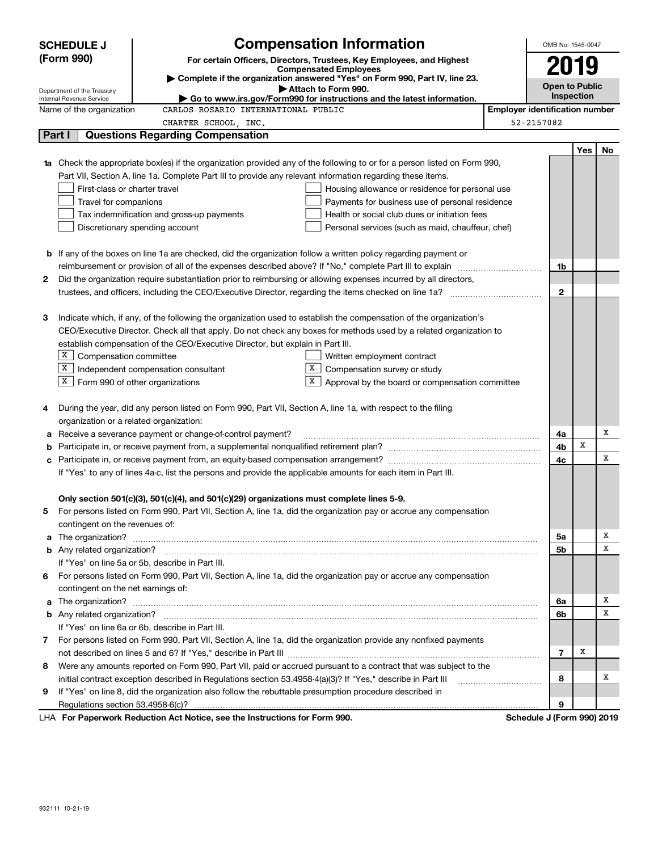| <b>Compensation Information</b><br><b>SCHEDULE J</b> |                                                                                                                  |                                                                                                                        |                                                                                                                           |                                       | OMB No. 1545-0047     |     |    |
|------------------------------------------------------|------------------------------------------------------------------------------------------------------------------|------------------------------------------------------------------------------------------------------------------------|---------------------------------------------------------------------------------------------------------------------------|---------------------------------------|-----------------------|-----|----|
|                                                      | (Form 990)                                                                                                       |                                                                                                                        | For certain Officers, Directors, Trustees, Key Employees, and Highest                                                     |                                       |                       |     |    |
|                                                      |                                                                                                                  |                                                                                                                        | <b>Compensated Employees</b>                                                                                              |                                       | 2019                  |     |    |
|                                                      | Department of the Treasury                                                                                       |                                                                                                                        | Complete if the organization answered "Yes" on Form 990, Part IV, line 23.<br>Attach to Form 990.                         |                                       | <b>Open to Public</b> |     |    |
|                                                      | Internal Revenue Service                                                                                         |                                                                                                                        | Go to www.irs.gov/Form990 for instructions and the latest information.                                                    |                                       | Inspection            |     |    |
|                                                      | Name of the organization                                                                                         | CARLOS ROSARIO INTERNATIONAL PUBLIC                                                                                    |                                                                                                                           | <b>Employer identification number</b> |                       |     |    |
|                                                      |                                                                                                                  | CHARTER SCHOOL, INC.                                                                                                   |                                                                                                                           | 52-2157082                            |                       |     |    |
|                                                      | Part I                                                                                                           | <b>Questions Regarding Compensation</b>                                                                                |                                                                                                                           |                                       |                       |     |    |
|                                                      |                                                                                                                  |                                                                                                                        |                                                                                                                           |                                       |                       | Yes | No |
|                                                      |                                                                                                                  |                                                                                                                        | 1a Check the appropriate box(es) if the organization provided any of the following to or for a person listed on Form 990, |                                       |                       |     |    |
|                                                      |                                                                                                                  | Part VII, Section A, line 1a. Complete Part III to provide any relevant information regarding these items.             |                                                                                                                           |                                       |                       |     |    |
|                                                      | First-class or charter travel                                                                                    |                                                                                                                        | Housing allowance or residence for personal use                                                                           |                                       |                       |     |    |
|                                                      | Travel for companions                                                                                            |                                                                                                                        | Payments for business use of personal residence                                                                           |                                       |                       |     |    |
|                                                      |                                                                                                                  | Tax indemnification and gross-up payments                                                                              | Health or social club dues or initiation fees                                                                             |                                       |                       |     |    |
|                                                      |                                                                                                                  | Discretionary spending account                                                                                         | Personal services (such as maid, chauffeur, chef)                                                                         |                                       |                       |     |    |
|                                                      |                                                                                                                  |                                                                                                                        |                                                                                                                           |                                       |                       |     |    |
|                                                      |                                                                                                                  | <b>b</b> If any of the boxes on line 1a are checked, did the organization follow a written policy regarding payment or |                                                                                                                           |                                       |                       |     |    |
|                                                      |                                                                                                                  |                                                                                                                        |                                                                                                                           |                                       | 1b                    |     |    |
| 2                                                    | Did the organization require substantiation prior to reimbursing or allowing expenses incurred by all directors, |                                                                                                                        |                                                                                                                           |                                       |                       |     |    |
|                                                      |                                                                                                                  |                                                                                                                        |                                                                                                                           |                                       |                       |     |    |
|                                                      |                                                                                                                  |                                                                                                                        |                                                                                                                           |                                       |                       |     |    |
| З                                                    |                                                                                                                  |                                                                                                                        | Indicate which, if any, of the following the organization used to establish the compensation of the organization's        |                                       |                       |     |    |
|                                                      |                                                                                                                  |                                                                                                                        | CEO/Executive Director. Check all that apply. Do not check any boxes for methods used by a related organization to        |                                       |                       |     |    |
|                                                      |                                                                                                                  | establish compensation of the CEO/Executive Director, but explain in Part III.                                         |                                                                                                                           |                                       |                       |     |    |
|                                                      | X Compensation committee                                                                                         |                                                                                                                        | Written employment contract<br>X                                                                                          |                                       |                       |     |    |
|                                                      |                                                                                                                  | $X$ Independent compensation consultant                                                                                | Compensation survey or study                                                                                              |                                       |                       |     |    |
|                                                      | $X$ Form 990 of other organizations                                                                              |                                                                                                                        | $X$ Approval by the board or compensation committee                                                                       |                                       |                       |     |    |
| 4                                                    |                                                                                                                  | During the year, did any person listed on Form 990, Part VII, Section A, line 1a, with respect to the filing           |                                                                                                                           |                                       |                       |     |    |
|                                                      | organization or a related organization:                                                                          |                                                                                                                        |                                                                                                                           |                                       |                       |     |    |
| а                                                    |                                                                                                                  | Receive a severance payment or change-of-control payment?                                                              |                                                                                                                           |                                       | 4a                    |     | х  |
| b                                                    |                                                                                                                  |                                                                                                                        |                                                                                                                           |                                       | 4b                    | x   |    |
| с                                                    |                                                                                                                  |                                                                                                                        |                                                                                                                           |                                       | 4с                    |     | x  |
|                                                      |                                                                                                                  | If "Yes" to any of lines 4a-c, list the persons and provide the applicable amounts for each item in Part III.          |                                                                                                                           |                                       |                       |     |    |
|                                                      |                                                                                                                  |                                                                                                                        |                                                                                                                           |                                       |                       |     |    |
|                                                      |                                                                                                                  | Only section 501(c)(3), 501(c)(4), and 501(c)(29) organizations must complete lines 5-9.                               |                                                                                                                           |                                       |                       |     |    |
|                                                      |                                                                                                                  |                                                                                                                        | For persons listed on Form 990, Part VII, Section A, line 1a, did the organization pay or accrue any compensation         |                                       |                       |     |    |
|                                                      | contingent on the revenues of:                                                                                   |                                                                                                                        |                                                                                                                           |                                       |                       |     |    |
|                                                      |                                                                                                                  |                                                                                                                        | a The organization? <b>Entitled Strategies and Strategies and Strategies</b> and The organization?                        |                                       | 5а                    |     | х  |
|                                                      |                                                                                                                  |                                                                                                                        |                                                                                                                           |                                       | 5b                    |     | х  |
|                                                      |                                                                                                                  | If "Yes" on line 5a or 5b, describe in Part III.                                                                       |                                                                                                                           |                                       |                       |     |    |
| 6.                                                   |                                                                                                                  |                                                                                                                        | For persons listed on Form 990, Part VII, Section A, line 1a, did the organization pay or accrue any compensation         |                                       |                       |     |    |
|                                                      | contingent on the net earnings of:                                                                               |                                                                                                                        |                                                                                                                           |                                       |                       |     |    |
|                                                      |                                                                                                                  |                                                                                                                        | a The organization? <b>Entitled Strategies and Strategies and Strategies</b> and The organization?                        |                                       | 6a                    |     | х  |
|                                                      |                                                                                                                  |                                                                                                                        |                                                                                                                           |                                       | 6b                    |     | х  |
|                                                      |                                                                                                                  | If "Yes" on line 6a or 6b, describe in Part III.                                                                       |                                                                                                                           |                                       |                       |     |    |
|                                                      |                                                                                                                  |                                                                                                                        | 7 For persons listed on Form 990, Part VII, Section A, line 1a, did the organization provide any nonfixed payments        |                                       |                       |     |    |
|                                                      |                                                                                                                  |                                                                                                                        |                                                                                                                           |                                       | 7                     | Х   |    |
| 8                                                    |                                                                                                                  |                                                                                                                        | Were any amounts reported on Form 990, Part VII, paid or accrued pursuant to a contract that was subject to the           |                                       |                       |     |    |
|                                                      |                                                                                                                  | initial contract exception described in Regulations section 53.4958-4(a)(3)? If "Yes," describe in Part III            |                                                                                                                           |                                       | 8                     |     | х  |
| 9                                                    |                                                                                                                  | If "Yes" on line 8, did the organization also follow the rebuttable presumption procedure described in                 |                                                                                                                           |                                       |                       |     |    |
|                                                      |                                                                                                                  |                                                                                                                        |                                                                                                                           |                                       | 9                     |     |    |
|                                                      |                                                                                                                  | LHA For Paperwork Reduction Act Notice, see the Instructions for Form 990.                                             |                                                                                                                           | Schedule J (Form 990) 2019            |                       |     |    |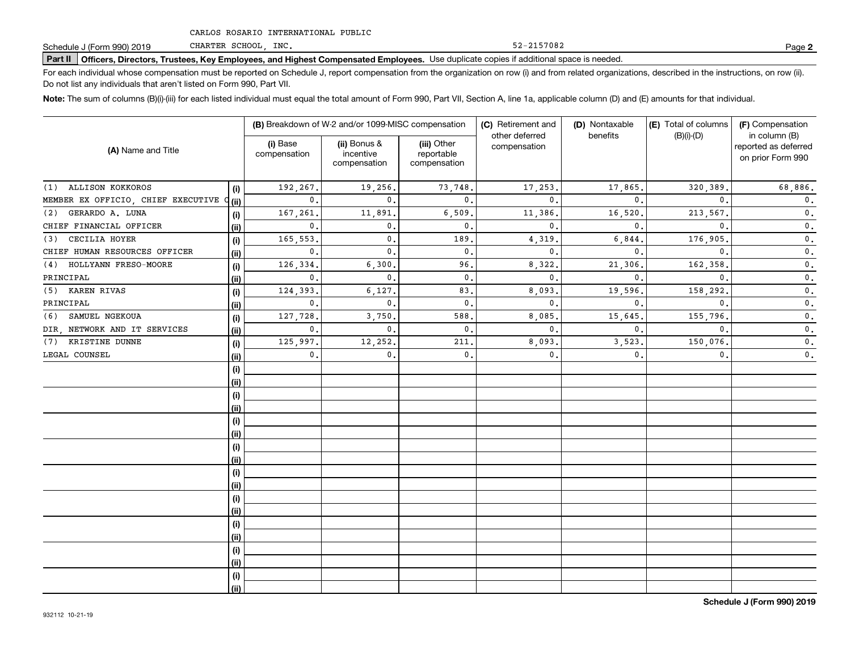CHARTER SCHOOL, INC.

52-2157082

**2**

# **Part II Officers, Directors, Trustees, Key Employees, and Highest Compensated Employees.**  Schedule J (Form 990) 2019 Page Use duplicate copies if additional space is needed.

For each individual whose compensation must be reported on Schedule J, report compensation from the organization on row (i) and from related organizations, described in the instructions, on row (ii). Do not list any individuals that aren't listed on Form 990, Part VII.

**Note:**  The sum of columns (B)(i)-(iii) for each listed individual must equal the total amount of Form 990, Part VII, Section A, line 1a, applicable column (D) and (E) amounts for that individual.

|                                         |      | (B) Breakdown of W-2 and/or 1099-MISC compensation |                                           |                                           | (C) Retirement and             | (D) Nontaxable | (E) Total of columns | (F) Compensation                                           |  |
|-----------------------------------------|------|----------------------------------------------------|-------------------------------------------|-------------------------------------------|--------------------------------|----------------|----------------------|------------------------------------------------------------|--|
| (A) Name and Title                      |      | (i) Base<br>compensation                           | (ii) Bonus &<br>incentive<br>compensation | (iii) Other<br>reportable<br>compensation | other deferred<br>compensation | benefits       | $(B)(i)-(D)$         | in column (B)<br>reported as deferred<br>on prior Form 990 |  |
| ALLISON KOKKOROS<br>(1)                 | (i)  | 192,267.                                           | 19,256.                                   | 73,748.                                   | 17,253                         | 17,865.        | 320,389              | 68,886.                                                    |  |
| MEMBER EX OFFICIO, CHIEF EXECUTIVE<br>O | (ii) | $\mathbf 0$ .                                      | $\mathbf{0}$ .                            | $\mathbf{0}$ .                            | $\mathbf{0}$ .                 | $\mathbf{0}$ . | $\mathbf{0}$ .       | $\mathfrak o$ .                                            |  |
| GERARDO A. LUNA<br>(2)                  | (i)  | 167,261                                            | 11,891                                    | 6,509.                                    | 11,386                         | 16,520         | 213,567.             | $\mathbf 0$ .                                              |  |
| CHIEF FINANCIAL OFFICER                 | (ii) | 0.                                                 | 0.                                        | $\mathbf{0}$ .                            | 0                              | $\mathbf{0}$   | $\mathbf{0}$ .       | $\mathbf 0$ .                                              |  |
| CECILIA HOYER<br>(3)                    | (i)  | 165,553.                                           | $\mathbf{0}$ .                            | 189                                       | 4,319                          | 6,844          | 176,905              | $\mathfrak o$ .                                            |  |
| CHIEF HUMAN RESOURCES OFFICER           | (ii) | $\mathbf{0}$ .                                     | $\mathbf 0$ .                             | 0.                                        | $\mathbf{0}$ .                 | $\mathbf{0}$ . | $\mathbf{0}$         | $\mathbf 0$ .                                              |  |
| HOLLYANN FRESO-MOORE<br>(4)             | (i)  | 126,334                                            | 6,300.                                    | 96.                                       | 8,322                          | 21,306         | 162,358              | $\mathbf 0$ .                                              |  |
| PRINCIPAL                               | (ii) | $\mathbf{0}$ .                                     | $\mathbf{0}$ .                            | 0.                                        | $\mathbf{0}$ .                 | $\mathbf{0}$ . | $\mathbf{0}$ .       | $\mathbf 0$ .                                              |  |
| KAREN RIVAS<br>(5)                      | (i)  | 124,393                                            | 6,127.                                    | 83.                                       | 8,093                          | 19,596         | 158,292              | $\mathbf 0$ .                                              |  |
| PRINCIPAL                               | (ii) | $\mathbf 0$ .                                      | $\mathbf 0$ .                             | 0.                                        | $\mathbf{0}$ .                 | $\mathbf{0}$ . | $\mathbf{0}$         | $\mathbf 0$ .                                              |  |
| SAMUEL NGEKOUA<br>(6)                   | (i)  | 127,728                                            | 3,750                                     | 588,                                      | 8,085                          | 15,645         | 155,796              | $\mathbf 0$ .                                              |  |
| DIR, NETWORK AND IT SERVICES            | (i)  | $\mathbf 0$ .                                      | $\mathbf 0$ .                             | 0.                                        | $\mathbf{0}$ .                 | $\mathbf{0}$ . | 0.                   | $\mathbf 0$ .                                              |  |
| KRISTINE DUNNE<br>(7)                   | (i)  | 125,997.                                           | 12,252.                                   | 211,                                      | 8,093                          | 3,523.         | 150,076.             | $\mathbf 0$ .                                              |  |
| LEGAL COUNSEL                           | (ii) | $\mathbf{0}$ .                                     | $\mathbf{0}$ .                            | $\mathbf{0}$ .                            | 0.                             | 0.             | $\mathbf{0}$ .       | 0.                                                         |  |
|                                         | (i)  |                                                    |                                           |                                           |                                |                |                      |                                                            |  |
|                                         | (ii) |                                                    |                                           |                                           |                                |                |                      |                                                            |  |
|                                         | (i)  |                                                    |                                           |                                           |                                |                |                      |                                                            |  |
|                                         | (ii) |                                                    |                                           |                                           |                                |                |                      |                                                            |  |
|                                         | (i)  |                                                    |                                           |                                           |                                |                |                      |                                                            |  |
|                                         | (ii) |                                                    |                                           |                                           |                                |                |                      |                                                            |  |
|                                         | (i)  |                                                    |                                           |                                           |                                |                |                      |                                                            |  |
|                                         | (ii) |                                                    |                                           |                                           |                                |                |                      |                                                            |  |
|                                         | (i)  |                                                    |                                           |                                           |                                |                |                      |                                                            |  |
|                                         | (ii) |                                                    |                                           |                                           |                                |                |                      |                                                            |  |
|                                         | (i)  |                                                    |                                           |                                           |                                |                |                      |                                                            |  |
|                                         | (ii) |                                                    |                                           |                                           |                                |                |                      |                                                            |  |
|                                         | (i)  |                                                    |                                           |                                           |                                |                |                      |                                                            |  |
|                                         | (ii) |                                                    |                                           |                                           |                                |                |                      |                                                            |  |
|                                         | (i)  |                                                    |                                           |                                           |                                |                |                      |                                                            |  |
|                                         | (ii) |                                                    |                                           |                                           |                                |                |                      |                                                            |  |
|                                         | (i)  |                                                    |                                           |                                           |                                |                |                      |                                                            |  |
|                                         | (ii) |                                                    |                                           |                                           |                                |                |                      |                                                            |  |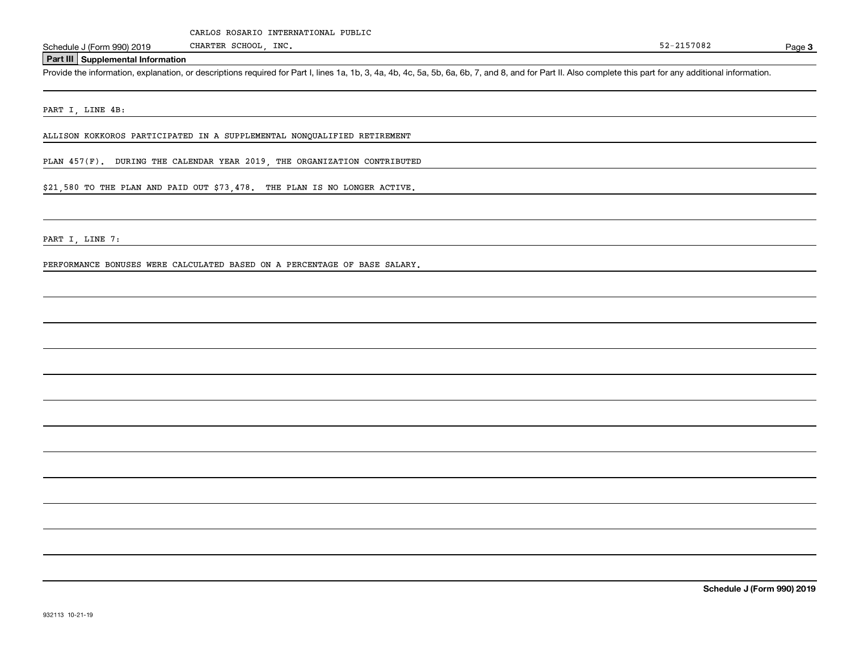#### **Part III Supplemental Information**

Schedule J (Form 990) 2019 CHARTER SCHOOL, INC.<br>Part III Supplemental Information<br>Provide the information, explanation, or descriptions required for Part I, lines 1a, 1b, 3, 4a, 4b, 4c, 5a, 5b, 6a, 6b, 7, and 8, and for Pa

PART I, LINE 4B:

ALLISON KOKKOROS PARTICIPATED IN A SUPPLEMENTAL NONQUALIFIED RETIREMENT

PLAN 457(F). DURING THE CALENDAR YEAR 2019, THE ORGANIZATION CONTRIBUTED

CHARTER SCHOOL, INC.

\$21,580 TO THE PLAN AND PAID OUT \$73,478. THE PLAN IS NO LONGER ACTIVE.

PART I, LINE 7:

PERFORMANCE BONUSES WERE CALCULATED BASED ON A PERCENTAGE OF BASE SALARY.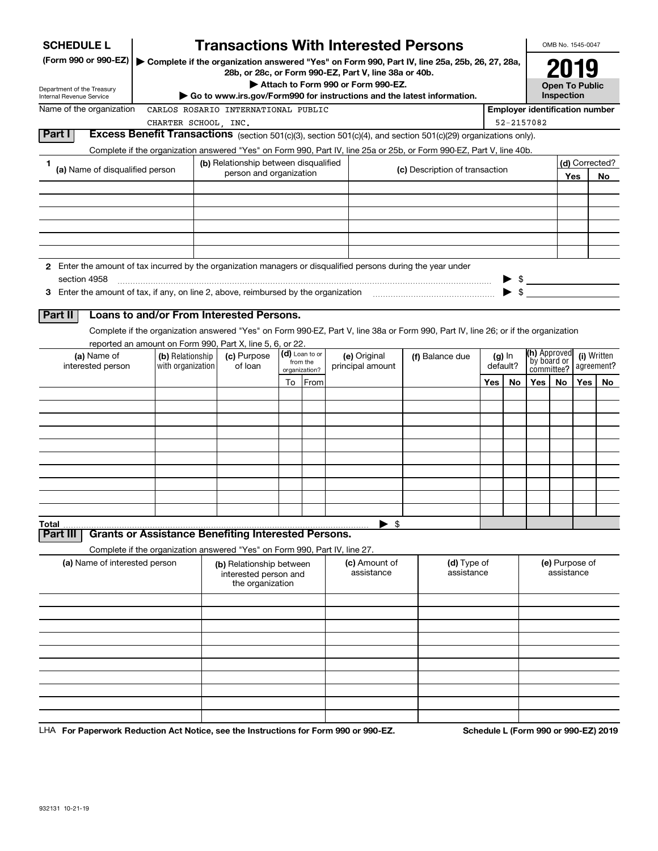| <b>SCHEDULE L</b>                                                                                             |                                       |  |                                                                            |                            | <b>Transactions With Interested Persons</b>                            |      |                                                                                                                                    |     |                          |                                       | OMB No. 1545-0047                   |     |                           |
|---------------------------------------------------------------------------------------------------------------|---------------------------------------|--|----------------------------------------------------------------------------|----------------------------|------------------------------------------------------------------------|------|------------------------------------------------------------------------------------------------------------------------------------|-----|--------------------------|---------------------------------------|-------------------------------------|-----|---------------------------|
| (Form 990 or 990-EZ)                                                                                          |                                       |  |                                                                            |                            | 28b, or 28c, or Form 990-EZ, Part V, line 38a or 40b.                  |      | Complete if the organization answered "Yes" on Form 990, Part IV, line 25a, 25b, 26, 27, 28a,                                      |     |                          |                                       |                                     |     |                           |
| Department of the Treasury                                                                                    |                                       |  |                                                                            |                            | Attach to Form 990 or Form 990-EZ.                                     |      |                                                                                                                                    |     |                          |                                       | <b>Open To Public</b><br>Inspection |     |                           |
| Internal Revenue Service<br>Name of the organization                                                          |                                       |  | CARLOS ROSARIO INTERNATIONAL PUBLIC                                        |                            | Go to www.irs.gov/Form990 for instructions and the latest information. |      |                                                                                                                                    |     |                          | <b>Employer identification number</b> |                                     |     |                           |
|                                                                                                               | CHARTER SCHOOL, INC.                  |  |                                                                            |                            |                                                                        |      |                                                                                                                                    |     |                          | 52-2157082                            |                                     |     |                           |
| Part I                                                                                                        |                                       |  |                                                                            |                            |                                                                        |      | Excess Benefit Transactions (section 501(c)(3), section 501(c)(4), and section 501(c)(29) organizations only).                     |     |                          |                                       |                                     |     |                           |
|                                                                                                               |                                       |  |                                                                            |                            |                                                                        |      | Complete if the organization answered "Yes" on Form 990, Part IV, line 25a or 25b, or Form 990-EZ, Part V, line 40b.               |     |                          |                                       |                                     |     |                           |
| 1                                                                                                             |                                       |  | (b) Relationship between disqualified                                      |                            |                                                                        |      |                                                                                                                                    |     |                          |                                       |                                     |     | (d) Corrected?            |
| (a) Name of disqualified person                                                                               |                                       |  | person and organization                                                    |                            |                                                                        |      | (c) Description of transaction                                                                                                     |     |                          |                                       |                                     | Yes | No.                       |
|                                                                                                               |                                       |  |                                                                            |                            |                                                                        |      |                                                                                                                                    |     |                          |                                       |                                     |     |                           |
|                                                                                                               |                                       |  |                                                                            |                            |                                                                        |      |                                                                                                                                    |     |                          |                                       |                                     |     |                           |
|                                                                                                               |                                       |  |                                                                            |                            |                                                                        |      |                                                                                                                                    |     |                          |                                       |                                     |     |                           |
|                                                                                                               |                                       |  |                                                                            |                            |                                                                        |      |                                                                                                                                    |     |                          |                                       |                                     |     |                           |
|                                                                                                               |                                       |  |                                                                            |                            |                                                                        |      |                                                                                                                                    |     |                          |                                       |                                     |     |                           |
| 2 Enter the amount of tax incurred by the organization managers or disqualified persons during the year under |                                       |  |                                                                            |                            |                                                                        |      |                                                                                                                                    |     |                          |                                       |                                     |     |                           |
| section 4958                                                                                                  |                                       |  |                                                                            |                            |                                                                        |      |                                                                                                                                    |     |                          | $\triangleright$ \$                   |                                     |     |                           |
|                                                                                                               |                                       |  |                                                                            |                            |                                                                        |      |                                                                                                                                    |     | $\blacktriangleright$ \$ |                                       |                                     |     |                           |
|                                                                                                               |                                       |  |                                                                            |                            |                                                                        |      |                                                                                                                                    |     |                          |                                       |                                     |     |                           |
| Part II                                                                                                       |                                       |  | Loans to and/or From Interested Persons.                                   |                            |                                                                        |      |                                                                                                                                    |     |                          |                                       |                                     |     |                           |
|                                                                                                               |                                       |  |                                                                            |                            |                                                                        |      | Complete if the organization answered "Yes" on Form 990-EZ, Part V, line 38a or Form 990, Part IV, line 26; or if the organization |     |                          |                                       |                                     |     |                           |
|                                                                                                               |                                       |  | reported an amount on Form 990, Part X, line 5, 6, or 22.                  |                            |                                                                        |      |                                                                                                                                    |     |                          |                                       |                                     |     |                           |
| (a) Name of<br>interested person                                                                              | (b) Relationship<br>with organization |  | (c) Purpose<br>of loan                                                     | (d) Loan to or<br>from the | (e) Original<br>principal amount                                       |      | (f) Balance due                                                                                                                    |     | $(g)$ In<br>default?     | (h) Approved<br>by board or           |                                     |     | (i) Written<br>agreement? |
|                                                                                                               |                                       |  |                                                                            | organization?              |                                                                        |      |                                                                                                                                    |     |                          | committee?                            |                                     |     |                           |
|                                                                                                               |                                       |  |                                                                            | To From                    |                                                                        |      |                                                                                                                                    | Yes | No.                      | Yes                                   | No.                                 | Yes | No.                       |
|                                                                                                               |                                       |  |                                                                            |                            |                                                                        |      |                                                                                                                                    |     |                          |                                       |                                     |     |                           |
|                                                                                                               |                                       |  |                                                                            |                            |                                                                        |      |                                                                                                                                    |     |                          |                                       |                                     |     |                           |
|                                                                                                               |                                       |  |                                                                            |                            |                                                                        |      |                                                                                                                                    |     |                          |                                       |                                     |     |                           |
|                                                                                                               |                                       |  |                                                                            |                            |                                                                        |      |                                                                                                                                    |     |                          |                                       |                                     |     |                           |
|                                                                                                               |                                       |  |                                                                            |                            |                                                                        |      |                                                                                                                                    |     |                          |                                       |                                     |     |                           |
|                                                                                                               |                                       |  |                                                                            |                            |                                                                        |      |                                                                                                                                    |     |                          |                                       |                                     |     |                           |
|                                                                                                               |                                       |  |                                                                            |                            |                                                                        |      |                                                                                                                                    |     |                          |                                       |                                     |     |                           |
|                                                                                                               |                                       |  |                                                                            |                            |                                                                        |      |                                                                                                                                    |     |                          |                                       |                                     |     |                           |
|                                                                                                               |                                       |  |                                                                            |                            |                                                                        | - \$ |                                                                                                                                    |     |                          |                                       |                                     |     |                           |
| Total<br>Part III                                                                                             |                                       |  | <b>Grants or Assistance Benefiting Interested Persons.</b>                 |                            | ▶                                                                      |      |                                                                                                                                    |     |                          |                                       |                                     |     |                           |
|                                                                                                               |                                       |  | Complete if the organization answered "Yes" on Form 990, Part IV, line 27. |                            |                                                                        |      |                                                                                                                                    |     |                          |                                       |                                     |     |                           |
| (a) Name of interested person                                                                                 |                                       |  | (b) Relationship between<br>interested person and<br>the organization      |                            | (c) Amount of<br>assistance                                            |      | (d) Type of<br>assistance                                                                                                          |     |                          |                                       | (e) Purpose of<br>assistance        |     |                           |
|                                                                                                               |                                       |  |                                                                            |                            |                                                                        |      |                                                                                                                                    |     |                          |                                       |                                     |     |                           |
|                                                                                                               |                                       |  |                                                                            |                            |                                                                        |      |                                                                                                                                    |     |                          |                                       |                                     |     |                           |
|                                                                                                               |                                       |  |                                                                            |                            |                                                                        |      |                                                                                                                                    |     |                          |                                       |                                     |     |                           |
|                                                                                                               |                                       |  |                                                                            |                            |                                                                        |      |                                                                                                                                    |     |                          |                                       |                                     |     |                           |
|                                                                                                               |                                       |  |                                                                            |                            |                                                                        |      |                                                                                                                                    |     |                          |                                       |                                     |     |                           |
|                                                                                                               |                                       |  |                                                                            |                            |                                                                        |      |                                                                                                                                    |     |                          |                                       |                                     |     |                           |
|                                                                                                               |                                       |  |                                                                            |                            |                                                                        |      |                                                                                                                                    |     |                          |                                       |                                     |     |                           |
|                                                                                                               |                                       |  |                                                                            |                            |                                                                        |      |                                                                                                                                    |     |                          |                                       |                                     |     |                           |
|                                                                                                               |                                       |  |                                                                            |                            |                                                                        |      |                                                                                                                                    |     |                          |                                       |                                     |     |                           |
|                                                                                                               |                                       |  |                                                                            |                            |                                                                        |      |                                                                                                                                    |     |                          |                                       |                                     |     |                           |

LHA For Paperwork Reduction Act Notice, see the Instructions for Form 990 or 990-EZ. Schedule L (Form 990 or 990-EZ) 2019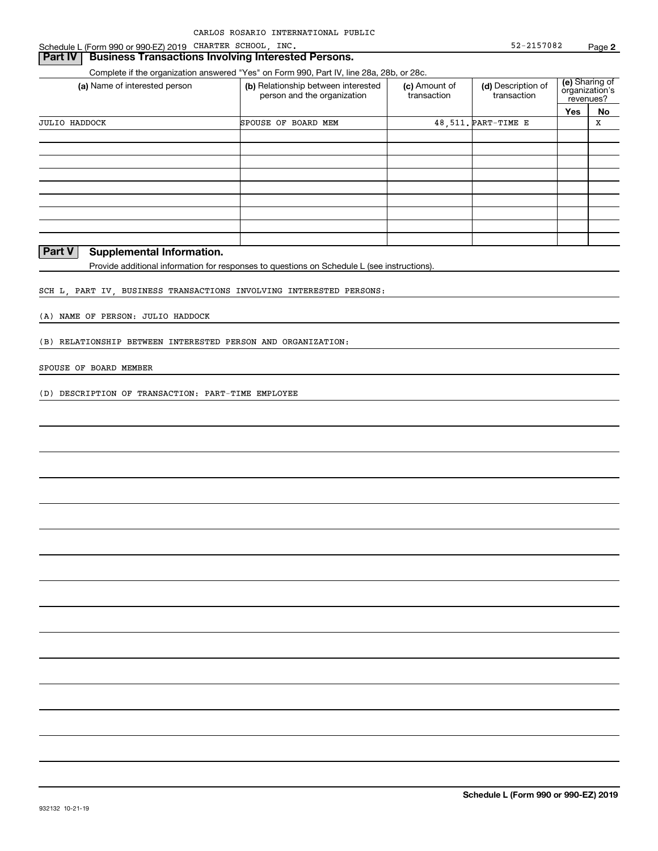#### **Part IV** Business Transactions Involving Interested Persons.

Complete if the organization answered "Yes" on Form 990, Part IV, line 28a, 28b, or 28c.

| (a) Name of interested person | (b) Relationship between interested<br>person and the organization | (c) Amount of<br>transaction | (d) Description of<br>transaction | revenues? | (e) Sharing of<br>organization's |
|-------------------------------|--------------------------------------------------------------------|------------------------------|-----------------------------------|-----------|----------------------------------|
|                               |                                                                    |                              |                                   | Yes       | No                               |
| <b>JULIO HADDOCK</b>          | SPOUSE OF BOARD MEM                                                |                              | 48, 511. PART-TIME E              |           | х                                |
|                               |                                                                    |                              |                                   |           |                                  |
|                               |                                                                    |                              |                                   |           |                                  |
|                               |                                                                    |                              |                                   |           |                                  |
|                               |                                                                    |                              |                                   |           |                                  |
|                               |                                                                    |                              |                                   |           |                                  |
|                               |                                                                    |                              |                                   |           |                                  |
|                               |                                                                    |                              |                                   |           |                                  |
|                               |                                                                    |                              |                                   |           |                                  |
|                               |                                                                    |                              |                                   |           |                                  |

#### **Part V** Supplemental Information.

Provide additional information for responses to questions on Schedule L (see instructions).

SCH L, PART IV, BUSINESS TRANSACTIONS INVOLVING INTERESTED PERSONS:

(A) NAME OF PERSON: JULIO HADDOCK

(B) RELATIONSHIP BETWEEN INTERESTED PERSON AND ORGANIZATION:

#### SPOUSE OF BOARD MEMBER

(D) DESCRIPTION OF TRANSACTION: PART-TIME EMPLOYEE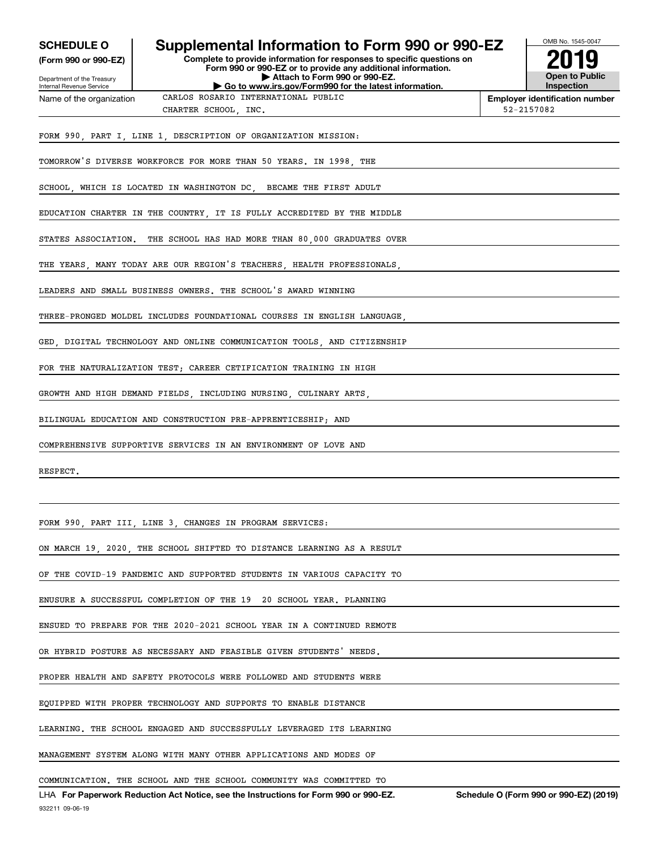| <b>SCHEDULE O</b><br>(Form 990 or 990-EZ)<br>Department of the Treasury | Supplemental Information to Form 990 or 990-EZ<br>Complete to provide information for responses to specific questions on<br>Form 990 or 990-EZ or to provide any additional information.<br>Attach to Form 990 or 990-EZ. | OMB No. 1545-0047<br><b>Open to Public</b><br><b>Inspection</b> |
|-------------------------------------------------------------------------|---------------------------------------------------------------------------------------------------------------------------------------------------------------------------------------------------------------------------|-----------------------------------------------------------------|
| Internal Revenue Service<br>Name of the organization                    | Go to www.irs.gov/Form990 for the latest information.<br>CARLOS ROSARIO INTERNATIONAL PUBLIC                                                                                                                              | <b>Employer identification number</b>                           |
|                                                                         | CHARTER SCHOOL, INC.                                                                                                                                                                                                      | 52-2157082                                                      |
|                                                                         | FORM 990, PART I, LINE 1, DESCRIPTION OF ORGANIZATION MISSION:                                                                                                                                                            |                                                                 |
|                                                                         | TOMORROW'S DIVERSE WORKFORCE FOR MORE THAN 50 YEARS. IN 1998 THE                                                                                                                                                          |                                                                 |
|                                                                         | SCHOOL, WHICH IS LOCATED IN WASHINGTON DC, BECAME THE FIRST ADULT                                                                                                                                                         |                                                                 |
|                                                                         | EDUCATION CHARTER IN THE COUNTRY, IT IS FULLY ACCREDITED BY THE MIDDLE                                                                                                                                                    |                                                                 |
|                                                                         | STATES ASSOCIATION. THE SCHOOL HAS HAD MORE THAN 80,000 GRADUATES OVER                                                                                                                                                    |                                                                 |
|                                                                         | THE YEARS, MANY TODAY ARE OUR REGION'S TEACHERS, HEALTH PROFESSIONALS,                                                                                                                                                    |                                                                 |
|                                                                         | LEADERS AND SMALL BUSINESS OWNERS. THE SCHOOL'S AWARD WINNING                                                                                                                                                             |                                                                 |
|                                                                         | THREE-PRONGED MOLDEL INCLUDES FOUNDATIONAL COURSES IN ENGLISH LANGUAGE                                                                                                                                                    |                                                                 |
|                                                                         | GED, DIGITAL TECHNOLOGY AND ONLINE COMMUNICATION TOOLS, AND CITIZENSHIP                                                                                                                                                   |                                                                 |
|                                                                         | FOR THE NATURALIZATION TEST; CAREER CETIFICATION TRAINING IN HIGH                                                                                                                                                         |                                                                 |
|                                                                         | GROWTH AND HIGH DEMAND FIELDS, INCLUDING NURSING, CULINARY ARTS,                                                                                                                                                          |                                                                 |
|                                                                         | BILINGUAL EDUCATION AND CONSTRUCTION PRE-APPRENTICESHIP; AND                                                                                                                                                              |                                                                 |
|                                                                         | COMPREHENSIVE SUPPORTIVE SERVICES IN AN ENVIRONMENT OF LOVE AND                                                                                                                                                           |                                                                 |
| RESPECT.                                                                |                                                                                                                                                                                                                           |                                                                 |
|                                                                         |                                                                                                                                                                                                                           |                                                                 |
|                                                                         | FORM 990, PART III, LINE 3, CHANGES IN PROGRAM SERVICES:                                                                                                                                                                  |                                                                 |
|                                                                         | ON MARCH 19, 2020, THE SCHOOL SHIFTED TO DISTANCE LEARNING AS A RESULT                                                                                                                                                    |                                                                 |
|                                                                         | OF THE COVID-19 PANDEMIC AND SUPPORTED STUDENTS IN VARIOUS CAPACITY TO                                                                                                                                                    |                                                                 |
|                                                                         | ENUSURE A SUCCESSFUL COMPLETION OF THE 19 20 SCHOOL YEAR. PLANNING                                                                                                                                                        |                                                                 |
|                                                                         | ENSUED TO PREPARE FOR THE 2020-2021 SCHOOL YEAR IN A CONTINUED REMOTE                                                                                                                                                     |                                                                 |
|                                                                         | OR HYBRID POSTURE AS NECESSARY AND FEASIBLE GIVEN STUDENTS' NEEDS.                                                                                                                                                        |                                                                 |
|                                                                         | PROPER HEALTH AND SAFETY PROTOCOLS WERE FOLLOWED AND STUDENTS WERE                                                                                                                                                        |                                                                 |
|                                                                         | EQUIPPED WITH PROPER TECHNOLOGY AND SUPPORTS TO ENABLE DISTANCE                                                                                                                                                           |                                                                 |
|                                                                         | LEARNING. THE SCHOOL ENGAGED AND SUCCESSFULLY LEVERAGED ITS LEARNING                                                                                                                                                      |                                                                 |
|                                                                         | MANAGEMENT SYSTEM ALONG WITH MANY OTHER APPLICATIONS AND MODES OF                                                                                                                                                         |                                                                 |
|                                                                         | COMMUNICATION. THE SCHOOL AND THE SCHOOL COMMUNITY WAS COMMITTED TO<br>LHA For Paperwork Reduction Act Notice, see the Instructions for Form 990 or 990-EZ.                                                               | Schedule O (Form 990 or 990-EZ) (2019)                          |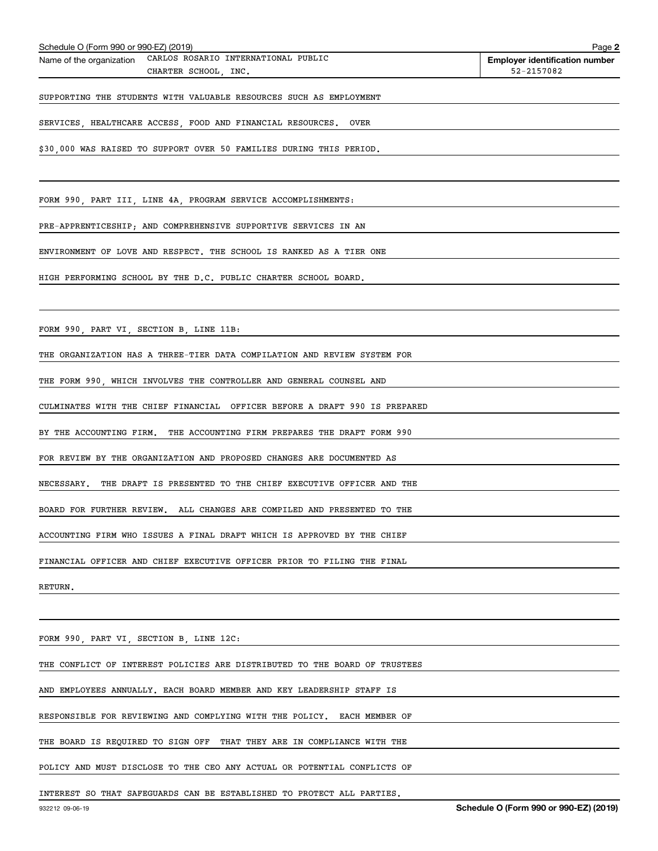| CHARTER SCHOOL, INC.                                                        | 52-2157082 |
|-----------------------------------------------------------------------------|------------|
| SUPPORTING THE STUDENTS WITH VALUABLE RESOURCES SUCH AS EMPLOYMENT          |            |
| SERVICES, HEALTHCARE ACCESS, FOOD AND FINANCIAL RESOURCES.<br><b>OVER</b>   |            |
| \$30,000 WAS RAISED TO SUPPORT OVER 50 FAMILIES DURING THIS PERIOD.         |            |
|                                                                             |            |
| FORM 990, PART III, LINE 4A, PROGRAM SERVICE ACCOMPLISHMENTS:               |            |
| PRE-APPRENTICESHIP; AND COMPREHENSIVE SUPPORTIVE SERVICES IN AN             |            |
| ENVIRONMENT OF LOVE AND RESPECT. THE SCHOOL IS RANKED AS A TIER ONE         |            |
| HIGH PERFORMING SCHOOL BY THE D.C. PUBLIC CHARTER SCHOOL BOARD.             |            |
|                                                                             |            |
| FORM 990, PART VI, SECTION B, LINE 11B:                                     |            |
| THE ORGANIZATION HAS A THREE-TIER DATA COMPILATION AND REVIEW SYSTEM FOR    |            |
| THE FORM 990, WHICH INVOLVES THE CONTROLLER AND GENERAL COUNSEL AND         |            |
| CULMINATES WITH THE CHIEF FINANCIAL OFFICER BEFORE A DRAFT 990 IS PREPARED  |            |
| BY THE ACCOUNTING FIRM. THE ACCOUNTING FIRM PREPARES THE DRAFT FORM 990     |            |
| FOR REVIEW BY THE ORGANIZATION AND PROPOSED CHANGES ARE DOCUMENTED AS       |            |
| NECESSARY.<br>THE DRAFT IS PRESENTED TO THE CHIEF EXECUTIVE OFFICER AND THE |            |
| BOARD FOR FURTHER REVIEW. ALL CHANGES ARE COMPILED AND PRESENTED TO THE     |            |
| ACCOUNTING FIRM WHO ISSUES A FINAL DRAFT WHICH IS APPROVED BY THE CHIEF     |            |
| FINANCIAL OFFICER AND CHIEF EXECUTIVE OFFICER PRIOR TO FILING THE FINAL     |            |
| RETURN.                                                                     |            |
|                                                                             |            |
| FORM 990, PART VI, SECTION B, LINE 12C:                                     |            |
| THE CONFLICT OF INTEREST POLICIES ARE DISTRIBUTED TO THE BOARD OF TRUSTEES  |            |
| AND EMPLOYEES ANNUALLY. EACH BOARD MEMBER AND KEY LEADERSHIP STAFF IS       |            |
| RESPONSIBLE FOR REVIEWING AND COMPLYING WITH THE POLICY.<br>EACH MEMBER OF  |            |

THE BOARD IS REQUIRED TO SIGN OFF THAT THEY ARE IN COMPLIANCE WITH THE

POLICY AND MUST DISCLOSE TO THE CEO ANY ACTUAL OR POTENTIAL CONFLICTS OF

INTEREST SO THAT SAFEGUARDS CAN BE ESTABLISHED TO PROTECT ALL PARTIES.

**Employer identification number**

Schedule O (Form 990 or 990-EZ) (2019)<br>Name of the organization CARLOS ROSARIO INTERNATIONAL PUBLIC **Employer identification number**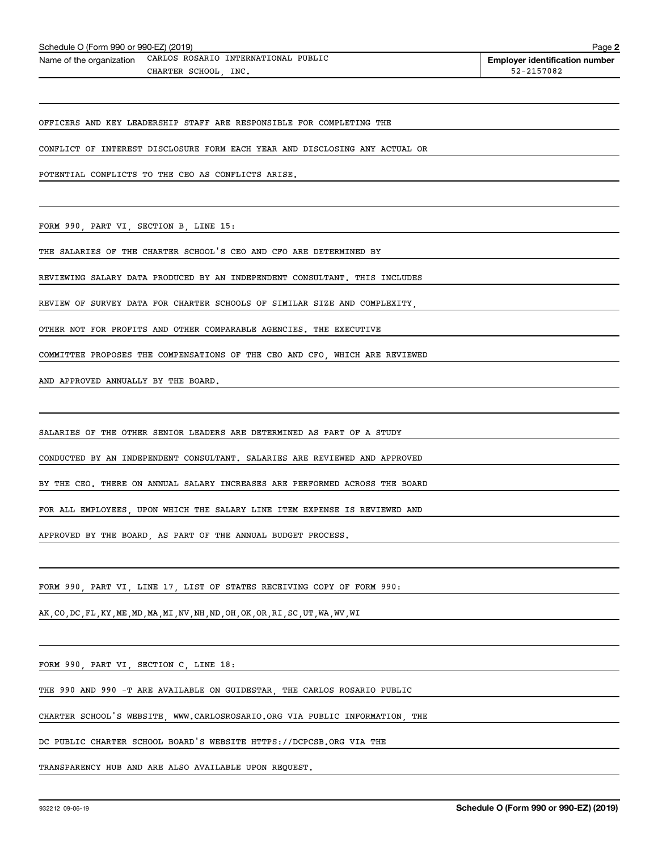| Schedule O (Form 990 or 990-EZ) (2019) |
|----------------------------------------|
|----------------------------------------|

Schedule O (Form 990 or 990-EZ) (2019)<br>Name of the organization CARLOS ROSARIO INTERNATIONAL PUBLIC **Employer identification number** CHARTER SCHOOL, INC. 52-2157082

OFFICERS AND KEY LEADERSHIP STAFF ARE RESPONSIBLE FOR COMPLETING THE

CONFLICT OF INTEREST DISCLOSURE FORM EACH YEAR AND DISCLOSING ANY ACTUAL OR

POTENTIAL CONFLICTS TO THE CEO AS CONFLICTS ARISE.

FORM 990, PART VI, SECTION B, LINE 15:

THE SALARIES OF THE CHARTER SCHOOL'S CEO AND CFO ARE DETERMINED BY

REVIEWING SALARY DATA PRODUCED BY AN INDEPENDENT CONSULTANT. THIS INCLUDES

REVIEW OF SURVEY DATA FOR CHARTER SCHOOLS OF SIMILAR SIZE AND COMPLEXITY,

OTHER NOT FOR PROFITS AND OTHER COMPARABLE AGENCIES. THE EXECUTIVE

COMMITTEE PROPOSES THE COMPENSATIONS OF THE CEO AND CFO, WHICH ARE REVIEWED

AND APPROVED ANNUALLY BY THE BOARD.

SALARIES OF THE OTHER SENIOR LEADERS ARE DETERMINED AS PART OF A STUDY

CONDUCTED BY AN INDEPENDENT CONSULTANT. SALARIES ARE REVIEWED AND APPROVED

BY THE CEO. THERE ON ANNUAL SALARY INCREASES ARE PERFORMED ACROSS THE BOARD

FOR ALL EMPLOYEES, UPON WHICH THE SALARY LINE ITEM EXPENSE IS REVIEWED AND

APPROVED BY THE BOARD, AS PART OF THE ANNUAL BUDGET PROCESS.

FORM 990, PART VI, LINE 17, LIST OF STATES RECEIVING COPY OF FORM 990:

AK,CO,DC,FL,KY,ME,MD,MA,MI,NV,NH,ND,OH,OK,OR,RI,SC,UT,WA,WV,WI

FORM 990, PART VI, SECTION C, LINE 18:

THE 990 AND 990 -T ARE AVAILABLE ON GUIDESTAR, THE CARLOS ROSARIO PUBLIC

CHARTER SCHOOL'S WEBSITE, WWW.CARLOSROSARIO.ORG VIA PUBLIC INFORMATION, THE

DC PUBLIC CHARTER SCHOOL BOARD'S WEBSITE HTTPS://DCPCSB.ORG VIA THE

TRANSPARENCY HUB AND ARE ALSO AVAILABLE UPON REQUEST.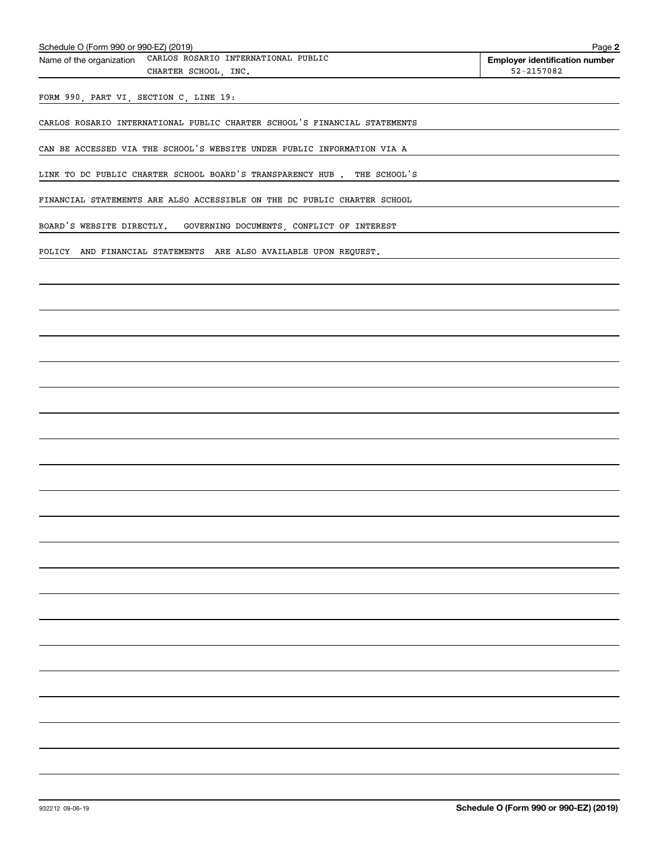Schedule O (Form 990 or 990-EZ) (2019)<br>Name of the organization CARLOS ROSARIO INTERNATIONAL PUBLIC **Employer identification number** CHARTER SCHOOL, INC.  $52-2157082$ 

FORM 990, PART VI, SECTION C, LINE 19:

CARLOS ROSARIO INTERNATIONAL PUBLIC CHARTER SCHOOL'S FINANCIAL STATEMENTS

CAN BE ACCESSED VIA THE SCHOOL'S WEBSITE UNDER PUBLIC INFORMATION VIA A

LINK TO DC PUBLIC CHARTER SCHOOL BOARD'S TRANSPARENCY HUB . THE SCHOOL'S

FINANCIAL STATEMENTS ARE ALSO ACCESSIBLE ON THE DC PUBLIC CHARTER SCHOOL

BOARD'S WEBSITE DIRECTLY. GOVERNING DOCUMENTS, CONFLICT OF INTEREST

POLICY AND FINANCIAL STATEMENTS ARE ALSO AVAILABLE UPON REQUEST.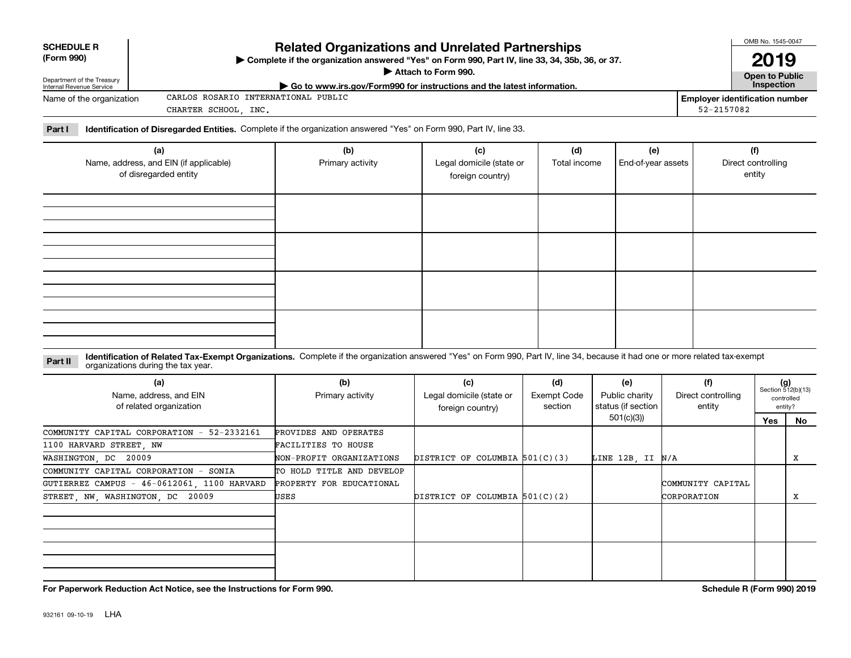| <b>SCHEDULE R</b> |
|-------------------|
|                   |

#### **(Form 990)**

## **Related Organizations and Unrelated Partnerships**

**Complete if the organization answered "Yes" on Form 990, Part IV, line 33, 34, 35b, 36, or 37.** |

**Attach to Form 990.**  |

OMB No. 1545-0047 **2019**

| Department of the Treasury<br>Internal Revenue Service | . ריכי ווייוט ויטוויוט ש<br>$\blacktriangleright$ Go to www.irs.gov/Form990 for instructions and the latest information. |            | <b>Open to Public</b><br>nspection    |
|--------------------------------------------------------|--------------------------------------------------------------------------------------------------------------------------|------------|---------------------------------------|
| Name of the organization                               | PUBLIC<br>INTERNATIONAL<br>CARLOS ROSARIO .                                                                              |            | <b>Employer identification number</b> |
|                                                        | INC.<br>CHARTER SCHOOL                                                                                                   | 52-2157082 |                                       |

**Part I Identification of Disregarded Entities.**  Complete if the organization answered "Yes" on Form 990, Part IV, line 33.

| (a)<br>Name, address, and EIN (if applicable)<br>of disregarded entity | (b)<br>Primary activity | (c)<br>Legal domicile (state or<br>foreign country) | (d)<br>Total income | (e)<br>End-of-year assets | (f)<br>Direct controlling<br>entity |
|------------------------------------------------------------------------|-------------------------|-----------------------------------------------------|---------------------|---------------------------|-------------------------------------|
|                                                                        |                         |                                                     |                     |                           |                                     |
|                                                                        |                         |                                                     |                     |                           |                                     |
|                                                                        |                         |                                                     |                     |                           |                                     |
|                                                                        |                         |                                                     |                     |                           |                                     |

#### **Identification of Related Tax-Exempt Organizations.** Complete if the organization answered "Yes" on Form 990, Part IV, line 34, because it had one or more related tax-exempt **Part II** organizations during the tax year.

| (a)<br>Name, address, and EIN<br>of related organization | (b)<br>Primary activity   | (c)<br>Legal domicile (state or<br>foreign country) | (d)<br>Exempt Code<br>section | (e)<br>Public charity<br>status (if section | (f)<br>Direct controlling<br>entity | $(g)$<br>Section 512(b)(13) | controlled<br>entity? |
|----------------------------------------------------------|---------------------------|-----------------------------------------------------|-------------------------------|---------------------------------------------|-------------------------------------|-----------------------------|-----------------------|
|                                                          |                           |                                                     |                               | 501(c)(3))                                  |                                     | Yes                         | No                    |
| COMMUNITY CAPITAL CORPORATION - 52-2332161               | PROVIDES AND OPERATES     |                                                     |                               |                                             |                                     |                             |                       |
| 1100 HARVARD STREET, NW                                  | FACILITIES TO HOUSE       |                                                     |                               |                                             |                                     |                             |                       |
| WASHINGTON, DC 20009                                     | NON-PROFIT ORGANIZATIONS  | DISTRICT OF COLUMBIA $501(C)(3)$                    |                               | LINE 12B, II N/A                            |                                     |                             | х                     |
| COMMUNITY CAPITAL CORPORATION - SONIA                    | TO HOLD TITLE AND DEVELOP |                                                     |                               |                                             |                                     |                             |                       |
| GUTIERREZ CAMPUS - 46-0612061, 1100 HARVARD              | PROPERTY FOR EDUCATIONAL  |                                                     |                               |                                             | COMMUNITY CAPITAL                   |                             |                       |
| STREET, NW, WASHINGTON, DC 20009                         | USES                      | DISTRICT OF COLUMBIA $501(C)(2)$                    |                               |                                             | CORPORATION                         |                             | х                     |
|                                                          |                           |                                                     |                               |                                             |                                     |                             |                       |
|                                                          |                           |                                                     |                               |                                             |                                     |                             |                       |

**For Paperwork Reduction Act Notice, see the Instructions for Form 990. Schedule R (Form 990) 2019**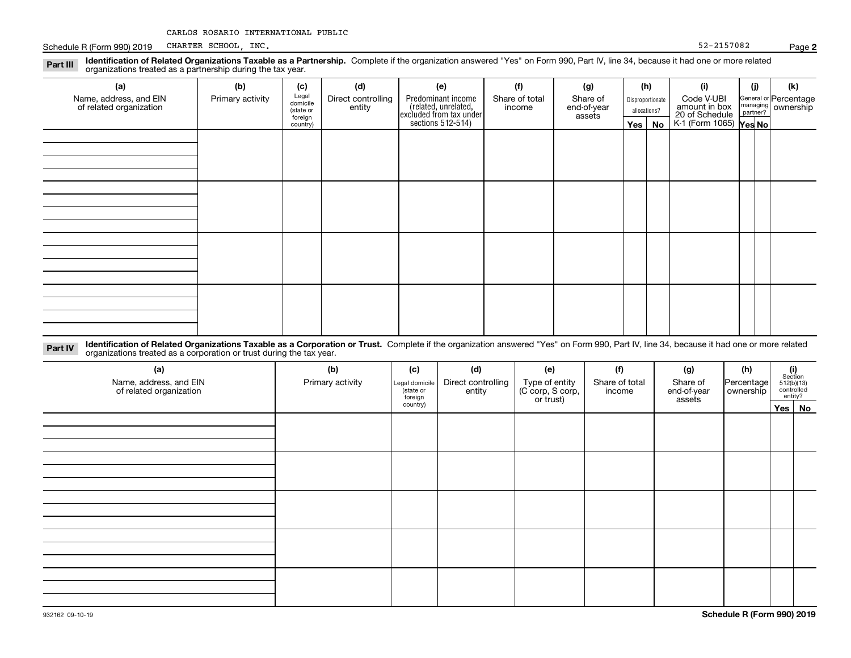|  |  |  | CARLOS ROSARIO INTERNATIONAL PUBLIC |  |
|--|--|--|-------------------------------------|--|
|--|--|--|-------------------------------------|--|

Schedule R (Form 990) 2019 Page CHARTER SCHOOL, INC. 52-2157082

| Identification of Related Organizations Taxable as a Partnership. Complete if the organization answered "Yes" on Form 990, Part IV, line 34, because it had one or more related<br>Part III<br>organizations treated as a partnership during the tax year. |                  |                                           |                              |                                                                       |                          |                                   |              |                  |                                               |          |                                               |
|------------------------------------------------------------------------------------------------------------------------------------------------------------------------------------------------------------------------------------------------------------|------------------|-------------------------------------------|------------------------------|-----------------------------------------------------------------------|--------------------------|-----------------------------------|--------------|------------------|-----------------------------------------------|----------|-----------------------------------------------|
| (a)                                                                                                                                                                                                                                                        | (b)              | (c)                                       | (d)                          | (e)                                                                   | (f)                      | (g)                               | (h)          |                  | (i)                                           | (j)      | (k)                                           |
| Name, address, and EIN<br>of related organization                                                                                                                                                                                                          | Primary activity | Legal<br>domicile<br>(state or<br>foreign | Direct controlling<br>entity | Predominant income<br>(related, unrelated,<br>excluded from tax under | Share of total<br>income | Share of<br>end-of-year<br>assets | allocations? | Disproportionate | Code V-UBI<br>amount in box<br>20 of Schedule | partner? | General or Percentage<br>managing   ownership |
|                                                                                                                                                                                                                                                            |                  | country)                                  |                              | sections 512-514)                                                     |                          |                                   |              | Yes   No         | K-1 (Form 1065) Yes No                        |          |                                               |
|                                                                                                                                                                                                                                                            |                  |                                           |                              |                                                                       |                          |                                   |              |                  |                                               |          |                                               |
|                                                                                                                                                                                                                                                            |                  |                                           |                              |                                                                       |                          |                                   |              |                  |                                               |          |                                               |
|                                                                                                                                                                                                                                                            |                  |                                           |                              |                                                                       |                          |                                   |              |                  |                                               |          |                                               |
|                                                                                                                                                                                                                                                            |                  |                                           |                              |                                                                       |                          |                                   |              |                  |                                               |          |                                               |
|                                                                                                                                                                                                                                                            |                  |                                           |                              |                                                                       |                          |                                   |              |                  |                                               |          |                                               |
|                                                                                                                                                                                                                                                            |                  |                                           |                              |                                                                       |                          |                                   |              |                  |                                               |          |                                               |
|                                                                                                                                                                                                                                                            |                  |                                           |                              |                                                                       |                          |                                   |              |                  |                                               |          |                                               |
|                                                                                                                                                                                                                                                            |                  |                                           |                              |                                                                       |                          |                                   |              |                  |                                               |          |                                               |
|                                                                                                                                                                                                                                                            |                  |                                           |                              |                                                                       |                          |                                   |              |                  |                                               |          |                                               |
|                                                                                                                                                                                                                                                            |                  |                                           |                              |                                                                       |                          |                                   |              |                  |                                               |          |                                               |
|                                                                                                                                                                                                                                                            |                  |                                           |                              |                                                                       |                          |                                   |              |                  |                                               |          |                                               |
|                                                                                                                                                                                                                                                            |                  |                                           |                              |                                                                       |                          |                                   |              |                  |                                               |          |                                               |
|                                                                                                                                                                                                                                                            |                  |                                           |                              |                                                                       |                          |                                   |              |                  |                                               |          |                                               |

| Part IV | " Identification of Related Organizations Taxable as a Corporation or Trust. Complete if the organization answered "Yes" on Form 990, Part IV, line 34, because it had one or more related |  |
|---------|--------------------------------------------------------------------------------------------------------------------------------------------------------------------------------------------|--|
|         | organizations treated as a corporation or trust during the tax year.                                                                                                                       |  |

| (a)<br>Name, address, and EIN<br>of related organization | (b)<br>Primary activity | (c)<br>Legal domicile<br>(state or<br>foreign | (d)<br>Direct controlling<br>entity | (e)<br>Type of entity<br>(C corp, S corp,<br>or trust) | (f)<br>Share of total<br>income | (g)<br>Share of<br>end-of-year<br>assets | (h)<br>Percentage<br>ownership | $\begin{array}{c} \textbf{(i)}\\ \text{Section}\\ 512 \text{(b)} \text{(13)}\\ \text{controlled}\\ \text{entity?} \end{array}$ |        |
|----------------------------------------------------------|-------------------------|-----------------------------------------------|-------------------------------------|--------------------------------------------------------|---------------------------------|------------------------------------------|--------------------------------|--------------------------------------------------------------------------------------------------------------------------------|--------|
|                                                          |                         | country)                                      |                                     |                                                        |                                 |                                          |                                |                                                                                                                                | Yes No |
|                                                          |                         |                                               |                                     |                                                        |                                 |                                          |                                |                                                                                                                                |        |
|                                                          |                         |                                               |                                     |                                                        |                                 |                                          |                                |                                                                                                                                |        |
|                                                          |                         |                                               |                                     |                                                        |                                 |                                          |                                |                                                                                                                                |        |
|                                                          |                         |                                               |                                     |                                                        |                                 |                                          |                                |                                                                                                                                |        |
|                                                          |                         |                                               |                                     |                                                        |                                 |                                          |                                |                                                                                                                                |        |
|                                                          |                         |                                               |                                     |                                                        |                                 |                                          |                                |                                                                                                                                |        |
|                                                          |                         |                                               |                                     |                                                        |                                 |                                          |                                |                                                                                                                                |        |
|                                                          |                         |                                               |                                     |                                                        |                                 |                                          |                                |                                                                                                                                |        |
|                                                          |                         |                                               |                                     |                                                        |                                 |                                          |                                |                                                                                                                                |        |
|                                                          |                         |                                               |                                     |                                                        |                                 |                                          |                                |                                                                                                                                |        |
|                                                          |                         |                                               |                                     |                                                        |                                 |                                          |                                |                                                                                                                                |        |
|                                                          |                         |                                               |                                     |                                                        |                                 |                                          |                                |                                                                                                                                |        |
|                                                          |                         |                                               |                                     |                                                        |                                 |                                          |                                |                                                                                                                                |        |
|                                                          |                         |                                               |                                     |                                                        |                                 |                                          |                                |                                                                                                                                |        |

**2**

**Schedule R (Form 990) 2019**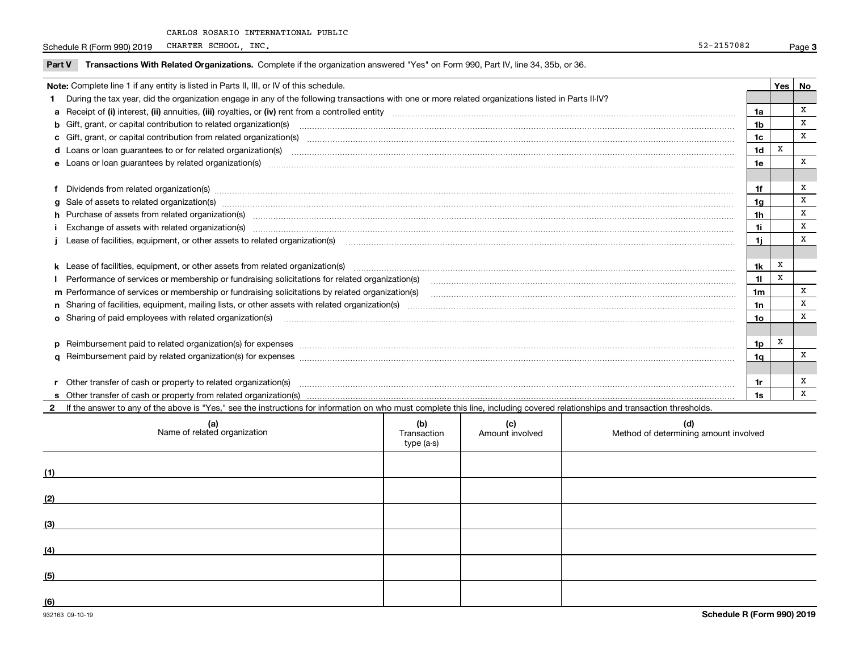Schedule R (Form 990) 2019 CHARTER SCHOOL, INC. 2008 2019 12:00:00 12:00 2019 12:00:00 12:00:00 12:00:00 12:00:00 12:00:00 12:00:00 12:00:00 12:00:00 12:00:00 12:00:00 12:00:00 12:00:00 12:00:00 12:00:00 12:00:00 12:00:00 CHARTER SCHOOL, INC.

| Transactions With Related Organizations. Complete if the organization answered "Yes" on Form 990, Part IV, line 34, 35b, or 36.<br>Part \           |    |       |  |
|-----------------------------------------------------------------------------------------------------------------------------------------------------|----|-------|--|
| <b>Note:</b> Complete line 1 if any entity is listed in Parts II, III, or IV of this schedule.                                                      |    | Yes I |  |
| During the tax year, did the organization engage in any of the following transactions with one or more related organizations listed in Parts II-IV? |    |       |  |
| a Receipt of (i) interest, (ii) annuities, (iii) royalties, or (iv) rent from a controlled entity                                                   |    |       |  |
| <b>b</b> Gift, grant, or capital contribution to related organization(s)                                                                            | 1b |       |  |
| c Gift, grant, or capital contribution from related organization(s)                                                                                 |    |       |  |
| <b>d</b> Loans or loan guarantees to or for related organization(s)                                                                                 | 1d |       |  |
| e Loans or loan guarantees by related organization(s)                                                                                               |    |       |  |
|                                                                                                                                                     |    |       |  |
| Dividends from related organization(s)                                                                                                              |    |       |  |
| g Sale of assets to related organization(s)                                                                                                         |    |       |  |
| h Purchase of assets from related organization(s)                                                                                                   |    |       |  |

| <b>h</b> Purchase of assets from related organization(s)                                        |    |  |
|-------------------------------------------------------------------------------------------------|----|--|
| Exchange of assets with related organization(s)                                                 |    |  |
| Lease of facilities, equipment, or other assets to related organization(s)                      |    |  |
|                                                                                                 |    |  |
| <b>k</b> Lease of facilities, equipment, or other assets from related organization(s)           | 1k |  |
| Performance of services or membership or fundraising solicitations for related organization(s)  |    |  |
| m Performance of services or membership or fundraising solicitations by related organization(s) | 1m |  |
| n Sharing of facilities, equipment, mailing lists, or other assets with related organization(s) | าท |  |
| <b>o</b> Sharing of paid employees with related organization(s)                                 | סו |  |
|                                                                                                 |    |  |
| $p$ Reimbursement paid to related organization(s) for expenses                                  | מו |  |
| <b>q</b> Reimbursement paid by related organization(s) for expenses                             | 1α |  |
|                                                                                                 |    |  |
| r Other transfer of cash or property to related organization(s)                                 |    |  |
|                                                                                                 |    |  |

**2**If the answer to any of the above is "Yes," see the instructions for information on who must complete this line, including covered relationships and transaction thresholds.

|     | (a)<br>Name of related organization | (b)<br>Transaction<br>type (a-s) | (c)<br>Amount involved | (d)<br>Method of determining amount involved |
|-----|-------------------------------------|----------------------------------|------------------------|----------------------------------------------|
| (1) |                                     |                                  |                        |                                              |
| (2) |                                     |                                  |                        |                                              |
| (3) |                                     |                                  |                        |                                              |
| (4) |                                     |                                  |                        |                                              |
| (5) |                                     |                                  |                        |                                              |
| (6) |                                     |                                  |                        |                                              |

 $|$  1h  $|$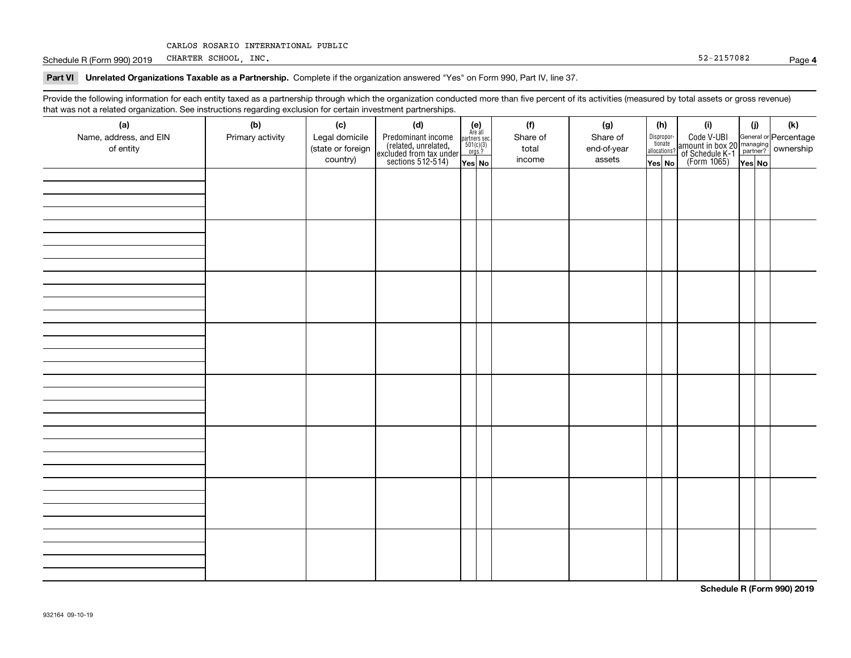Schedule R (Form 990) 2019 Page CHARTER SCHOOL, INC. 52-2157082

#### **4**

#### **Part VI Unrelated Organizations Taxable as a Partnership. Complete if the organization answered "Yes" on Form 990, Part IV, line 37.**

Provide the following information for each entity taxed as a partnership through which the organization conducted more than five percent of its activities (measured by total assets or gross revenue) that was not a related organization. See instructions regarding exclusion for certain investment partnerships.

| ັ                      | ັ<br>ັ           |                   |                                                                                            |                                                                                     |          |             |                                       |                                                                                                                                      |       |     |
|------------------------|------------------|-------------------|--------------------------------------------------------------------------------------------|-------------------------------------------------------------------------------------|----------|-------------|---------------------------------------|--------------------------------------------------------------------------------------------------------------------------------------|-------|-----|
| (a)                    | (b)              | (c)               | (d)                                                                                        | (e)<br>Are all                                                                      | (f)      | (g)         | (h)                                   | (i)                                                                                                                                  | (i)   | (k) |
| Name, address, and EIN | Primary activity | Legal domicile    |                                                                                            | $\begin{array}{c}\n\text{partners} \sec.\n\\ \n501(c)(3)\n\\ \n0rgs.?\n\end{array}$ | Share of | Share of    | Dispropor-<br>tionate<br>allocations? |                                                                                                                                      |       |     |
| of entity              |                  | (state or foreign | Predominant income<br>(related, unrelated,<br>excluded from tax under<br>sections 512-514) |                                                                                     | total    | end-of-year |                                       | Code V-UBI<br> amount in box 20 managing<br>  of Schedule K-1 partner? ownership<br>  of Schedule K-1 partner? ownership<br>  Yes No |       |     |
|                        |                  | country)          |                                                                                            | Yes No                                                                              | income   | assets      | Yes No                                |                                                                                                                                      | YesNO |     |
|                        |                  |                   |                                                                                            |                                                                                     |          |             |                                       |                                                                                                                                      |       |     |
|                        |                  |                   |                                                                                            |                                                                                     |          |             |                                       |                                                                                                                                      |       |     |
|                        |                  |                   |                                                                                            |                                                                                     |          |             |                                       |                                                                                                                                      |       |     |
|                        |                  |                   |                                                                                            |                                                                                     |          |             |                                       |                                                                                                                                      |       |     |
|                        |                  |                   |                                                                                            |                                                                                     |          |             |                                       |                                                                                                                                      |       |     |
|                        |                  |                   |                                                                                            |                                                                                     |          |             |                                       |                                                                                                                                      |       |     |
|                        |                  |                   |                                                                                            |                                                                                     |          |             |                                       |                                                                                                                                      |       |     |
|                        |                  |                   |                                                                                            |                                                                                     |          |             |                                       |                                                                                                                                      |       |     |
|                        |                  |                   |                                                                                            |                                                                                     |          |             |                                       |                                                                                                                                      |       |     |
|                        |                  |                   |                                                                                            |                                                                                     |          |             |                                       |                                                                                                                                      |       |     |
|                        |                  |                   |                                                                                            |                                                                                     |          |             |                                       |                                                                                                                                      |       |     |
|                        |                  |                   |                                                                                            |                                                                                     |          |             |                                       |                                                                                                                                      |       |     |
|                        |                  |                   |                                                                                            |                                                                                     |          |             |                                       |                                                                                                                                      |       |     |
|                        |                  |                   |                                                                                            |                                                                                     |          |             |                                       |                                                                                                                                      |       |     |
|                        |                  |                   |                                                                                            |                                                                                     |          |             |                                       |                                                                                                                                      |       |     |
|                        |                  |                   |                                                                                            |                                                                                     |          |             |                                       |                                                                                                                                      |       |     |
|                        |                  |                   |                                                                                            |                                                                                     |          |             |                                       |                                                                                                                                      |       |     |
|                        |                  |                   |                                                                                            |                                                                                     |          |             |                                       |                                                                                                                                      |       |     |
|                        |                  |                   |                                                                                            |                                                                                     |          |             |                                       |                                                                                                                                      |       |     |
|                        |                  |                   |                                                                                            |                                                                                     |          |             |                                       |                                                                                                                                      |       |     |
|                        |                  |                   |                                                                                            |                                                                                     |          |             |                                       |                                                                                                                                      |       |     |
|                        |                  |                   |                                                                                            |                                                                                     |          |             |                                       |                                                                                                                                      |       |     |
|                        |                  |                   |                                                                                            |                                                                                     |          |             |                                       |                                                                                                                                      |       |     |
|                        |                  |                   |                                                                                            |                                                                                     |          |             |                                       |                                                                                                                                      |       |     |
|                        |                  |                   |                                                                                            |                                                                                     |          |             |                                       |                                                                                                                                      |       |     |
|                        |                  |                   |                                                                                            |                                                                                     |          |             |                                       |                                                                                                                                      |       |     |
|                        |                  |                   |                                                                                            |                                                                                     |          |             |                                       |                                                                                                                                      |       |     |
|                        |                  |                   |                                                                                            |                                                                                     |          |             |                                       |                                                                                                                                      |       |     |
|                        |                  |                   |                                                                                            |                                                                                     |          |             |                                       |                                                                                                                                      |       |     |
|                        |                  |                   |                                                                                            |                                                                                     |          |             |                                       |                                                                                                                                      |       |     |
|                        |                  |                   |                                                                                            |                                                                                     |          |             |                                       |                                                                                                                                      |       |     |
|                        |                  |                   |                                                                                            |                                                                                     |          |             |                                       |                                                                                                                                      |       |     |
|                        |                  |                   |                                                                                            |                                                                                     |          |             |                                       |                                                                                                                                      |       |     |
|                        |                  |                   |                                                                                            |                                                                                     |          |             |                                       |                                                                                                                                      |       |     |
|                        |                  |                   |                                                                                            |                                                                                     |          |             |                                       |                                                                                                                                      |       |     |
|                        |                  |                   |                                                                                            |                                                                                     |          |             |                                       |                                                                                                                                      |       |     |

**Schedule R (Form 990) 2019**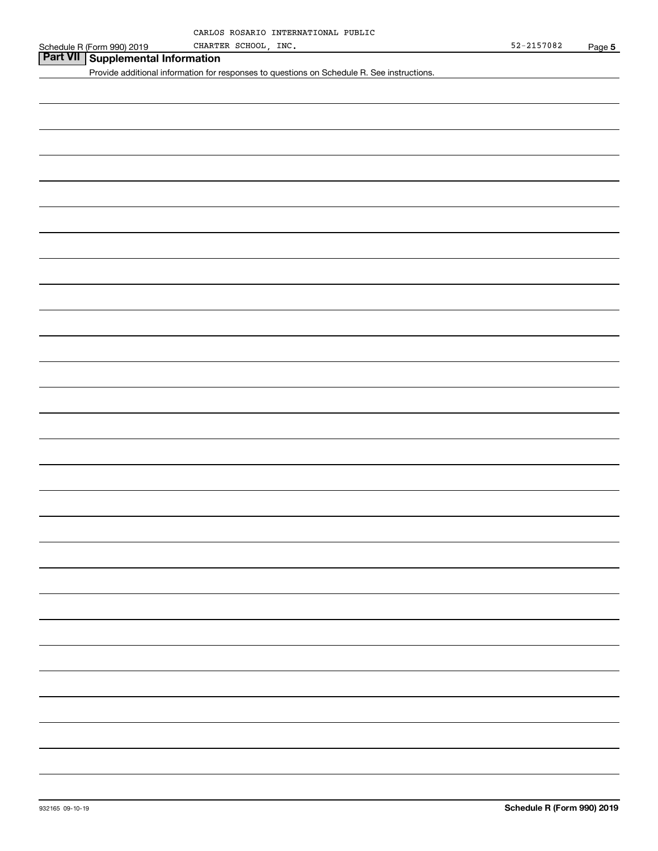# **Part VII Supplemental Information**

Provide additional information for responses to questions on Schedule R. See instructions.

**Schedule R (Form 990) 2019**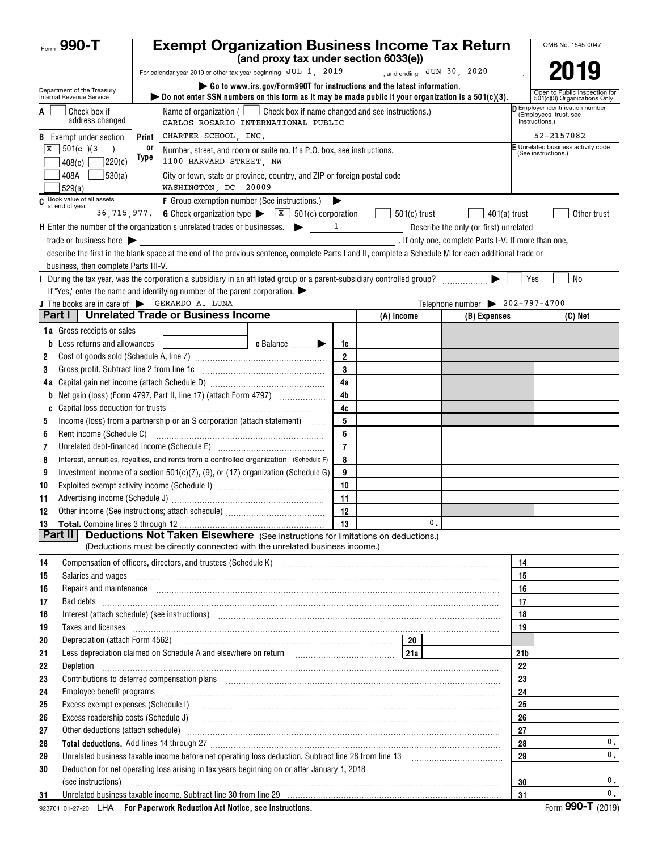| Form 990-T                                             |                                                                                                                                                                                                                                                                              | <b>Exempt Organization Business Income Tax Return</b>                                                                                                                                                                          | (and proxy tax under section 6033(e)) |                      |  |                                                      |                                                |                |                 |                                                               | OMB No. 1545-0047                  |  |
|--------------------------------------------------------|------------------------------------------------------------------------------------------------------------------------------------------------------------------------------------------------------------------------------------------------------------------------------|--------------------------------------------------------------------------------------------------------------------------------------------------------------------------------------------------------------------------------|---------------------------------------|----------------------|--|------------------------------------------------------|------------------------------------------------|----------------|-----------------|---------------------------------------------------------------|------------------------------------|--|
|                                                        |                                                                                                                                                                                                                                                                              |                                                                                                                                                                                                                                |                                       |                      |  |                                                      |                                                |                |                 |                                                               | 2019                               |  |
| Department of the Treasury<br>Internal Revenue Service | For calendar year 2019 or other tax year beginning JUL 1, 2019  and ending JUN 30, 2020<br>Go to www.irs.gov/Form990T for instructions and the latest information.<br>bo not enter SSN numbers on this form as it may be made public if your organization is a $501(c)(3)$ . |                                                                                                                                                                                                                                |                                       |                      |  |                                                      |                                                |                |                 | Open to Public Inspection for<br>501(c)(3) Organizations Only |                                    |  |
| Check box if<br>address changed                        |                                                                                                                                                                                                                                                                              | Employer identification number<br>Name of organization ( $\Box$ Check box if name changed and see instructions.)<br>(Employees' trust, see<br>instructions.)<br>CARLOS ROSARIO INTERNATIONAL PUBLIC                            |                                       |                      |  |                                                      |                                                |                |                 |                                                               |                                    |  |
| <b>B</b> Exempt under section                          | Print                                                                                                                                                                                                                                                                        | CHARTER SCHOOL, INC.                                                                                                                                                                                                           |                                       |                      |  |                                                      |                                                |                |                 | 52-2157082                                                    |                                    |  |
| $\sqrt{501(c)}$ (3)<br>ΙX                              | 0ľ                                                                                                                                                                                                                                                                           | Number, street, and room or suite no. If a P.O. box, see instructions.                                                                                                                                                         |                                       |                      |  |                                                      |                                                |                |                 | (See instructions.)                                           | F Unrelated business activity code |  |
| 7220(e)<br>408(e)                                      | Type                                                                                                                                                                                                                                                                         | 1100 HARVARD STREET, NW                                                                                                                                                                                                        |                                       |                      |  |                                                      |                                                |                |                 |                                                               |                                    |  |
| 530(a) <br>408A<br>529(a)                              |                                                                                                                                                                                                                                                                              | City or town, state or province, country, and ZIP or foreign postal code<br>WASHINGTON, DC 20009                                                                                                                               |                                       |                      |  |                                                      |                                                |                |                 |                                                               |                                    |  |
| C Book value of all assets<br>at end of year           |                                                                                                                                                                                                                                                                              | F Group exemption number (See instructions.)                                                                                                                                                                                   |                                       | ▶                    |  |                                                      |                                                |                |                 |                                                               |                                    |  |
|                                                        |                                                                                                                                                                                                                                                                              | 36, 715, 977. G Check organization type $\triangleright$ $\boxed{\text{X}}$ 501(c) corporation                                                                                                                                 |                                       |                      |  | $501(c)$ trust                                       |                                                | $401(a)$ trust |                 |                                                               | Other trust                        |  |
|                                                        |                                                                                                                                                                                                                                                                              | $H$ Enter the number of the organization's unrelated trades or businesses. $\blacktriangleright$                                                                                                                               |                                       | $\mathbf{1}$         |  |                                                      | Describe the only (or first) unrelated         |                |                 |                                                               |                                    |  |
| trade or business here $\blacktriangleright$           |                                                                                                                                                                                                                                                                              | describe the first in the blank space at the end of the previous sentence, complete Parts I and II, complete a Schedule M for each additional trade or                                                                         |                                       |                      |  | . If only one, complete Parts I-V. If more than one, |                                                |                |                 |                                                               |                                    |  |
| business, then complete Parts III-V.                   |                                                                                                                                                                                                                                                                              |                                                                                                                                                                                                                                |                                       |                      |  |                                                      |                                                |                |                 |                                                               |                                    |  |
|                                                        |                                                                                                                                                                                                                                                                              | During the tax year, was the corporation a subsidiary in an affiliated group or a parent-subsidiary controlled group?                                                                                                          |                                       |                      |  |                                                      |                                                |                | Yes             |                                                               | <b>No</b>                          |  |
|                                                        |                                                                                                                                                                                                                                                                              | If "Yes," enter the name and identifying number of the parent corporation. $\blacktriangleright$                                                                                                                               |                                       |                      |  |                                                      |                                                |                |                 |                                                               |                                    |  |
| J The books are in care of SERARDO A. LUNA             |                                                                                                                                                                                                                                                                              |                                                                                                                                                                                                                                |                                       |                      |  |                                                      | Telephone number $\triangleright$ 202-797-4700 |                |                 |                                                               |                                    |  |
| Part I                                                 |                                                                                                                                                                                                                                                                              | <b>Unrelated Trade or Business Income</b>                                                                                                                                                                                      |                                       |                      |  | (A) Income                                           |                                                | (B) Expenses   |                 |                                                               | $(C)$ Net                          |  |
| <b>1a</b> Gross receipts or sales                      |                                                                                                                                                                                                                                                                              |                                                                                                                                                                                                                                |                                       |                      |  |                                                      |                                                |                |                 |                                                               |                                    |  |
| Less returns and allowances                            |                                                                                                                                                                                                                                                                              |                                                                                                                                                                                                                                | c Balance <b>Division</b>             | 1c                   |  |                                                      |                                                |                |                 |                                                               |                                    |  |
| 2                                                      |                                                                                                                                                                                                                                                                              |                                                                                                                                                                                                                                |                                       | $\overline{2}$       |  |                                                      |                                                |                |                 |                                                               |                                    |  |
| 3                                                      |                                                                                                                                                                                                                                                                              |                                                                                                                                                                                                                                |                                       | 3                    |  |                                                      |                                                |                |                 |                                                               |                                    |  |
|                                                        |                                                                                                                                                                                                                                                                              | Net gain (loss) (Form 4797, Part II, line 17) (attach Form 4797)                                                                                                                                                               |                                       | 4a<br>4 <sub>b</sub> |  |                                                      |                                                |                |                 |                                                               |                                    |  |
| b<br>C                                                 |                                                                                                                                                                                                                                                                              |                                                                                                                                                                                                                                |                                       | 4c                   |  |                                                      |                                                |                |                 |                                                               |                                    |  |
| 5                                                      |                                                                                                                                                                                                                                                                              | Income (loss) from a partnership or an S corporation (attach statement)                                                                                                                                                        |                                       | 5                    |  |                                                      |                                                |                |                 |                                                               |                                    |  |
| Rent income (Schedule C)<br>6                          |                                                                                                                                                                                                                                                                              |                                                                                                                                                                                                                                |                                       | 6                    |  |                                                      |                                                |                |                 |                                                               |                                    |  |
| 7                                                      |                                                                                                                                                                                                                                                                              | Unrelated debt-financed income (Schedule E) [11] [2010] [2010] [2010] [2010] [2010] [2010] [2010] [2010] [2010                                                                                                                 |                                       | $\overline{7}$       |  |                                                      |                                                |                |                 |                                                               |                                    |  |
| 8                                                      |                                                                                                                                                                                                                                                                              | Interest, annuities, royalties, and rents from a controlled organization (Schedule F)                                                                                                                                          |                                       | 8                    |  |                                                      |                                                |                |                 |                                                               |                                    |  |
| 9                                                      |                                                                                                                                                                                                                                                                              | Investment income of a section 501(c)(7), (9), or (17) organization (Schedule G)                                                                                                                                               |                                       | 9                    |  |                                                      |                                                |                |                 |                                                               |                                    |  |
| 10                                                     |                                                                                                                                                                                                                                                                              |                                                                                                                                                                                                                                |                                       | 10                   |  |                                                      |                                                |                |                 |                                                               |                                    |  |
| 11                                                     |                                                                                                                                                                                                                                                                              |                                                                                                                                                                                                                                |                                       | 11                   |  |                                                      |                                                |                |                 |                                                               |                                    |  |
| Other income (See instructions; attach schedule)<br>12 |                                                                                                                                                                                                                                                                              |                                                                                                                                                                                                                                |                                       | 12                   |  |                                                      |                                                |                |                 |                                                               |                                    |  |
|                                                        |                                                                                                                                                                                                                                                                              | <b>Deductions Not Taken Elsewhere</b> (See instructions for limitations on deductions.)                                                                                                                                        |                                       | 13                   |  | 0.                                                   |                                                |                |                 |                                                               |                                    |  |
| Part II                                                |                                                                                                                                                                                                                                                                              | (Deductions must be directly connected with the unrelated business income.)                                                                                                                                                    |                                       |                      |  |                                                      |                                                |                |                 |                                                               |                                    |  |
| 14                                                     |                                                                                                                                                                                                                                                                              |                                                                                                                                                                                                                                |                                       |                      |  |                                                      |                                                |                | 14              |                                                               |                                    |  |
| 15                                                     |                                                                                                                                                                                                                                                                              | Salaries and wages information continuous contracts and wages in the same state of the state of the state of the state of the state of the state of the state of the state of the state of the state of the state of the state |                                       |                      |  |                                                      |                                                |                | 15              |                                                               |                                    |  |
| 16                                                     |                                                                                                                                                                                                                                                                              | Repairs and maintenance <i>[1] [1] [1] [1] [1] [1] [1] [1] [1] [1]</i> [1] <b>[1]</b> [1] <b>[1]</b> [1] <b>[1] [1] [1] [1] [1] [1] [1] [1] [1] [1] [1] [1] [1] [1] [1] [1] [1] [1] [1] [1] [1] [1]</b>                        |                                       |                      |  |                                                      |                                                |                | 16              |                                                               |                                    |  |
| 17                                                     |                                                                                                                                                                                                                                                                              | Bad debts <b>www.communities.communities.communities.com</b> munities.com                                                                                                                                                      |                                       |                      |  |                                                      |                                                |                | 17              |                                                               |                                    |  |
| 18<br>Taxes and licenses                               |                                                                                                                                                                                                                                                                              | Interest (attach schedule) (see instructions) www.communications.communications.communications.communications.                                                                                                                 |                                       |                      |  |                                                      |                                                |                | 18<br>19        |                                                               |                                    |  |
| 19<br>20                                               |                                                                                                                                                                                                                                                                              |                                                                                                                                                                                                                                |                                       |                      |  | 20                                                   |                                                |                |                 |                                                               |                                    |  |
| 21                                                     |                                                                                                                                                                                                                                                                              | Less depreciation claimed on Schedule A and elsewhere on return [1] [11] [212] [214]                                                                                                                                           |                                       |                      |  |                                                      |                                                |                | 21 <sub>b</sub> |                                                               |                                    |  |
| 22<br>Depletion                                        |                                                                                                                                                                                                                                                                              |                                                                                                                                                                                                                                |                                       |                      |  |                                                      |                                                |                | 22              |                                                               |                                    |  |
| 23                                                     |                                                                                                                                                                                                                                                                              |                                                                                                                                                                                                                                |                                       |                      |  |                                                      |                                                |                | 23              |                                                               |                                    |  |
| 24<br>Employee benefit programs                        |                                                                                                                                                                                                                                                                              |                                                                                                                                                                                                                                |                                       |                      |  |                                                      |                                                |                | 24              |                                                               |                                    |  |
| 25                                                     |                                                                                                                                                                                                                                                                              | Excess exempt expenses (Schedule I) <sub>martin</sub> martin and an anti-continuum martin and an anti-continuum martin and                                                                                                     |                                       |                      |  |                                                      |                                                |                | 25              |                                                               |                                    |  |
| 26                                                     |                                                                                                                                                                                                                                                                              |                                                                                                                                                                                                                                |                                       |                      |  |                                                      |                                                |                | 26              |                                                               |                                    |  |
| 27                                                     |                                                                                                                                                                                                                                                                              | Other deductions (attach schedule) www.communications.communications.communications.com                                                                                                                                        |                                       |                      |  |                                                      |                                                |                | 27              |                                                               |                                    |  |
| 28                                                     |                                                                                                                                                                                                                                                                              |                                                                                                                                                                                                                                |                                       |                      |  |                                                      |                                                |                | 28              |                                                               | 0.                                 |  |
| 29                                                     |                                                                                                                                                                                                                                                                              | Unrelated business taxable income before net operating loss deduction. Subtract line 28 from line 13                                                                                                                           |                                       |                      |  |                                                      |                                                |                | 29              |                                                               | $\mathbf{0}$ .                     |  |
| 30                                                     |                                                                                                                                                                                                                                                                              | Deduction for net operating loss arising in tax years beginning on or after January 1, 2018                                                                                                                                    |                                       |                      |  |                                                      |                                                |                |                 |                                                               |                                    |  |
|                                                        |                                                                                                                                                                                                                                                                              | (see instructions) with a constructions of the construction of the construction of the constructions of the constructions of the constructions of the constructions of the constructions of the constructions of the construct |                                       |                      |  |                                                      |                                                |                | 30              |                                                               | $\mathbf{0}$ .<br>0.               |  |
| 31                                                     |                                                                                                                                                                                                                                                                              | Unrelated business taxable income. Subtract line 30 from line 29 [11] matter income contract to the state of the Subtract line 30 from line 29 [11] matter income contract to the Subtract line 30 from line 29 [11] matter in |                                       |                      |  |                                                      |                                                |                | 31              |                                                               | $QQ$ $T$ (0010                     |  |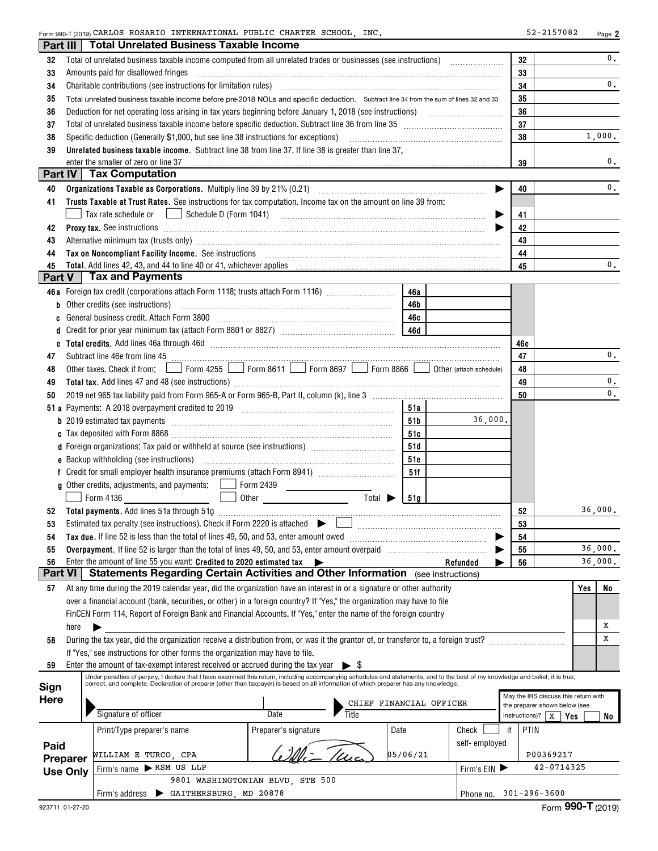$_{\rm Form}$ 990-T(2019)<code>CARLOS</code> <code>ROSARIO INTERNATIONAL PUBLIC CHARTER SCHOOL, INC.</code>

| Part III       |                                                                                                                                                                                                                                                                                                                                                                               | <b>Total Unrelated Business Taxable Income</b>                                                                                                                                                                                 |                                                                                                                            |                             |                         |               |    |                                      |     |                |  |
|----------------|-------------------------------------------------------------------------------------------------------------------------------------------------------------------------------------------------------------------------------------------------------------------------------------------------------------------------------------------------------------------------------|--------------------------------------------------------------------------------------------------------------------------------------------------------------------------------------------------------------------------------|----------------------------------------------------------------------------------------------------------------------------|-----------------------------|-------------------------|---------------|----|--------------------------------------|-----|----------------|--|
| 32             |                                                                                                                                                                                                                                                                                                                                                                               | Total of unrelated business taxable income computed from all unrelated trades or businesses (see instructions)                                                                                                                 |                                                                                                                            |                             |                         |               |    | 32                                   |     | 0.             |  |
| 33             |                                                                                                                                                                                                                                                                                                                                                                               | Amounts paid for disallowed fringes                                                                                                                                                                                            |                                                                                                                            |                             |                         |               |    | 33                                   |     |                |  |
| 34             | 34<br>Charitable contributions (see instructions for limitation rules) [11] manufacture in the contributions (see instructions for limitation rules) [11] manufacture in the contributions (see instructions for limitation rules) [<br>Total unrelated business taxable income before pre-2018 NOLs and specific deduction. Subtract line 34 from the sum of lines 32 and 33 |                                                                                                                                                                                                                                |                                                                                                                            |                             |                         |               |    |                                      |     |                |  |
| 35             |                                                                                                                                                                                                                                                                                                                                                                               |                                                                                                                                                                                                                                | 35                                                                                                                         |                             |                         |               |    |                                      |     |                |  |
| 36             |                                                                                                                                                                                                                                                                                                                                                                               |                                                                                                                                                                                                                                |                                                                                                                            |                             |                         |               |    | 36                                   |     |                |  |
| 37             |                                                                                                                                                                                                                                                                                                                                                                               | Total of unrelated business taxable income before specific deduction. Subtract line 36 from line 35 [11] [11] Total of uncontrolleration of the state of the state of the state of the state of the state of the state of the  |                                                                                                                            | 37                          |                         |               |    |                                      |     |                |  |
| 38             |                                                                                                                                                                                                                                                                                                                                                                               | Specific deduction (Generally \$1,000, but see line 38 instructions for exceptions)                                                                                                                                            |                                                                                                                            |                             |                         |               |    | 38                                   |     | 1,000.         |  |
| 39             |                                                                                                                                                                                                                                                                                                                                                                               | Unrelated business taxable income. Subtract line 38 from line 37. If line 38 is greater than line 37,                                                                                                                          |                                                                                                                            |                             |                         |               |    |                                      |     |                |  |
|                |                                                                                                                                                                                                                                                                                                                                                                               | enter the smaller of zero or line 37                                                                                                                                                                                           |                                                                                                                            |                             |                         |               |    | 39                                   |     | 0.             |  |
| Part IV        |                                                                                                                                                                                                                                                                                                                                                                               | <b>Tax Computation</b>                                                                                                                                                                                                         |                                                                                                                            |                             |                         |               |    |                                      |     |                |  |
| 40             |                                                                                                                                                                                                                                                                                                                                                                               |                                                                                                                                                                                                                                |                                                                                                                            |                             |                         |               |    | 40                                   |     | 0.             |  |
| 41             |                                                                                                                                                                                                                                                                                                                                                                               | Trusts Taxable at Trust Rates. See instructions for tax computation. Income tax on the amount on line 39 from:                                                                                                                 |                                                                                                                            |                             |                         |               |    |                                      |     |                |  |
|                |                                                                                                                                                                                                                                                                                                                                                                               | Tax rate schedule or <u>Imperior of</u> Schedule D (Form 1041) <b>Example 20</b> in the schedule or $\Box$                                                                                                                     |                                                                                                                            |                             |                         |               |    | 41                                   |     |                |  |
| 42             |                                                                                                                                                                                                                                                                                                                                                                               |                                                                                                                                                                                                                                |                                                                                                                            |                             |                         |               |    | 42                                   |     |                |  |
| 43             |                                                                                                                                                                                                                                                                                                                                                                               | Alternative minimum tax (trusts only) material content of the content of the content of the content of the content of the content of the content of the content of the content of the content of the content of the content of |                                                                                                                            |                             |                         |               |    | 43                                   |     |                |  |
| 44             |                                                                                                                                                                                                                                                                                                                                                                               | Tax on Noncompliant Facility Income. See instructions [11] Martin Matter and Martin Matter and Moncompliant Facility Income. See instructions [11] Martin Matter and Matter and Matter and Matter and Matter and Matter and Ma |                                                                                                                            |                             |                         |               |    | 44                                   |     |                |  |
| 45             |                                                                                                                                                                                                                                                                                                                                                                               |                                                                                                                                                                                                                                |                                                                                                                            |                             |                         |               |    | 45                                   |     | 0.             |  |
| Part V         |                                                                                                                                                                                                                                                                                                                                                                               | <b>Tax and Payments</b>                                                                                                                                                                                                        |                                                                                                                            |                             |                         |               |    |                                      |     |                |  |
|                |                                                                                                                                                                                                                                                                                                                                                                               | 46a Foreign tax credit (corporations attach Form 1118; trusts attach Form 1116)                                                                                                                                                |                                                                                                                            |                             | 46a                     |               |    |                                      |     |                |  |
| b              |                                                                                                                                                                                                                                                                                                                                                                               | Other credits (see instructions)                                                                                                                                                                                               |                                                                                                                            |                             | 46b                     |               |    |                                      |     |                |  |
| C              |                                                                                                                                                                                                                                                                                                                                                                               | General business credit. Attach Form 3800                                                                                                                                                                                      |                                                                                                                            |                             | 46с                     |               |    |                                      |     |                |  |
| d              |                                                                                                                                                                                                                                                                                                                                                                               |                                                                                                                                                                                                                                |                                                                                                                            |                             |                         |               |    |                                      |     |                |  |
|                |                                                                                                                                                                                                                                                                                                                                                                               |                                                                                                                                                                                                                                |                                                                                                                            |                             |                         |               |    | 46e                                  |     |                |  |
| 47             |                                                                                                                                                                                                                                                                                                                                                                               |                                                                                                                                                                                                                                |                                                                                                                            |                             |                         |               |    | 47                                   |     | $\mathbf{0}$ . |  |
| 48             |                                                                                                                                                                                                                                                                                                                                                                               | Other taxes. Check if from: Form 4255 Form 8611 Form 8697 Form 8866 Obter (attach schedule)                                                                                                                                    |                                                                                                                            |                             |                         |               |    | 48                                   |     |                |  |
| 49             |                                                                                                                                                                                                                                                                                                                                                                               |                                                                                                                                                                                                                                |                                                                                                                            |                             |                         |               |    | 49                                   |     | 0.             |  |
| 50             |                                                                                                                                                                                                                                                                                                                                                                               |                                                                                                                                                                                                                                |                                                                                                                            |                             |                         |               |    | 50                                   |     | 0.             |  |
|                |                                                                                                                                                                                                                                                                                                                                                                               |                                                                                                                                                                                                                                |                                                                                                                            |                             | 51a                     |               |    |                                      |     |                |  |
|                |                                                                                                                                                                                                                                                                                                                                                                               |                                                                                                                                                                                                                                |                                                                                                                            |                             | 51b                     | 36,000.       |    |                                      |     |                |  |
|                |                                                                                                                                                                                                                                                                                                                                                                               |                                                                                                                                                                                                                                |                                                                                                                            |                             | 51c                     |               |    |                                      |     |                |  |
|                |                                                                                                                                                                                                                                                                                                                                                                               | d Foreign organizations: Tax paid or withheld at source (see instructions) [1000111111111111111111111111111111                                                                                                                 |                                                                                                                            |                             | 51d                     |               |    |                                      |     |                |  |
|                |                                                                                                                                                                                                                                                                                                                                                                               |                                                                                                                                                                                                                                |                                                                                                                            |                             | 51e                     |               |    |                                      |     |                |  |
|                |                                                                                                                                                                                                                                                                                                                                                                               |                                                                                                                                                                                                                                |                                                                                                                            |                             | 51f                     |               |    |                                      |     |                |  |
|                |                                                                                                                                                                                                                                                                                                                                                                               | g Other credits, adjustments, and payments:   Form 2439                                                                                                                                                                        |                                                                                                                            |                             |                         |               |    |                                      |     |                |  |
|                |                                                                                                                                                                                                                                                                                                                                                                               | Form 4136                                                                                                                                                                                                                      | $\mathcal{L}_{\text{max}}$ and $\mathcal{L}_{\text{max}}$<br>$\boxed{\phantom{a}}$ Other $\phantom{a}$ Other $\phantom{a}$ | Total $\blacktriangleright$ | 51a                     |               |    |                                      |     |                |  |
| 52             |                                                                                                                                                                                                                                                                                                                                                                               |                                                                                                                                                                                                                                |                                                                                                                            |                             |                         |               |    | 52                                   |     | 36,000.        |  |
| 53             |                                                                                                                                                                                                                                                                                                                                                                               | Estimated tax penalty (see instructions). Check if Form 2220 is attached $\begin{array}{c} \blacktriangleright \end{array}$                                                                                                    |                                                                                                                            |                             |                         |               |    | 53                                   |     |                |  |
| 54             |                                                                                                                                                                                                                                                                                                                                                                               | Tax due. If line 52 is less than the total of lines 49, 50, and 53, enter amount owed                                                                                                                                          |                                                                                                                            |                             |                         |               |    | 54                                   |     |                |  |
| 55             |                                                                                                                                                                                                                                                                                                                                                                               | Overpayment. If line 52 is larger than the total of lines 49, 50, and 53, enter amount overpaid                                                                                                                                |                                                                                                                            |                             |                         |               |    | 55                                   |     | 36,000.        |  |
| 56             |                                                                                                                                                                                                                                                                                                                                                                               | Enter the amount of line 55 you want: Credited to 2020 estimated tax                                                                                                                                                           |                                                                                                                            |                             |                         | Refunded      |    | 56                                   |     | 36,000.        |  |
| <b>Part VI</b> |                                                                                                                                                                                                                                                                                                                                                                               | Statements Regarding Certain Activities and Other Information (see instructions)                                                                                                                                               |                                                                                                                            |                             |                         |               |    |                                      |     |                |  |
| 57             |                                                                                                                                                                                                                                                                                                                                                                               | At any time during the 2019 calendar year, did the organization have an interest in or a signature or other authority                                                                                                          |                                                                                                                            |                             |                         |               |    |                                      | Yes | No             |  |
|                |                                                                                                                                                                                                                                                                                                                                                                               | over a financial account (bank, securities, or other) in a foreign country? If "Yes," the organization may have to file                                                                                                        |                                                                                                                            |                             |                         |               |    |                                      |     |                |  |
|                |                                                                                                                                                                                                                                                                                                                                                                               | FinCEN Form 114, Report of Foreign Bank and Financial Accounts. If "Yes," enter the name of the foreign country                                                                                                                |                                                                                                                            |                             |                         |               |    |                                      |     |                |  |
|                | here                                                                                                                                                                                                                                                                                                                                                                          |                                                                                                                                                                                                                                |                                                                                                                            |                             |                         |               |    |                                      |     | Х              |  |
| 58             |                                                                                                                                                                                                                                                                                                                                                                               | During the tax year, did the organization receive a distribution from, or was it the grantor of, or transferor to, a foreign trust?                                                                                            |                                                                                                                            |                             |                         |               |    |                                      |     | x              |  |
|                |                                                                                                                                                                                                                                                                                                                                                                               | If "Yes," see instructions for other forms the organization may have to file.                                                                                                                                                  |                                                                                                                            |                             |                         |               |    |                                      |     |                |  |
| 59             |                                                                                                                                                                                                                                                                                                                                                                               | Enter the amount of tax-exempt interest received or accrued during the tax year $\triangleright$ \$                                                                                                                            |                                                                                                                            |                             |                         |               |    |                                      |     |                |  |
|                |                                                                                                                                                                                                                                                                                                                                                                               | Under penalties of perjury, I declare that I have examined this return, including accompanying schedules and statements, and to the best of my knowledge and belief, it is true,                                               |                                                                                                                            |                             |                         |               |    |                                      |     |                |  |
| Sign           |                                                                                                                                                                                                                                                                                                                                                                               | correct, and complete. Declaration of preparer (other than taxpayer) is based on all information of which preparer has any knowledge.                                                                                          |                                                                                                                            |                             |                         |               |    | May the IRS discuss this return with |     |                |  |
| <b>Here</b>    |                                                                                                                                                                                                                                                                                                                                                                               |                                                                                                                                                                                                                                |                                                                                                                            |                             | CHIEF FINANCIAL OFFICER |               |    | the preparer shown below (see        |     |                |  |
|                |                                                                                                                                                                                                                                                                                                                                                                               | Signature of officer                                                                                                                                                                                                           | Date                                                                                                                       | Title                       |                         |               |    | instructions)?   $X$                 | Yes | No             |  |
|                |                                                                                                                                                                                                                                                                                                                                                                               | Print/Type preparer's name                                                                                                                                                                                                     | Preparer's signature                                                                                                       |                             | Date                    | Check         | if | <b>PTIN</b>                          |     |                |  |
| Paid           |                                                                                                                                                                                                                                                                                                                                                                               |                                                                                                                                                                                                                                |                                                                                                                            |                             |                         | self-employed |    |                                      |     |                |  |
|                | Preparer                                                                                                                                                                                                                                                                                                                                                                      | WILLIAM E TURCO, CPA                                                                                                                                                                                                           |                                                                                                                            |                             | 05/06/21                |               |    | P00369217                            |     |                |  |
|                | <b>Use Only</b>                                                                                                                                                                                                                                                                                                                                                               | Firm's name RSM US LLP                                                                                                                                                                                                         |                                                                                                                            |                             |                         | Firm's $EIN$  |    | 42-0714325                           |     |                |  |
|                |                                                                                                                                                                                                                                                                                                                                                                               |                                                                                                                                                                                                                                | 9801 WASHINGTONIAN BLVD, STE 500                                                                                           |                             |                         |               |    |                                      |     |                |  |
|                |                                                                                                                                                                                                                                                                                                                                                                               | Firm's address > GAITHERSBURG, MD 20878                                                                                                                                                                                        |                                                                                                                            |                             |                         |               |    | Phone no. $301 - 296 - 3600$         |     |                |  |